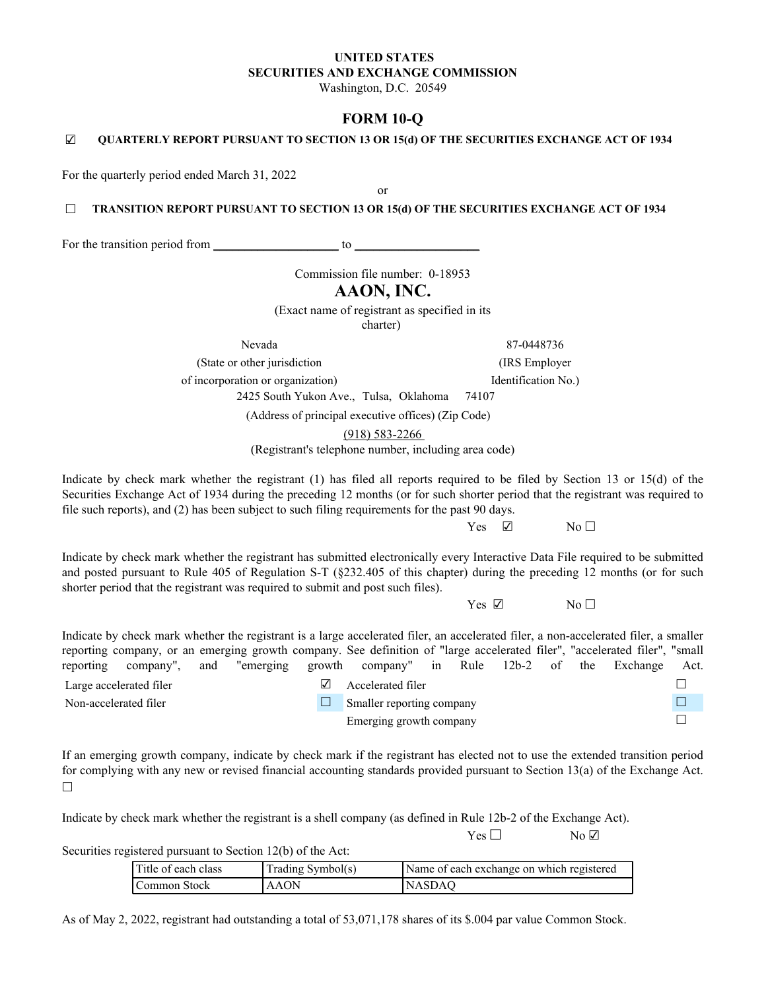## **UNITED STATES SECURITIES AND EXCHANGE COMMISSION**

Washington, D.C. 20549

# **FORM 10-Q**

#### ☑ **QUARTERLY REPORT PURSUANT TO SECTION 13 OR 15(d) OF THE SECURITIES EXCHANGE ACT OF 1934**

For the quarterly period ended March 31, 2022

or

☐ **TRANSITION REPORT PURSUANT TO SECTION 13 OR 15(d) OF THE SECURITIES EXCHANGE ACT OF 1934**

For the transition period from \_\_\_\_\_\_\_\_\_\_\_\_\_\_\_\_\_\_\_\_ to \_\_\_\_\_\_\_\_\_\_\_\_\_\_\_\_\_\_\_\_

Commission file number: 0-18953 **AAON, INC.**

(Exact name of registrant as specified in its

charter)

Nevada 87-0448736

(State or other jurisdiction (IRS Employer of incorporation or organization) Identification No.)

2425 South Yukon Ave., Tulsa, Oklahoma 74107

(Address of principal executive offices) (Zip Code)

(918) 583-2266

(Registrant's telephone number, including area code)

Indicate by check mark whether the registrant (1) has filed all reports required to be filed by Section 13 or 15(d) of the Securities Exchange Act of 1934 during the preceding 12 months (or for such shorter period that the registrant was required to file such reports), and (2) has been subject to such filing requirements for the past 90 days.

 $Yes \quad \nabla$  No  $\Box$ 

Indicate by check mark whether the registrant has submitted electronically every Interactive Data File required to be submitted and posted pursuant to Rule 405 of Regulation S-T (§232.405 of this chapter) during the preceding 12 months (or for such shorter period that the registrant was required to submit and post such files).

 $Yes \nabla$  No  $\Box$ 

Indicate by check mark whether the registrant is a large accelerated filer, an accelerated filer, a non-accelerated filer, a smaller reporting company, or an emerging growth company. See definition of "large accelerated filer", "accelerated filer", "small reporting company", and "emerging growth company" in Rule 12b-2 of the Exchange Act. Large accelerated filer  $□$  Accelerated filer  $□$ Non-accelerated filer  $\Box$  Smaller reporting company  $\Box$ Emerging growth company  $\Box$ 

If an emerging growth company, indicate by check mark if the registrant has elected not to use the extended transition period for complying with any new or revised financial accounting standards provided pursuant to Section 13(a) of the Exchange Act. ☐

Indicate by check mark whether the registrant is a shell company (as defined in Rule 12b-2 of the Exchange Act).

 $Yes \Box$  No  $\Box$ 

Securities registered pursuant to Section 12(b) of the Act:

| <b>Title of each class</b> | $\text{Trading Symbol}(s)$ | Name of each exchange on which registered |
|----------------------------|----------------------------|-------------------------------------------|
| <b>Common Stock</b>        | AAON                       | `NASDAC                                   |

As of May 2, 2022, registrant had outstanding a total of 53,071,178 shares of its \$.004 par value Common Stock.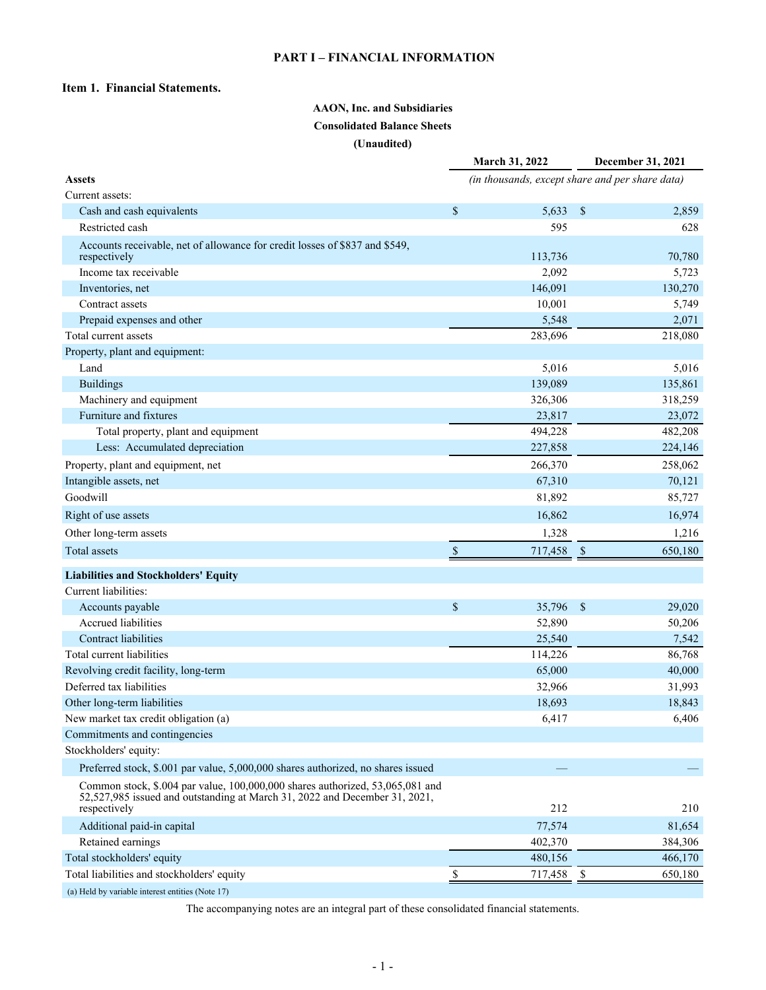# **PART I – FINANCIAL INFORMATION**

#### **Item 1. Financial Statements.**

# **AAON, Inc. and Subsidiaries Consolidated Balance Sheets (Unaudited)**

|                                                                                             |               | March 31, 2022                                  |               | December 31, 2021 |
|---------------------------------------------------------------------------------------------|---------------|-------------------------------------------------|---------------|-------------------|
| <b>Assets</b>                                                                               |               | (in thousands, except share and per share data) |               |                   |
| Current assets:                                                                             |               |                                                 |               |                   |
| Cash and cash equivalents                                                                   | $\,$          | 5,633                                           | $\mathcal{S}$ | 2,859             |
| Restricted cash                                                                             |               | 595                                             |               | 628               |
| Accounts receivable, net of allowance for credit losses of \$837 and \$549,<br>respectively |               | 113,736                                         |               | 70,780            |
| Income tax receivable                                                                       |               | 2,092                                           |               | 5,723             |
| Inventories, net                                                                            |               | 146,091                                         |               | 130,270           |
| Contract assets                                                                             |               | 10,001                                          |               | 5,749             |
| Prepaid expenses and other                                                                  |               | 5,548                                           |               | 2,071             |
| Total current assets                                                                        |               | 283,696                                         |               | 218,080           |
| Property, plant and equipment:                                                              |               |                                                 |               |                   |
| Land                                                                                        |               | 5,016                                           |               | 5,016             |
| <b>Buildings</b>                                                                            |               | 139,089                                         |               | 135,861           |
| Machinery and equipment                                                                     |               | 326,306                                         |               | 318,259           |
| Furniture and fixtures                                                                      |               | 23,817                                          |               | 23,072            |
| Total property, plant and equipment                                                         |               | 494,228                                         |               | 482,208           |
| Less: Accumulated depreciation                                                              |               | 227,858                                         |               | 224,146           |
| Property, plant and equipment, net                                                          |               | 266,370                                         |               | 258,062           |
| Intangible assets, net                                                                      |               | 67,310                                          |               | 70,121            |
| Goodwill                                                                                    |               | 81,892                                          |               | 85,727            |
| Right of use assets                                                                         |               | 16,862                                          |               | 16,974            |
| Other long-term assets                                                                      |               | 1,328                                           |               | 1,216             |
| <b>Total assets</b>                                                                         | $\mathcal{S}$ | 717,458                                         | - \$          | 650,180           |
| <b>Liabilities and Stockholders' Equity</b>                                                 |               |                                                 |               |                   |
| Current liabilities:                                                                        |               |                                                 |               |                   |
| Accounts payable                                                                            | $\$$          | 35,796 \$                                       |               | 29,020            |
| <b>Accrued liabilities</b>                                                                  |               | 52,890                                          |               | 50,206            |
| Contract lighilities                                                                        |               | 25.540                                          |               | 7512              |

| Accrued habilities                                                                                                                                                          | 52,890  | 50,200  |
|-----------------------------------------------------------------------------------------------------------------------------------------------------------------------------|---------|---------|
| Contract liabilities                                                                                                                                                        | 25,540  | 7,542   |
| Total current liabilities                                                                                                                                                   | 114,226 | 86,768  |
| Revolving credit facility, long-term                                                                                                                                        | 65,000  | 40,000  |
| Deferred tax liabilities                                                                                                                                                    | 32,966  | 31,993  |
| Other long-term liabilities                                                                                                                                                 | 18,693  | 18,843  |
| New market tax credit obligation (a)                                                                                                                                        | 6,417   | 6,406   |
| Commitments and contingencies                                                                                                                                               |         |         |
| Stockholders' equity:                                                                                                                                                       |         |         |
| Preferred stock, \$.001 par value, 5,000,000 shares authorized, no shares issued                                                                                            |         |         |
| Common stock, \$.004 par value, 100,000,000 shares authorized, 53,065,081 and<br>52,527,985 issued and outstanding at March 31, 2022 and December 31, 2021,<br>respectively | 212     | 210     |
| Additional paid-in capital                                                                                                                                                  | 77,574  | 81,654  |
| Retained earnings                                                                                                                                                           | 402,370 | 384,306 |
| Total stockholders' equity                                                                                                                                                  | 480,156 | 466,170 |
| Total liabilities and stockholders' equity                                                                                                                                  | 717,458 | 650,180 |
| (a) Held by variable interest entities (Note 17)                                                                                                                            |         |         |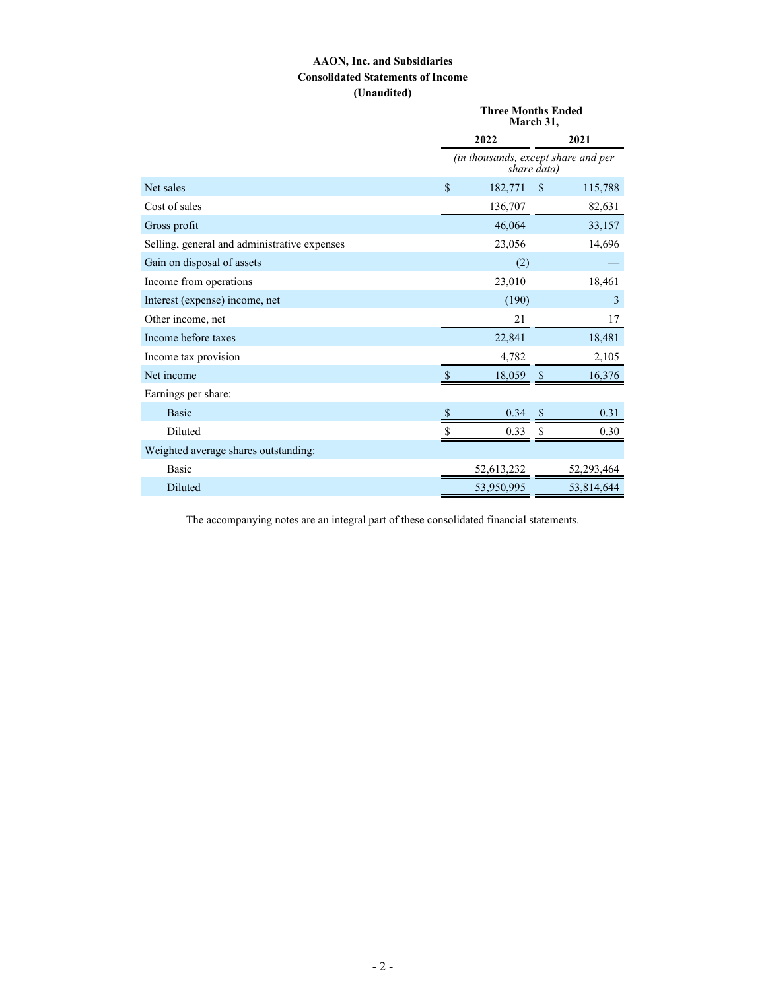# **AAON, Inc. and Subsidiaries Consolidated Statements of Income (Unaudited)**

|                                              |             | <b>Three Months Ended</b><br>March 31,             |               |            |  |  |  |
|----------------------------------------------|-------------|----------------------------------------------------|---------------|------------|--|--|--|
|                                              |             | 2022                                               | 2021          |            |  |  |  |
|                                              |             | (in thousands, except share and per<br>share data) |               |            |  |  |  |
| Net sales                                    | $\mathbf S$ | 182,771                                            | $\mathcal{S}$ | 115,788    |  |  |  |
| Cost of sales                                |             | 136,707                                            |               | 82,631     |  |  |  |
| Gross profit                                 |             | 46,064                                             |               | 33,157     |  |  |  |
| Selling, general and administrative expenses |             | 23,056                                             |               | 14,696     |  |  |  |
| Gain on disposal of assets                   |             | (2)                                                |               |            |  |  |  |
| Income from operations                       |             | 23,010                                             |               | 18,461     |  |  |  |
| Interest (expense) income, net               |             | (190)                                              |               | 3          |  |  |  |
| Other income, net                            |             | 21                                                 |               | 17         |  |  |  |
| Income before taxes                          |             | 22,841                                             |               | 18,481     |  |  |  |
| Income tax provision                         |             | 4,782                                              |               | 2,105      |  |  |  |
| Net income                                   | \$          | 18,059                                             | \$            | 16,376     |  |  |  |
| Earnings per share:                          |             |                                                    |               |            |  |  |  |
| <b>Basic</b>                                 |             | 0.34                                               |               | 0.31       |  |  |  |
| Diluted                                      | S           | 0.33                                               | <sup>\$</sup> | 0.30       |  |  |  |
| Weighted average shares outstanding:         |             |                                                    |               |            |  |  |  |
| Basic                                        |             | 52,613,232                                         |               | 52,293,464 |  |  |  |
| Diluted                                      |             | 53,950,995                                         |               | 53,814,644 |  |  |  |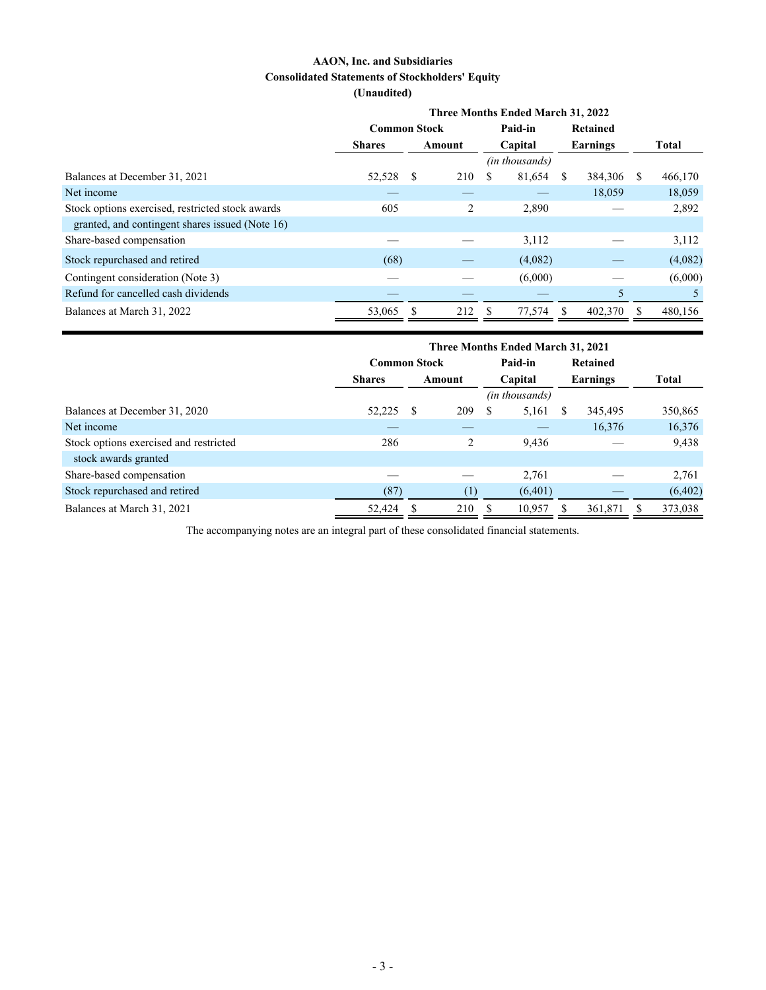# **AAON, Inc. and Subsidiaries Consolidated Statements of Stockholders' Equity**

**(Unaudited)**

|                                                  | Three Months Ended March 31, 2022 |          |        |         |                |                 |         |    |              |
|--------------------------------------------------|-----------------------------------|----------|--------|---------|----------------|-----------------|---------|----|--------------|
|                                                  | <b>Common Stock</b>               |          |        | Paid-in |                | <b>Retained</b> |         |    |              |
|                                                  | <b>Shares</b>                     |          | Amount | Capital |                | Earnings        |         |    | <b>Total</b> |
|                                                  |                                   |          |        |         | (in thousands) |                 |         |    |              |
| Balances at December 31, 2021                    | 52,528                            | <b>S</b> | 210    | S       | 81,654         | S.              | 384,306 | S. | 466,170      |
| Net income                                       |                                   |          |        |         |                |                 | 18,059  |    | 18,059       |
| Stock options exercised, restricted stock awards | 605                               |          | 2      |         | 2,890          |                 |         |    | 2,892        |
| granted, and contingent shares issued (Note 16)  |                                   |          |        |         |                |                 |         |    |              |
| Share-based compensation                         |                                   |          |        |         | 3,112          |                 |         |    | 3,112        |
| Stock repurchased and retired                    | (68)                              |          |        |         | (4,082)        |                 |         |    | (4,082)      |
| Contingent consideration (Note 3)                |                                   |          |        |         | (6,000)        |                 |         |    | (6,000)      |
| Refund for cancelled cash dividends              |                                   |          |        |         |                |                 | 5       |    |              |
| Balances at March 31, 2022                       | 53,065                            |          | 212    |         | 77,574         | S.              | 402,370 |    | 480,156      |

|                                        | Three Months Ended March 31, 2021 |  |                   |         |                |                 |         |  |         |  |  |  |  |  |  |  |  |  |  |  |  |  |  |  |  |  |  |  |  |  |          |  |  |  |              |
|----------------------------------------|-----------------------------------|--|-------------------|---------|----------------|-----------------|---------|--|---------|--|--|--|--|--|--|--|--|--|--|--|--|--|--|--|--|--|--|--|--|--|----------|--|--|--|--------------|
|                                        | <b>Common Stock</b>               |  |                   | Paid-in |                | <b>Retained</b> |         |  |         |  |  |  |  |  |  |  |  |  |  |  |  |  |  |  |  |  |  |  |  |  |          |  |  |  |              |
|                                        | <b>Shares</b>                     |  | Capital<br>Amount |         |                |                 |         |  |         |  |  |  |  |  |  |  |  |  |  |  |  |  |  |  |  |  |  |  |  |  | Earnings |  |  |  | <b>Total</b> |
|                                        |                                   |  |                   |         | (in thousands) |                 |         |  |         |  |  |  |  |  |  |  |  |  |  |  |  |  |  |  |  |  |  |  |  |  |          |  |  |  |              |
| Balances at December 31, 2020          | 52,225                            |  | 209               | S       | 5,161          | \$.             | 345,495 |  | 350,865 |  |  |  |  |  |  |  |  |  |  |  |  |  |  |  |  |  |  |  |  |  |          |  |  |  |              |
| Net income                             |                                   |  |                   |         |                |                 | 16,376  |  | 16,376  |  |  |  |  |  |  |  |  |  |  |  |  |  |  |  |  |  |  |  |  |  |          |  |  |  |              |
| Stock options exercised and restricted | 286                               |  | $\overline{c}$    |         | 9,436          |                 |         |  | 9,438   |  |  |  |  |  |  |  |  |  |  |  |  |  |  |  |  |  |  |  |  |  |          |  |  |  |              |
| stock awards granted                   |                                   |  |                   |         |                |                 |         |  |         |  |  |  |  |  |  |  |  |  |  |  |  |  |  |  |  |  |  |  |  |  |          |  |  |  |              |
| Share-based compensation               |                                   |  |                   |         | 2,761          |                 |         |  | 2,761   |  |  |  |  |  |  |  |  |  |  |  |  |  |  |  |  |  |  |  |  |  |          |  |  |  |              |
| Stock repurchased and retired          | (87)                              |  | (1)               |         | (6,401)        |                 |         |  | (6,402) |  |  |  |  |  |  |  |  |  |  |  |  |  |  |  |  |  |  |  |  |  |          |  |  |  |              |
| Balances at March 31, 2021             | 52,424                            |  | 210               |         | 10,957         |                 | 361,871 |  | 373,038 |  |  |  |  |  |  |  |  |  |  |  |  |  |  |  |  |  |  |  |  |  |          |  |  |  |              |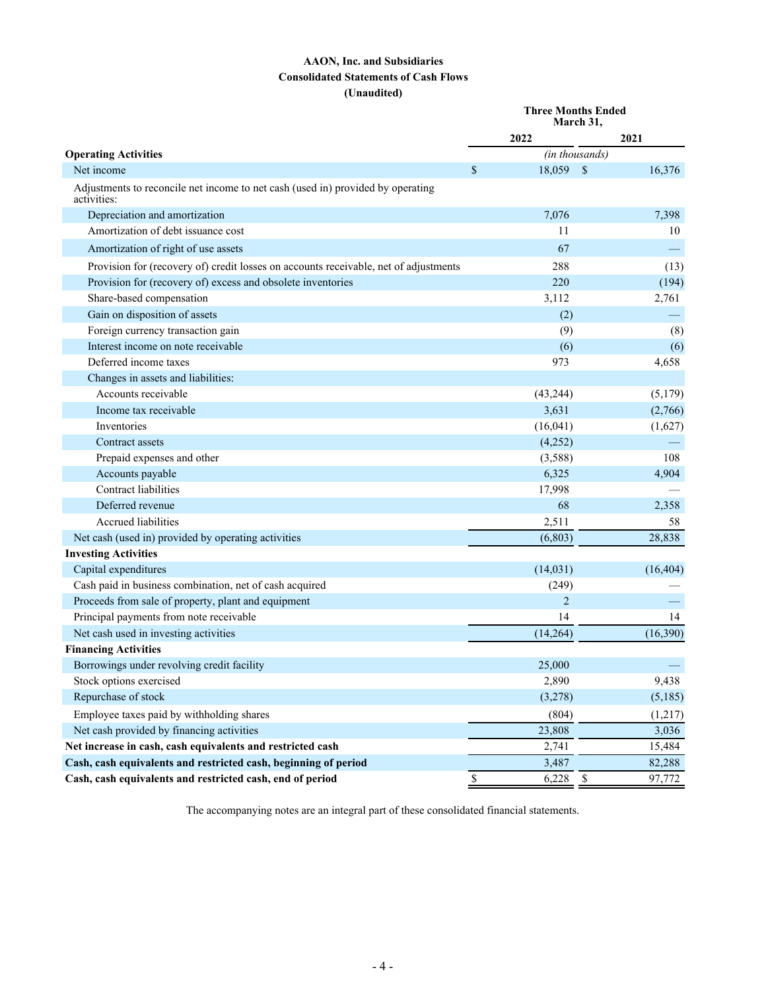# **AAON, Inc. and Subsidiaries Consolidated Statements of Cash Flows (Unaudited)**

|                                                                                                | <b>Three Months Ended</b><br>March 31, |                       |           |  |
|------------------------------------------------------------------------------------------------|----------------------------------------|-----------------------|-----------|--|
|                                                                                                |                                        | 2022                  | 2021      |  |
| <b>Operating Activities</b>                                                                    |                                        | (in thousands)        |           |  |
| Net income                                                                                     | \$                                     | 18,059 \$             | 16,376    |  |
| Adjustments to reconcile net income to net cash (used in) provided by operating<br>activities: |                                        |                       |           |  |
| Depreciation and amortization                                                                  |                                        | 7,076                 | 7,398     |  |
| Amortization of debt issuance cost                                                             |                                        | 11                    | 10        |  |
| Amortization of right of use assets                                                            |                                        | 67                    |           |  |
| Provision for (recovery of) credit losses on accounts receivable, net of adjustments           |                                        | 288                   | (13)      |  |
| Provision for (recovery of) excess and obsolete inventories                                    |                                        | 220                   | (194)     |  |
| Share-based compensation                                                                       |                                        | 3,112                 | 2,761     |  |
| Gain on disposition of assets                                                                  |                                        | (2)                   |           |  |
| Foreign currency transaction gain                                                              |                                        | (9)                   | (8)       |  |
| Interest income on note receivable                                                             |                                        | (6)                   | (6)       |  |
| Deferred income taxes                                                                          |                                        | 973                   | 4,658     |  |
| Changes in assets and liabilities:                                                             |                                        |                       |           |  |
| Accounts receivable                                                                            |                                        | (43, 244)             | (5,179)   |  |
| Income tax receivable                                                                          |                                        | 3,631                 | (2,766)   |  |
| Inventories                                                                                    |                                        | (16, 041)             | (1,627)   |  |
| Contract assets                                                                                |                                        | (4,252)               |           |  |
| Prepaid expenses and other                                                                     |                                        | (3,588)               | 108       |  |
| Accounts payable                                                                               |                                        | 6,325                 | 4,904     |  |
| Contract liabilities                                                                           |                                        | 17,998                |           |  |
| Deferred revenue                                                                               |                                        | 68                    | 2,358     |  |
| <b>Accrued liabilities</b>                                                                     |                                        | 2,511                 | 58        |  |
| Net cash (used in) provided by operating activities                                            |                                        | (6, 803)              | 28,838    |  |
| <b>Investing Activities</b>                                                                    |                                        |                       |           |  |
| Capital expenditures                                                                           |                                        | (14, 031)             | (16, 404) |  |
| Cash paid in business combination, net of cash acquired                                        |                                        | (249)                 |           |  |
| Proceeds from sale of property, plant and equipment                                            |                                        | $\overline{2}$        |           |  |
| Principal payments from note receivable                                                        |                                        | 14                    | 14        |  |
| Net cash used in investing activities                                                          |                                        | (14,264)              | (16,390)  |  |
| <b>Financing Activities</b>                                                                    |                                        |                       |           |  |
| Borrowings under revolving credit facility                                                     |                                        | 25,000                |           |  |
| Stock options exercised                                                                        |                                        | 2,890                 | 9,438     |  |
| Repurchase of stock                                                                            |                                        | (3,278)               | (5,185)   |  |
| Employee taxes paid by withholding shares                                                      |                                        | (804)                 | (1, 217)  |  |
| Net cash provided by financing activities                                                      |                                        | 23,808                | 3,036     |  |
| Net increase in cash, cash equivalents and restricted cash                                     |                                        | 2,741                 | 15,484    |  |
| Cash, cash equivalents and restricted cash, beginning of period                                |                                        | 3,487                 | 82,288    |  |
| Cash, cash equivalents and restricted cash, end of period                                      | $\$$                                   | $\mathbb{S}$<br>6,228 | 97,772    |  |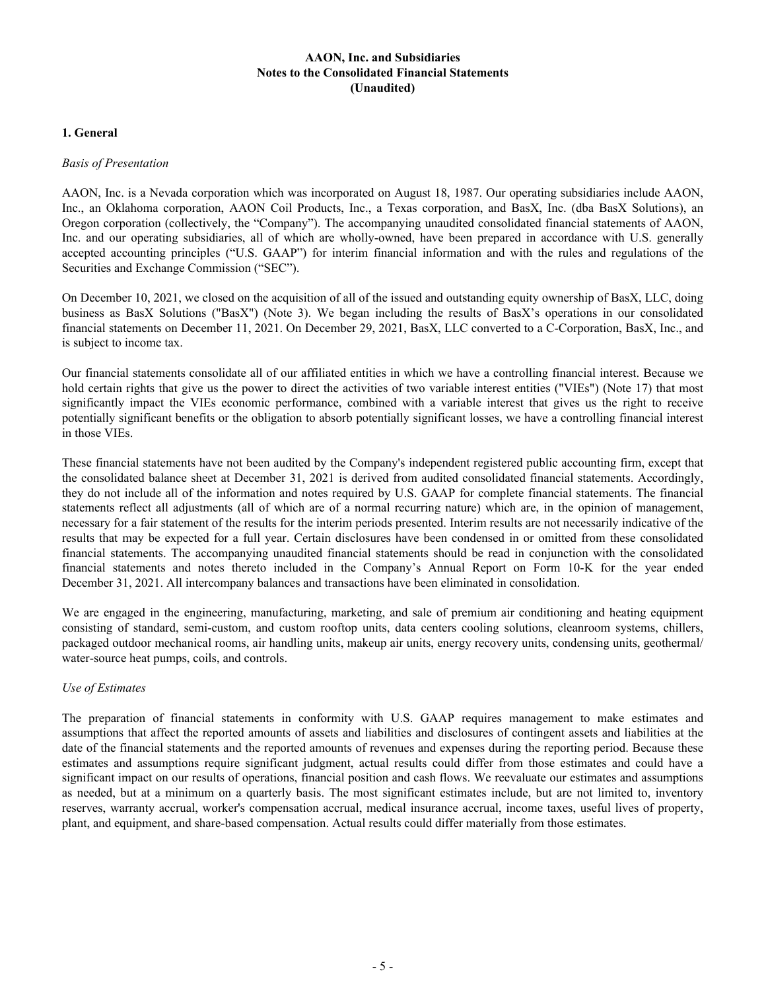## **AAON, Inc. and Subsidiaries Notes to the Consolidated Financial Statements (Unaudited)**

#### **1. General**

#### *Basis of Presentation*

AAON, Inc. is a Nevada corporation which was incorporated on August 18, 1987. Our operating subsidiaries include AAON, Inc., an Oklahoma corporation, AAON Coil Products, Inc., a Texas corporation, and BasX, Inc. (dba BasX Solutions), an Oregon corporation (collectively, the "Company"). The accompanying unaudited consolidated financial statements of AAON, Inc. and our operating subsidiaries, all of which are wholly-owned, have been prepared in accordance with U.S. generally accepted accounting principles ("U.S. GAAP") for interim financial information and with the rules and regulations of the Securities and Exchange Commission ("SEC").

On December 10, 2021, we closed on the acquisition of all of the issued and outstanding equity ownership of BasX, LLC, doing business as BasX Solutions ("BasX") (Note 3). We began including the results of BasX's operations in our consolidated financial statements on December 11, 2021. On December 29, 2021, BasX, LLC converted to a C-Corporation, BasX, Inc., and is subject to income tax.

Our financial statements consolidate all of our affiliated entities in which we have a controlling financial interest. Because we hold certain rights that give us the power to direct the activities of two variable interest entities ("VIEs") (Note 17) that most significantly impact the VIEs economic performance, combined with a variable interest that gives us the right to receive potentially significant benefits or the obligation to absorb potentially significant losses, we have a controlling financial interest in those VIEs.

These financial statements have not been audited by the Company's independent registered public accounting firm, except that the consolidated balance sheet at December 31, 2021 is derived from audited consolidated financial statements. Accordingly, they do not include all of the information and notes required by U.S. GAAP for complete financial statements. The financial statements reflect all adjustments (all of which are of a normal recurring nature) which are, in the opinion of management, necessary for a fair statement of the results for the interim periods presented. Interim results are not necessarily indicative of the results that may be expected for a full year. Certain disclosures have been condensed in or omitted from these consolidated financial statements. The accompanying unaudited financial statements should be read in conjunction with the consolidated financial statements and notes thereto included in the Company's Annual Report on Form 10-K for the year ended December 31, 2021. All intercompany balances and transactions have been eliminated in consolidation.

We are engaged in the engineering, manufacturing, marketing, and sale of premium air conditioning and heating equipment consisting of standard, semi-custom, and custom rooftop units, data centers cooling solutions, cleanroom systems, chillers, packaged outdoor mechanical rooms, air handling units, makeup air units, energy recovery units, condensing units, geothermal/ water-source heat pumps, coils, and controls.

## *Use of Estimates*

The preparation of financial statements in conformity with U.S. GAAP requires management to make estimates and assumptions that affect the reported amounts of assets and liabilities and disclosures of contingent assets and liabilities at the date of the financial statements and the reported amounts of revenues and expenses during the reporting period. Because these estimates and assumptions require significant judgment, actual results could differ from those estimates and could have a significant impact on our results of operations, financial position and cash flows. We reevaluate our estimates and assumptions as needed, but at a minimum on a quarterly basis. The most significant estimates include, but are not limited to, inventory reserves, warranty accrual, worker's compensation accrual, medical insurance accrual, income taxes, useful lives of property, plant, and equipment, and share-based compensation. Actual results could differ materially from those estimates.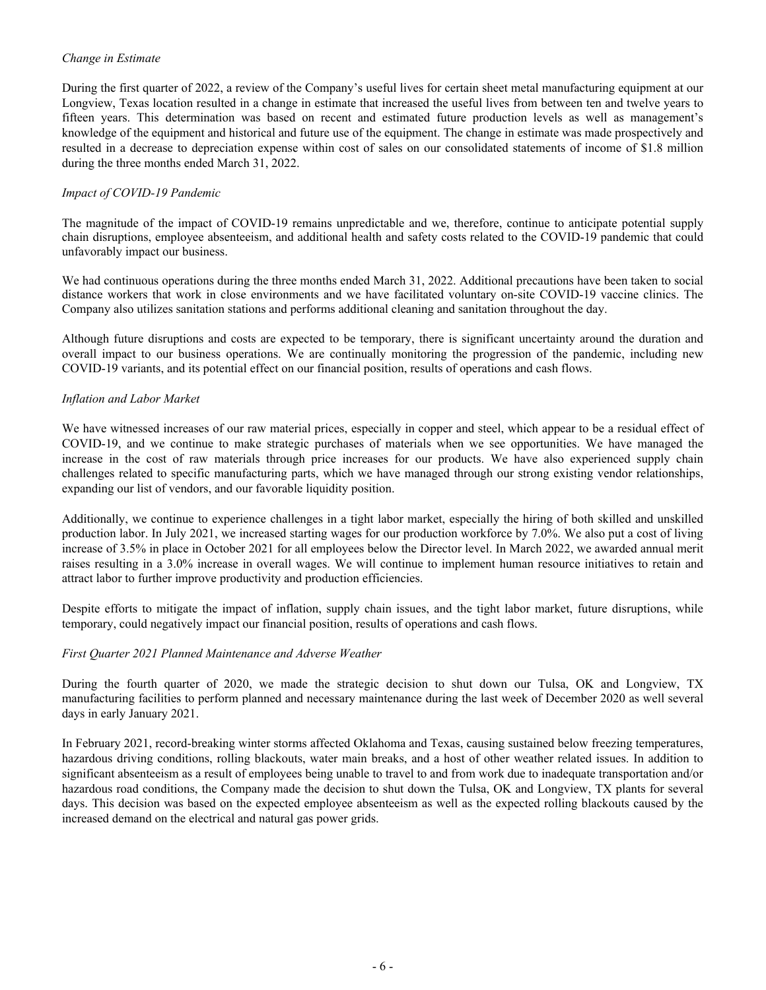#### *Change in Estimate*

During the first quarter of 2022, a review of the Company's useful lives for certain sheet metal manufacturing equipment at our Longview, Texas location resulted in a change in estimate that increased the useful lives from between ten and twelve years to fifteen years. This determination was based on recent and estimated future production levels as well as management's knowledge of the equipment and historical and future use of the equipment. The change in estimate was made prospectively and resulted in a decrease to depreciation expense within cost of sales on our consolidated statements of income of \$1.8 million during the three months ended March 31, 2022.

## *Impact of COVID-19 Pandemic*

The magnitude of the impact of COVID-19 remains unpredictable and we, therefore, continue to anticipate potential supply chain disruptions, employee absenteeism, and additional health and safety costs related to the COVID-19 pandemic that could unfavorably impact our business.

We had continuous operations during the three months ended March 31, 2022. Additional precautions have been taken to social distance workers that work in close environments and we have facilitated voluntary on-site COVID-19 vaccine clinics. The Company also utilizes sanitation stations and performs additional cleaning and sanitation throughout the day.

Although future disruptions and costs are expected to be temporary, there is significant uncertainty around the duration and overall impact to our business operations. We are continually monitoring the progression of the pandemic, including new COVID-19 variants, and its potential effect on our financial position, results of operations and cash flows.

## *Inflation and Labor Market*

We have witnessed increases of our raw material prices, especially in copper and steel, which appear to be a residual effect of COVID-19, and we continue to make strategic purchases of materials when we see opportunities. We have managed the increase in the cost of raw materials through price increases for our products. We have also experienced supply chain challenges related to specific manufacturing parts, which we have managed through our strong existing vendor relationships, expanding our list of vendors, and our favorable liquidity position.

Additionally, we continue to experience challenges in a tight labor market, especially the hiring of both skilled and unskilled production labor. In July 2021, we increased starting wages for our production workforce by 7.0%. We also put a cost of living increase of 3.5% in place in October 2021 for all employees below the Director level. In March 2022, we awarded annual merit raises resulting in a 3.0% increase in overall wages. We will continue to implement human resource initiatives to retain and attract labor to further improve productivity and production efficiencies.

Despite efforts to mitigate the impact of inflation, supply chain issues, and the tight labor market, future disruptions, while temporary, could negatively impact our financial position, results of operations and cash flows.

## *First Quarter 2021 Planned Maintenance and Adverse Weather*

During the fourth quarter of 2020, we made the strategic decision to shut down our Tulsa, OK and Longview, TX manufacturing facilities to perform planned and necessary maintenance during the last week of December 2020 as well several days in early January 2021.

In February 2021, record-breaking winter storms affected Oklahoma and Texas, causing sustained below freezing temperatures, hazardous driving conditions, rolling blackouts, water main breaks, and a host of other weather related issues. In addition to significant absenteeism as a result of employees being unable to travel to and from work due to inadequate transportation and/or hazardous road conditions, the Company made the decision to shut down the Tulsa, OK and Longview, TX plants for several days. This decision was based on the expected employee absenteeism as well as the expected rolling blackouts caused by the increased demand on the electrical and natural gas power grids.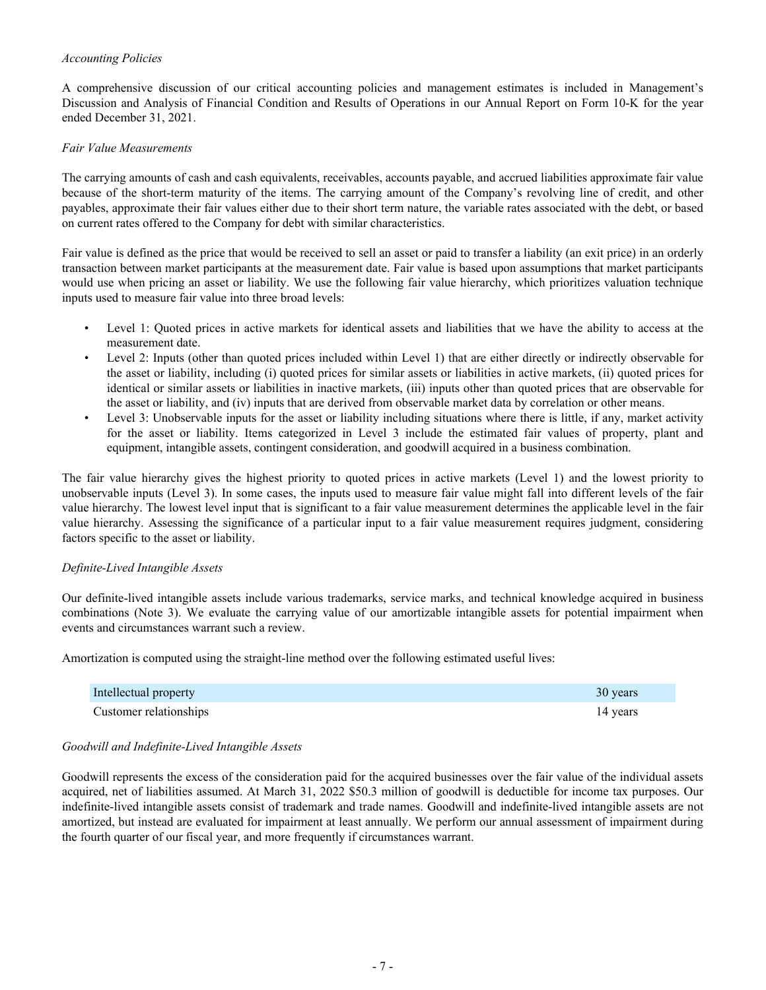#### *Accounting Policies*

A comprehensive discussion of our critical accounting policies and management estimates is included in Management's Discussion and Analysis of Financial Condition and Results of Operations in our Annual Report on Form 10-K for the year ended December 31, 2021.

#### *Fair Value Measurements*

The carrying amounts of cash and cash equivalents, receivables, accounts payable, and accrued liabilities approximate fair value because of the short-term maturity of the items. The carrying amount of the Company's revolving line of credit, and other payables, approximate their fair values either due to their short term nature, the variable rates associated with the debt, or based on current rates offered to the Company for debt with similar characteristics.

Fair value is defined as the price that would be received to sell an asset or paid to transfer a liability (an exit price) in an orderly transaction between market participants at the measurement date. Fair value is based upon assumptions that market participants would use when pricing an asset or liability. We use the following fair value hierarchy, which prioritizes valuation technique inputs used to measure fair value into three broad levels:

- Level 1: Quoted prices in active markets for identical assets and liabilities that we have the ability to access at the measurement date.
- Level 2: Inputs (other than quoted prices included within Level 1) that are either directly or indirectly observable for the asset or liability, including (i) quoted prices for similar assets or liabilities in active markets, (ii) quoted prices for identical or similar assets or liabilities in inactive markets, (iii) inputs other than quoted prices that are observable for the asset or liability, and (iv) inputs that are derived from observable market data by correlation or other means.
- Level 3: Unobservable inputs for the asset or liability including situations where there is little, if any, market activity for the asset or liability. Items categorized in Level 3 include the estimated fair values of property, plant and equipment, intangible assets, contingent consideration, and goodwill acquired in a business combination.

The fair value hierarchy gives the highest priority to quoted prices in active markets (Level 1) and the lowest priority to unobservable inputs (Level 3). In some cases, the inputs used to measure fair value might fall into different levels of the fair value hierarchy. The lowest level input that is significant to a fair value measurement determines the applicable level in the fair value hierarchy. Assessing the significance of a particular input to a fair value measurement requires judgment, considering factors specific to the asset or liability.

## *Definite-Lived Intangible Assets*

Our definite-lived intangible assets include various trademarks, service marks, and technical knowledge acquired in business combinations (Note 3). We evaluate the carrying value of our amortizable intangible assets for potential impairment when events and circumstances warrant such a review.

Amortization is computed using the straight-line method over the following estimated useful lives:

| Intellectual property  | 30 years |
|------------------------|----------|
| Customer relationships | 14 years |

## *Goodwill and Indefinite-Lived Intangible Assets*

Goodwill represents the excess of the consideration paid for the acquired businesses over the fair value of the individual assets acquired, net of liabilities assumed. At March 31, 2022 \$50.3 million of goodwill is deductible for income tax purposes. Our indefinite-lived intangible assets consist of trademark and trade names. Goodwill and indefinite-lived intangible assets are not amortized, but instead are evaluated for impairment at least annually. We perform our annual assessment of impairment during the fourth quarter of our fiscal year, and more frequently if circumstances warrant.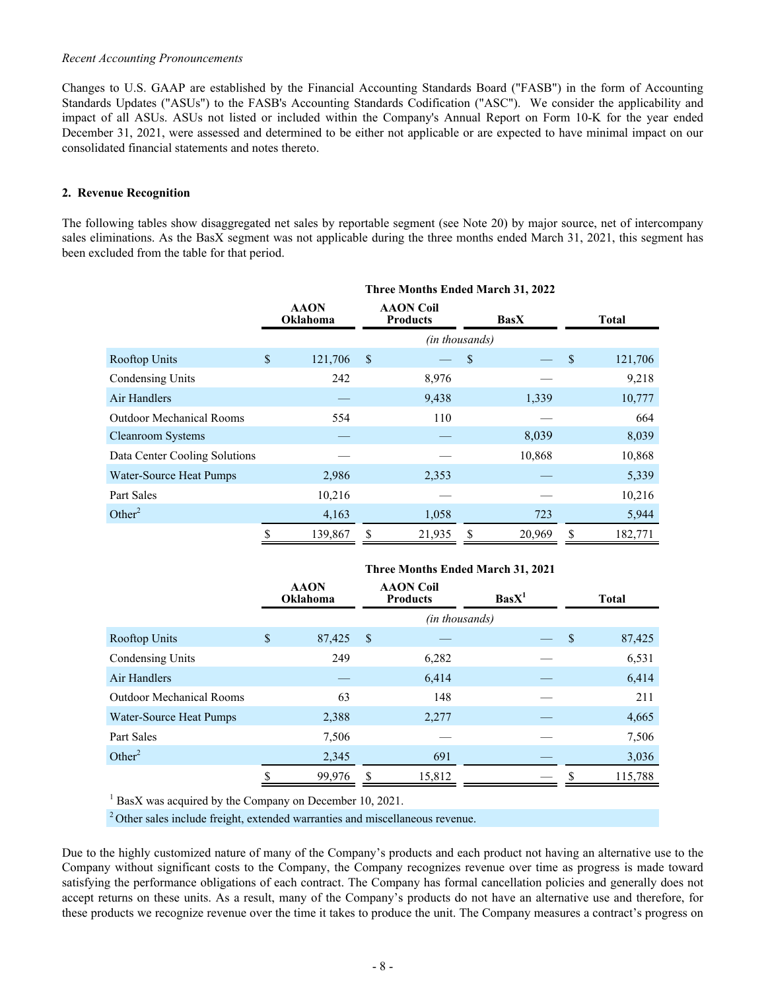#### *Recent Accounting Pronouncements*

Changes to U.S. GAAP are established by the Financial Accounting Standards Board ("FASB") in the form of Accounting Standards Updates ("ASUs") to the FASB's Accounting Standards Codification ("ASC"). We consider the applicability and impact of all ASUs. ASUs not listed or included within the Company's Annual Report on Form 10-K for the year ended December 31, 2021, were assessed and determined to be either not applicable or are expected to have minimal impact on our consolidated financial statements and notes thereto.

#### **2. Revenue Recognition**

The following tables show disaggregated net sales by reportable segment (see Note 20) by major source, net of intercompany sales eliminations. As the BasX segment was not applicable during the three months ended March 31, 2021, this segment has been excluded from the table for that period.

|                                 | <b>AAON</b><br>Oklahoma |               | <b>AAON Coil</b><br><b>Products</b><br>BasX |   |        | <b>Total</b> |         |
|---------------------------------|-------------------------|---------------|---------------------------------------------|---|--------|--------------|---------|
|                                 |                         |               | (in thousands)                              |   |        |              |         |
| Rooftop Units                   | \$<br>121,706           | <sup>\$</sup> |                                             | S |        | $\mathbb{S}$ | 121,706 |
| Condensing Units                | 242                     |               | 8,976                                       |   |        |              | 9,218   |
| Air Handlers                    |                         |               | 9,438                                       |   | 1,339  |              | 10,777  |
| <b>Outdoor Mechanical Rooms</b> | 554                     |               | 110                                         |   |        |              | 664     |
| <b>Cleanroom Systems</b>        |                         |               |                                             |   | 8,039  |              | 8,039   |
| Data Center Cooling Solutions   |                         |               |                                             |   | 10,868 |              | 10,868  |
| Water-Source Heat Pumps         | 2,986                   |               | 2,353                                       |   |        |              | 5,339   |
| Part Sales                      | 10,216                  |               |                                             |   |        |              | 10,216  |
| Other <sup>2</sup>              | 4,163                   |               | 1,058                                       |   | 723    |              | 5,944   |
|                                 | \$<br>139,867           | S             | 21,935                                      | S | 20,969 | S            | 182,771 |

|                                 | <b>AAON</b><br>Oklahoma | <b>AAON Coil</b><br><b>Products</b> |                | BasX <sup>1</sup> | Total         |
|---------------------------------|-------------------------|-------------------------------------|----------------|-------------------|---------------|
|                                 |                         |                                     | (in thousands) |                   |               |
| Rooftop Units                   | \$<br>87,425            | S                                   |                |                   | \$<br>87,425  |
| Condensing Units                | 249                     |                                     | 6,282          |                   | 6,531         |
| Air Handlers                    |                         |                                     | 6,414          |                   | 6,414         |
| <b>Outdoor Mechanical Rooms</b> | 63                      |                                     | 148            |                   | 211           |
| Water-Source Heat Pumps         | 2,388                   |                                     | 2,277          |                   | 4,665         |
| Part Sales                      | 7,506                   |                                     |                |                   | 7,506         |
| Other <sup>2</sup>              | 2,345                   |                                     | 691            |                   | 3,036         |
|                                 | \$<br>99,976            |                                     | 15,812         |                   | \$<br>115,788 |

#### **Three Months Ended March 31, 2021**

<sup>1</sup> BasX was acquired by the Company on December 10, 2021.

<sup>2</sup> Other sales include freight, extended warranties and miscellaneous revenue.

Due to the highly customized nature of many of the Company's products and each product not having an alternative use to the Company without significant costs to the Company, the Company recognizes revenue over time as progress is made toward satisfying the performance obligations of each contract. The Company has formal cancellation policies and generally does not accept returns on these units. As a result, many of the Company's products do not have an alternative use and therefore, for these products we recognize revenue over the time it takes to produce the unit. The Company measures a contract's progress on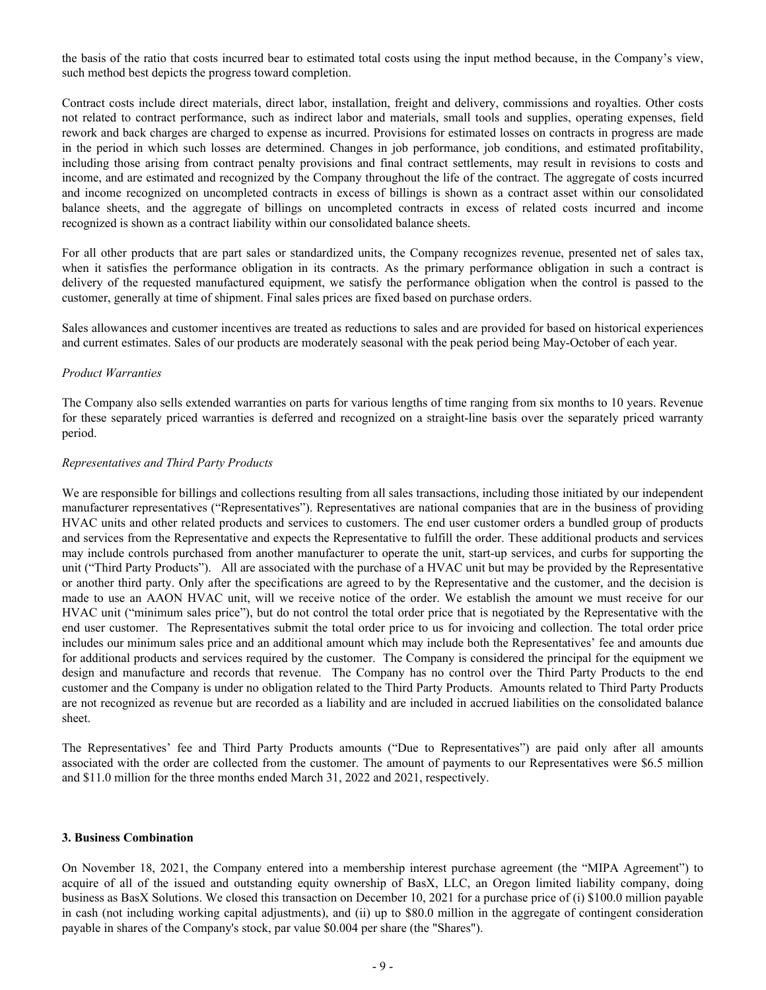the basis of the ratio that costs incurred bear to estimated total costs using the input method because, in the Company's view, such method best depicts the progress toward completion.

Contract costs include direct materials, direct labor, installation, freight and delivery, commissions and royalties. Other costs not related to contract performance, such as indirect labor and materials, small tools and supplies, operating expenses, field rework and back charges are charged to expense as incurred. Provisions for estimated losses on contracts in progress are made in the period in which such losses are determined. Changes in job performance, job conditions, and estimated profitability, including those arising from contract penalty provisions and final contract settlements, may result in revisions to costs and income, and are estimated and recognized by the Company throughout the life of the contract. The aggregate of costs incurred and income recognized on uncompleted contracts in excess of billings is shown as a contract asset within our consolidated balance sheets, and the aggregate of billings on uncompleted contracts in excess of related costs incurred and income recognized is shown as a contract liability within our consolidated balance sheets.

For all other products that are part sales or standardized units, the Company recognizes revenue, presented net of sales tax, when it satisfies the performance obligation in its contracts. As the primary performance obligation in such a contract is delivery of the requested manufactured equipment, we satisfy the performance obligation when the control is passed to the customer, generally at time of shipment. Final sales prices are fixed based on purchase orders.

Sales allowances and customer incentives are treated as reductions to sales and are provided for based on historical experiences and current estimates. Sales of our products are moderately seasonal with the peak period being May-October of each year.

#### *Product Warranties*

The Company also sells extended warranties on parts for various lengths of time ranging from six months to 10 years. Revenue for these separately priced warranties is deferred and recognized on a straight-line basis over the separately priced warranty period.

#### *Representatives and Third Party Products*

We are responsible for billings and collections resulting from all sales transactions, including those initiated by our independent manufacturer representatives ("Representatives"). Representatives are national companies that are in the business of providing HVAC units and other related products and services to customers. The end user customer orders a bundled group of products and services from the Representative and expects the Representative to fulfill the order. These additional products and services may include controls purchased from another manufacturer to operate the unit, start-up services, and curbs for supporting the unit ("Third Party Products"). All are associated with the purchase of a HVAC unit but may be provided by the Representative or another third party. Only after the specifications are agreed to by the Representative and the customer, and the decision is made to use an AAON HVAC unit, will we receive notice of the order. We establish the amount we must receive for our HVAC unit ("minimum sales price"), but do not control the total order price that is negotiated by the Representative with the end user customer. The Representatives submit the total order price to us for invoicing and collection. The total order price includes our minimum sales price and an additional amount which may include both the Representatives' fee and amounts due for additional products and services required by the customer. The Company is considered the principal for the equipment we design and manufacture and records that revenue. The Company has no control over the Third Party Products to the end customer and the Company is under no obligation related to the Third Party Products. Amounts related to Third Party Products are not recognized as revenue but are recorded as a liability and are included in accrued liabilities on the consolidated balance sheet.

The Representatives' fee and Third Party Products amounts ("Due to Representatives") are paid only after all amounts associated with the order are collected from the customer. The amount of payments to our Representatives were \$6.5 million and \$11.0 million for the three months ended March 31, 2022 and 2021, respectively.

#### **3. Business Combination**

On November 18, 2021, the Company entered into a membership interest purchase agreement (the "MIPA Agreement") to acquire of all of the issued and outstanding equity ownership of BasX, LLC, an Oregon limited liability company, doing business as BasX Solutions. We closed this transaction on December 10, 2021 for a purchase price of (i) \$100.0 million payable in cash (not including working capital adjustments), and (ii) up to \$80.0 million in the aggregate of contingent consideration payable in shares of the Company's stock, par value \$0.004 per share (the "Shares").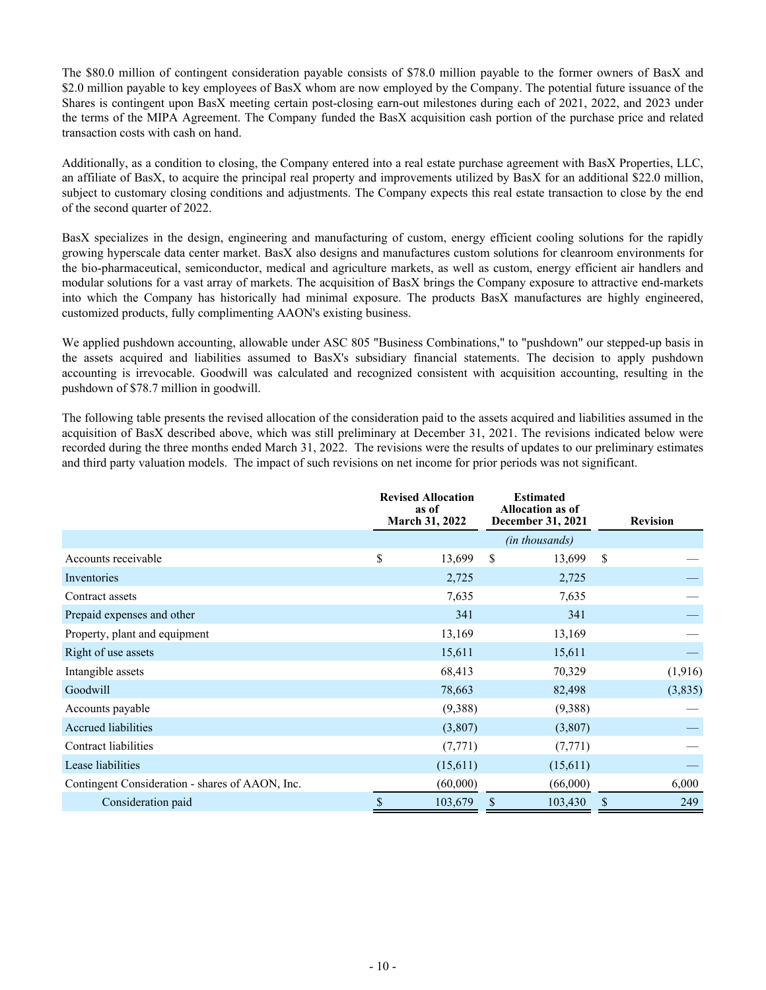The \$80.0 million of contingent consideration payable consists of \$78.0 million payable to the former owners of BasX and \$2.0 million payable to key employees of BasX whom are now employed by the Company. The potential future issuance of the Shares is contingent upon BasX meeting certain post-closing earn-out milestones during each of 2021, 2022, and 2023 under the terms of the MIPA Agreement. The Company funded the BasX acquisition cash portion of the purchase price and related transaction costs with cash on hand.

Additionally, as a condition to closing, the Company entered into a real estate purchase agreement with BasX Properties, LLC, an affiliate of BasX, to acquire the principal real property and improvements utilized by BasX for an additional \$22.0 million, subject to customary closing conditions and adjustments. The Company expects this real estate transaction to close by the end of the second quarter of 2022.

BasX specializes in the design, engineering and manufacturing of custom, energy efficient cooling solutions for the rapidly growing hyperscale data center market. BasX also designs and manufactures custom solutions for cleanroom environments for the bio-pharmaceutical, semiconductor, medical and agriculture markets, as well as custom, energy efficient air handlers and modular solutions for a vast array of markets. The acquisition of BasX brings the Company exposure to attractive end-markets into which the Company has historically had minimal exposure. The products BasX manufactures are highly engineered, customized products, fully complimenting AAON's existing business.

We applied pushdown accounting, allowable under ASC 805 "Business Combinations," to "pushdown" our stepped-up basis in the assets acquired and liabilities assumed to BasX's subsidiary financial statements. The decision to apply pushdown accounting is irrevocable. Goodwill was calculated and recognized consistent with acquisition accounting, resulting in the pushdown of \$78.7 million in goodwill.

The following table presents the revised allocation of the consideration paid to the assets acquired and liabilities assumed in the acquisition of BasX described above, which was still preliminary at December 31, 2021. The revisions indicated below were recorded during the three months ended March 31, 2022. The revisions were the results of updates to our preliminary estimates and third party valuation models. The impact of such revisions on net income for prior periods was not significant.

|                                                 | <b>Revised Allocation</b><br>as of<br>March 31, 2022 | <b>Estimated</b><br><b>Allocation as of</b><br>December 31, 2021 |    | <b>Revision</b> |
|-------------------------------------------------|------------------------------------------------------|------------------------------------------------------------------|----|-----------------|
|                                                 |                                                      | <i>(in thousands)</i>                                            |    |                 |
| Accounts receivable                             | \$<br>13,699                                         | \$<br>13,699                                                     | \$ |                 |
| Inventories                                     | 2,725                                                | 2,725                                                            |    |                 |
| Contract assets                                 | 7,635                                                | 7,635                                                            |    |                 |
| Prepaid expenses and other                      | 341                                                  | 341                                                              |    |                 |
| Property, plant and equipment                   | 13,169                                               | 13,169                                                           |    |                 |
| Right of use assets                             | 15,611                                               | 15,611                                                           |    |                 |
| Intangible assets                               | 68,413                                               | 70,329                                                           |    | (1,916)         |
| Goodwill                                        | 78,663                                               | 82,498                                                           |    | (3,835)         |
| Accounts payable                                | (9,388)                                              | (9,388)                                                          |    |                 |
| Accrued liabilities                             | (3,807)                                              | (3,807)                                                          |    |                 |
| Contract liabilities                            | (7, 771)                                             | (7, 771)                                                         |    |                 |
| Lease liabilities                               | (15,611)                                             | (15,611)                                                         |    |                 |
| Contingent Consideration - shares of AAON, Inc. | (60,000)                                             | (66,000)                                                         |    | 6,000           |
| Consideration paid                              | \$<br>103,679                                        | \$<br>103,430                                                    |    | 249             |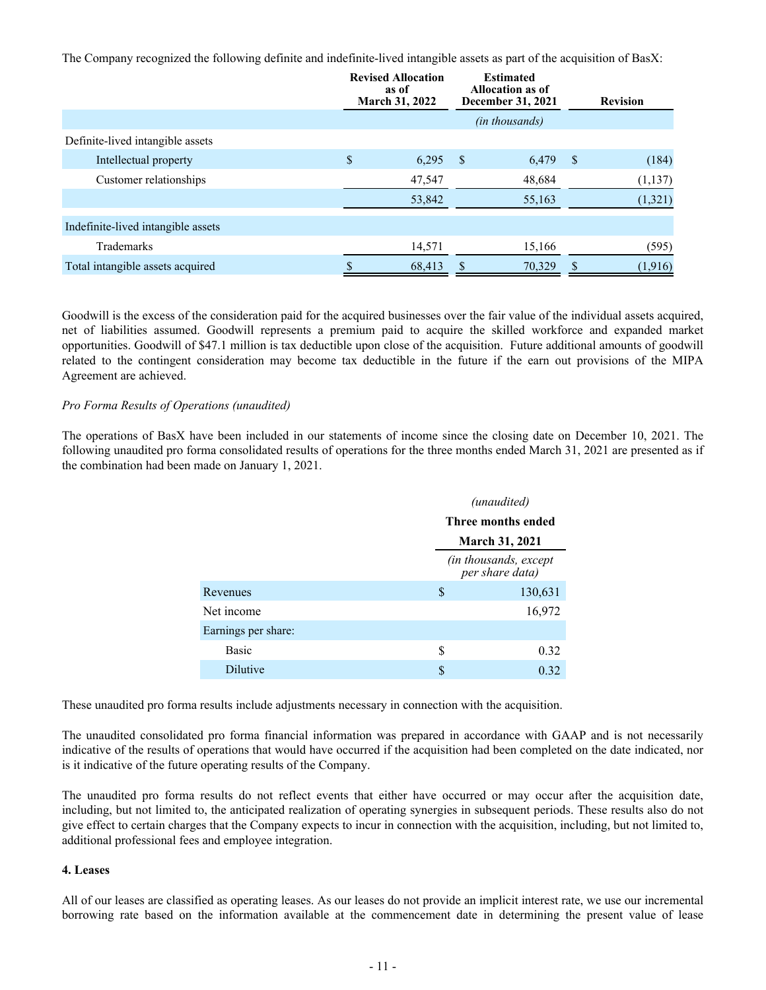The Company recognized the following definite and indefinite-lived intangible assets as part of the acquisition of BasX:

|                                    | <b>Revised Allocation</b><br>as of<br><b>March 31, 2022</b> |              | <b>Estimated</b><br><b>Allocation</b> as of<br><b>December 31, 2021</b> |               | <b>Revision</b> |
|------------------------------------|-------------------------------------------------------------|--------------|-------------------------------------------------------------------------|---------------|-----------------|
|                                    |                                                             |              | <i>(in thousands)</i>                                                   |               |                 |
| Definite-lived intangible assets   |                                                             |              |                                                                         |               |                 |
| Intellectual property              | \$<br>6,295                                                 | <sup>S</sup> | 6,479                                                                   | <sup>\$</sup> | (184)           |
| Customer relationships             | 47,547                                                      |              | 48,684                                                                  |               | (1, 137)        |
|                                    | 53,842                                                      |              | 55,163                                                                  |               | (1,321)         |
| Indefinite-lived intangible assets |                                                             |              |                                                                         |               |                 |
| <b>Trademarks</b>                  | 14,571                                                      |              | 15,166                                                                  |               | (595)           |
| Total intangible assets acquired   | 68,413                                                      |              | 70,329                                                                  |               | (1, 916)        |

Goodwill is the excess of the consideration paid for the acquired businesses over the fair value of the individual assets acquired, net of liabilities assumed. Goodwill represents a premium paid to acquire the skilled workforce and expanded market opportunities. Goodwill of \$47.1 million is tax deductible upon close of the acquisition. Future additional amounts of goodwill related to the contingent consideration may become tax deductible in the future if the earn out provisions of the MIPA Agreement are achieved.

#### *Pro Forma Results of Operations (unaudited)*

The operations of BasX have been included in our statements of income since the closing date on December 10, 2021. The following unaudited pro forma consolidated results of operations for the three months ended March 31, 2021 are presented as if the combination had been made on January 1, 2021.

|                     |     | (unaudited)                              |
|---------------------|-----|------------------------------------------|
|                     |     | Three months ended                       |
|                     |     | <b>March 31, 2021</b>                    |
|                     |     | (in thousands, except<br>per share data) |
| Revenues            | S   | 130,631                                  |
| Net income          |     | 16,972                                   |
| Earnings per share: |     |                                          |
| <b>Basic</b>        | \$. | 0.32                                     |
| Dilutive            | \$. | 0.32                                     |

These unaudited pro forma results include adjustments necessary in connection with the acquisition.

The unaudited consolidated pro forma financial information was prepared in accordance with GAAP and is not necessarily indicative of the results of operations that would have occurred if the acquisition had been completed on the date indicated, nor is it indicative of the future operating results of the Company.

The unaudited pro forma results do not reflect events that either have occurred or may occur after the acquisition date, including, but not limited to, the anticipated realization of operating synergies in subsequent periods. These results also do not give effect to certain charges that the Company expects to incur in connection with the acquisition, including, but not limited to, additional professional fees and employee integration.

#### **4. Leases**

All of our leases are classified as operating leases. As our leases do not provide an implicit interest rate, we use our incremental borrowing rate based on the information available at the commencement date in determining the present value of lease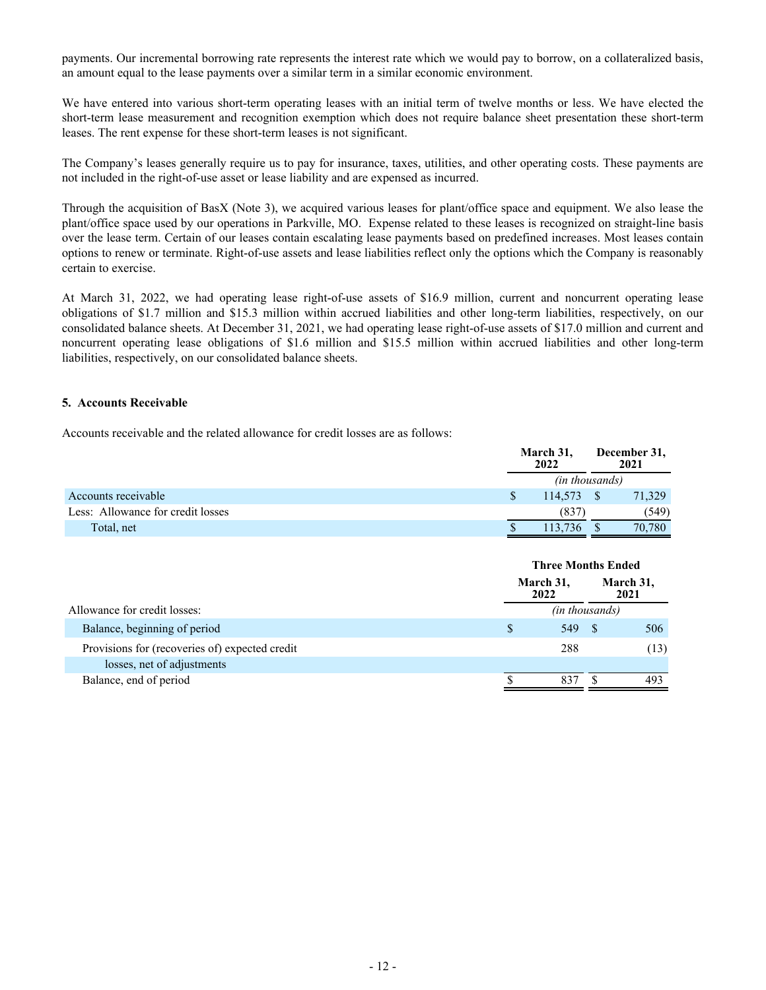payments. Our incremental borrowing rate represents the interest rate which we would pay to borrow, on a collateralized basis, an amount equal to the lease payments over a similar term in a similar economic environment.

We have entered into various short-term operating leases with an initial term of twelve months or less. We have elected the short-term lease measurement and recognition exemption which does not require balance sheet presentation these short-term leases. The rent expense for these short-term leases is not significant.

The Company's leases generally require us to pay for insurance, taxes, utilities, and other operating costs. These payments are not included in the right-of-use asset or lease liability and are expensed as incurred.

Through the acquisition of BasX (Note 3), we acquired various leases for plant/office space and equipment. We also lease the plant/office space used by our operations in Parkville, MO. Expense related to these leases is recognized on straight-line basis over the lease term. Certain of our leases contain escalating lease payments based on predefined increases. Most leases contain options to renew or terminate. Right-of-use assets and lease liabilities reflect only the options which the Company is reasonably certain to exercise.

At March 31, 2022, we had operating lease right-of-use assets of \$16.9 million, current and noncurrent operating lease obligations of \$1.7 million and \$15.3 million within accrued liabilities and other long-term liabilities, respectively, on our consolidated balance sheets. At December 31, 2021, we had operating lease right-of-use assets of \$17.0 million and current and noncurrent operating lease obligations of \$1.6 million and \$15.5 million within accrued liabilities and other long-term liabilities, respectively, on our consolidated balance sheets.

#### **5. Accounts Receivable**

Accounts receivable and the related allowance for credit losses are as follows:

|                                   | March 31,<br>2022 | December 31,<br>2021  |
|-----------------------------------|-------------------|-----------------------|
|                                   |                   | <i>(in thousands)</i> |
| Accounts receivable               | 114.573           | 71,329                |
| Less: Allowance for credit losses | (837)             | (549)                 |
| Total, net                        | 113,736           | 70,780                |

|                                                |   | <b>Three Months Ended</b>      |    |      |  |
|------------------------------------------------|---|--------------------------------|----|------|--|
|                                                |   | March 31,<br>March 31,<br>2022 |    |      |  |
| Allowance for credit losses:                   |   | <i>(in thousands)</i>          |    |      |  |
| Balance, beginning of period                   | S | 549                            | -8 | 506  |  |
| Provisions for (recoveries of) expected credit |   | 288                            |    | (13) |  |
| losses, net of adjustments                     |   |                                |    |      |  |
| Balance, end of period                         |   | 837                            |    | 493  |  |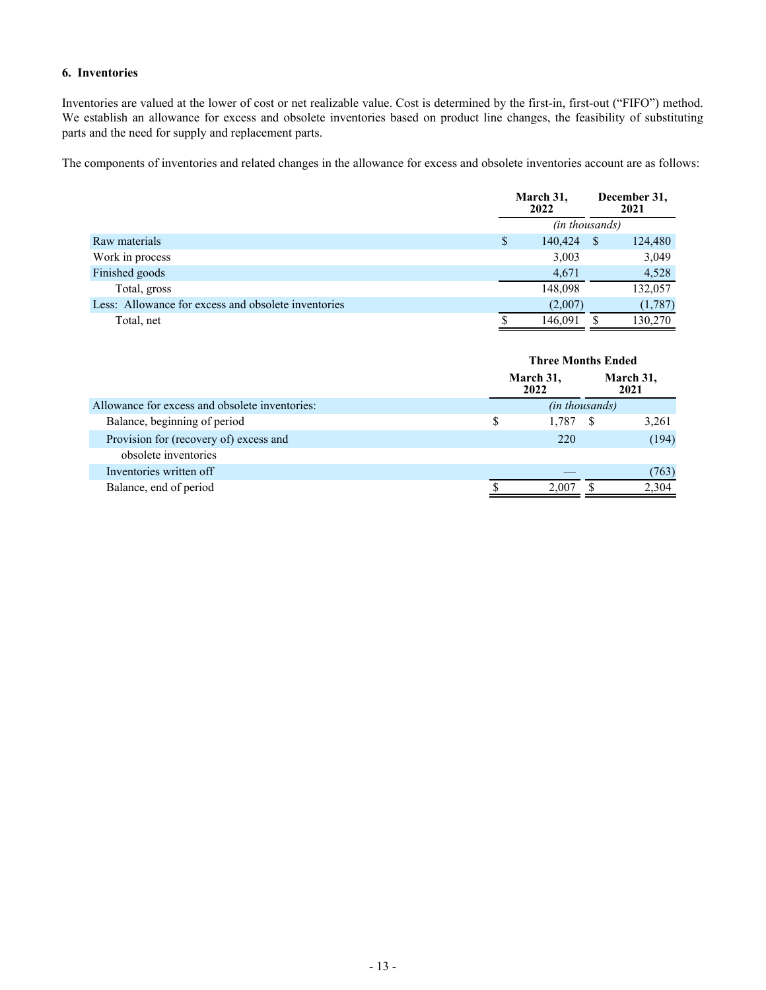## **6. Inventories**

Inventories are valued at the lower of cost or net realizable value. Cost is determined by the first-in, first-out ("FIFO") method. We establish an allowance for excess and obsolete inventories based on product line changes, the feasibility of substituting parts and the need for supply and replacement parts.

The components of inventories and related changes in the allowance for excess and obsolete inventories account are as follows:

|                                                     |   | March 31,<br>2022     |              | December 31,<br>2021 |
|-----------------------------------------------------|---|-----------------------|--------------|----------------------|
|                                                     |   | <i>(in thousands)</i> |              |                      |
| Raw materials                                       | S | 140,424               | <sup>S</sup> | 124,480              |
| Work in process                                     |   | 3,003                 |              | 3,049                |
| Finished goods                                      |   | 4,671                 |              | 4,528                |
| Total, gross                                        |   | 148,098               |              | 132,057              |
| Less: Allowance for excess and obsolete inventories |   | (2,007)               |              | (1,787)              |
| Total, net                                          |   | 146.091               |              | 130.270              |

|                                                |   | <b>Three Months Ended</b>      |    |       |  |
|------------------------------------------------|---|--------------------------------|----|-------|--|
|                                                |   | March 31,<br>March 31,<br>2022 |    |       |  |
| Allowance for excess and obsolete inventories: |   | <i>(in thousands)</i>          |    |       |  |
| Balance, beginning of period                   | S | 1,787                          | -S | 3,261 |  |
| Provision for (recovery of) excess and         |   | 220                            |    | (194) |  |
| obsolete inventories                           |   |                                |    |       |  |
| Inventories written off                        |   |                                |    | (763) |  |
| Balance, end of period                         |   | 2.007                          |    | 2,304 |  |
|                                                |   |                                |    |       |  |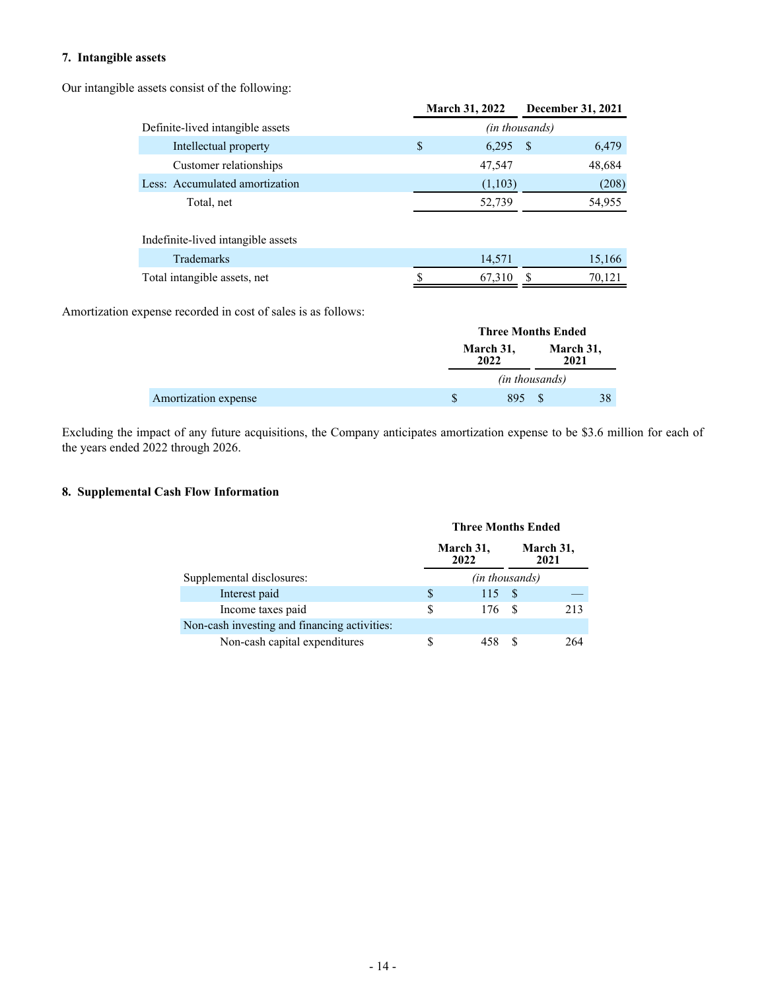# **7. Intangible assets**

Our intangible assets consist of the following:

|                                    | <b>March 31, 2022</b> | December 31, 2021     |
|------------------------------------|-----------------------|-----------------------|
| Definite-lived intangible assets   |                       | (in thousands)        |
| Intellectual property              | \$<br>6,295           | <sup>S</sup><br>6,479 |
| Customer relationships             | 47,547                | 48,684                |
| Less: Accumulated amortization     | (1,103)               | (208)                 |
| Total, net                         | 52,739                | 54,955                |
| Indefinite-lived intangible assets |                       |                       |
| <b>Trademarks</b>                  | 14,571                | 15,166                |
| Total intangible assets, net       | 67.310                | 70,121                |

Amortization expense recorded in cost of sales is as follows:

|                      |                   | <b>Three Months Ended</b> |    |  |  |
|----------------------|-------------------|---------------------------|----|--|--|
|                      | March 31,<br>2022 | March 31,<br>2021         |    |  |  |
|                      |                   | <i>(in thousands)</i>     |    |  |  |
| Amortization expense | 895<br>S          | -8                        | 38 |  |  |

Excluding the impact of any future acquisitions, the Company anticipates amortization expense to be \$3.6 million for each of the years ended 2022 through 2026.

## **8. Supplemental Cash Flow Information**

|                                              | <b>Three Months Ended</b> |                   |     |                   |  |  |
|----------------------------------------------|---------------------------|-------------------|-----|-------------------|--|--|
|                                              |                           | March 31,<br>2022 |     | March 31,<br>2021 |  |  |
| Supplemental disclosures:                    |                           | (in thousands)    |     |                   |  |  |
| Interest paid                                | S                         | 115               | -S  |                   |  |  |
| Income taxes paid                            | S                         | 176               | - S | 213               |  |  |
| Non-cash investing and financing activities: |                           |                   |     |                   |  |  |
| Non-cash capital expenditures                | S                         |                   |     | 264               |  |  |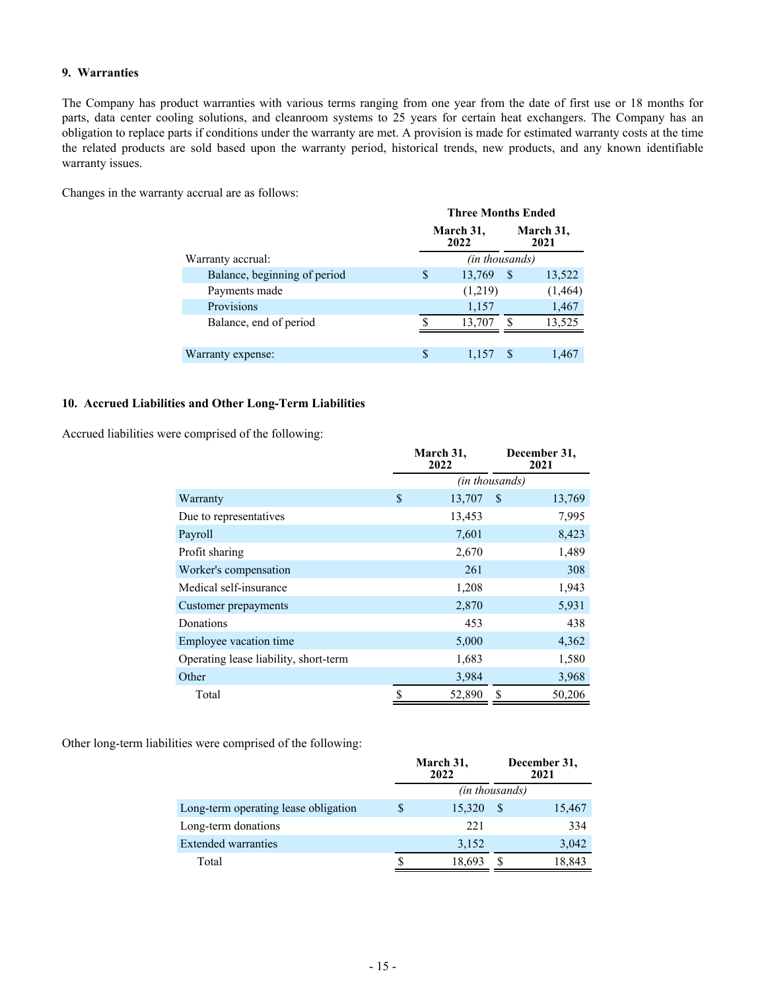#### **9. Warranties**

The Company has product warranties with various terms ranging from one year from the date of first use or 18 months for parts, data center cooling solutions, and cleanroom systems to 25 years for certain heat exchangers. The Company has an obligation to replace parts if conditions under the warranty are met. A provision is made for estimated warranty costs at the time the related products are sold based upon the warranty period, historical trends, new products, and any known identifiable warranty issues.

Changes in the warranty accrual are as follows:

| <b>Three Months Ended</b> |         |                   |                |
|---------------------------|---------|-------------------|----------------|
| March 31,<br>2022         |         | March 31,<br>2021 |                |
|                           |         |                   |                |
| S                         | 13,769  | S                 | 13,522         |
|                           | (1,219) |                   | (1, 464)       |
|                           | 1,157   |                   | 1,467          |
|                           | 13,707  | S                 | 13,525         |
|                           |         |                   |                |
| S                         | 1.157   |                   | 1,467          |
|                           |         |                   | (in thousands) |

#### **10. Accrued Liabilities and Other Long-Term Liabilities**

Accrued liabilities were comprised of the following:

|                                       | March 31,<br>2022 |    | December 31,<br>2021 |
|---------------------------------------|-------------------|----|----------------------|
|                                       | (in thousands)    |    |                      |
| Warranty                              | \$<br>13,707      | S  | 13,769               |
| Due to representatives                | 13,453            |    | 7,995                |
| Payroll                               | 7,601             |    | 8,423                |
| Profit sharing                        | 2,670             |    | 1,489                |
| Worker's compensation                 | 261               |    | 308                  |
| Medical self-insurance                | 1,208             |    | 1,943                |
| Customer prepayments                  | 2,870             |    | 5,931                |
| Donations                             | 453               |    | 438                  |
| Employee vacation time                | 5,000             |    | 4,362                |
| Operating lease liability, short-term | 1,683             |    | 1,580                |
| Other                                 | 3,984             |    | 3,968                |
| Total                                 | \$<br>52,890      | \$ | 50,206               |

Other long-term liabilities were comprised of the following:

|                                      | March 31,<br>2022 |                | December 31,<br>2021 |        |
|--------------------------------------|-------------------|----------------|----------------------|--------|
|                                      |                   | (in thousands) |                      |        |
| Long-term operating lease obligation | \$                | 15,320         | S                    | 15,467 |
| Long-term donations                  |                   | 221            |                      | 334    |
| <b>Extended warranties</b>           |                   | 3.152          |                      | 3,042  |
| Total                                |                   | 18,693         |                      | 18,843 |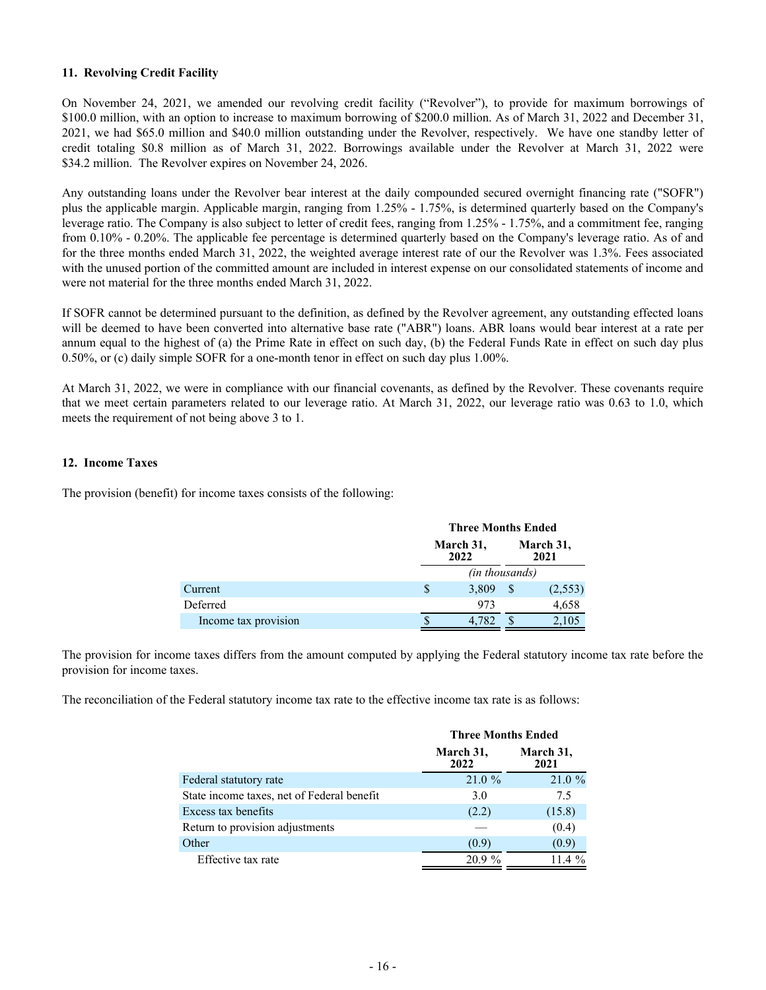## **11. Revolving Credit Facility**

On November 24, 2021, we amended our revolving credit facility ("Revolver"), to provide for maximum borrowings of \$100.0 million, with an option to increase to maximum borrowing of \$200.0 million. As of March 31, 2022 and December 31, 2021, we had \$65.0 million and \$40.0 million outstanding under the Revolver, respectively. We have one standby letter of credit totaling \$0.8 million as of March 31, 2022. Borrowings available under the Revolver at March 31, 2022 were \$34.2 million. The Revolver expires on November 24, 2026.

Any outstanding loans under the Revolver bear interest at the daily compounded secured overnight financing rate ("SOFR") plus the applicable margin. Applicable margin, ranging from 1.25% - 1.75%, is determined quarterly based on the Company's leverage ratio. The Company is also subject to letter of credit fees, ranging from 1.25% - 1.75%, and a commitment fee, ranging from 0.10% - 0.20%. The applicable fee percentage is determined quarterly based on the Company's leverage ratio. As of and for the three months ended March 31, 2022, the weighted average interest rate of our the Revolver was 1.3%. Fees associated with the unused portion of the committed amount are included in interest expense on our consolidated statements of income and were not material for the three months ended March 31, 2022.

If SOFR cannot be determined pursuant to the definition, as defined by the Revolver agreement, any outstanding effected loans will be deemed to have been converted into alternative base rate ("ABR") loans. ABR loans would bear interest at a rate per annum equal to the highest of (a) the Prime Rate in effect on such day, (b) the Federal Funds Rate in effect on such day plus 0.50%, or (c) daily simple SOFR for a one-month tenor in effect on such day plus 1.00%.

At March 31, 2022, we were in compliance with our financial covenants, as defined by the Revolver. These covenants require that we meet certain parameters related to our leverage ratio. At March 31, 2022, our leverage ratio was 0.63 to 1.0, which meets the requirement of not being above 3 to 1.

## **12. Income Taxes**

The provision (benefit) for income taxes consists of the following:

|                      | <b>Three Months Ended</b> |  |                   |  |  |
|----------------------|---------------------------|--|-------------------|--|--|
|                      | March 31,<br>2022         |  | March 31,<br>2021 |  |  |
|                      | <i>(in thousands)</i>     |  |                   |  |  |
| Current              | 3,809                     |  | (2, 553)          |  |  |
| Deferred             | 973                       |  | 4,658             |  |  |
| Income tax provision | 4,782                     |  | 2,105             |  |  |

The provision for income taxes differs from the amount computed by applying the Federal statutory income tax rate before the provision for income taxes.

The reconciliation of the Federal statutory income tax rate to the effective income tax rate is as follows:

|                                            |                   | <b>Three Months Ended</b> |  |  |  |
|--------------------------------------------|-------------------|---------------------------|--|--|--|
|                                            | March 31,<br>2022 | March 31,<br>2021         |  |  |  |
| Federal statutory rate                     | 21.0 %            | 21.0%                     |  |  |  |
| State income taxes, net of Federal benefit | 3.0               | 75                        |  |  |  |
| Excess tax benefits                        | (2.2)             | (15.8)                    |  |  |  |
| Return to provision adjustments            |                   | (0.4)                     |  |  |  |
| Other                                      | (0.9)             | (0.9)                     |  |  |  |
| Effective tax rate                         | 20.9 %            | 114                       |  |  |  |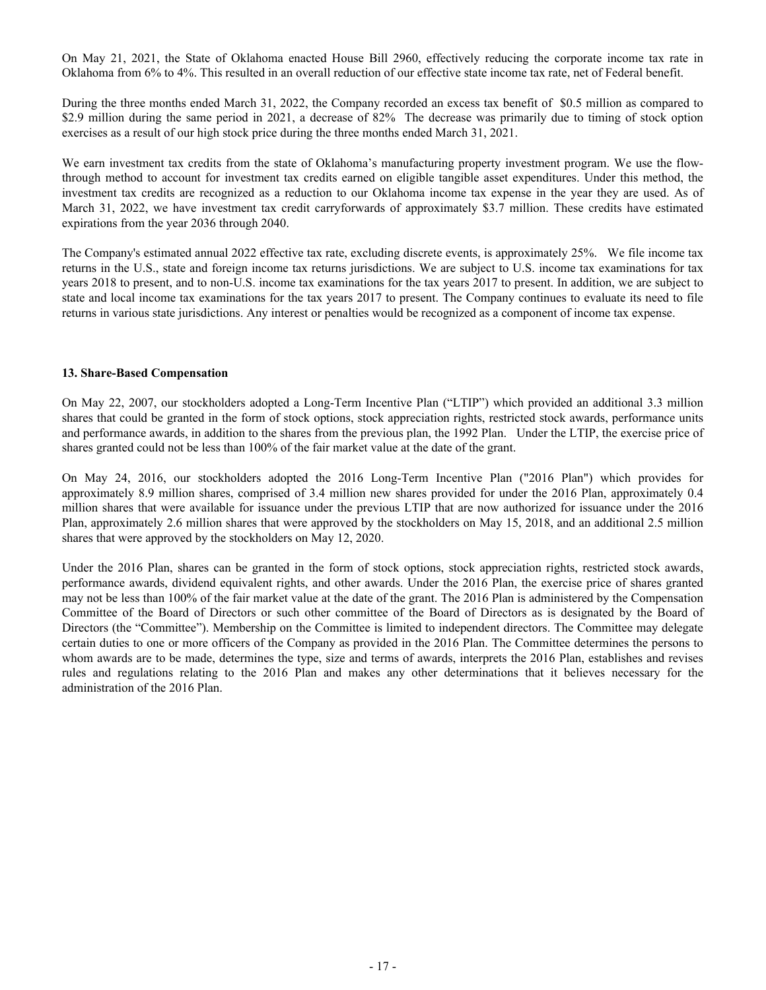On May 21, 2021, the State of Oklahoma enacted House Bill 2960, effectively reducing the corporate income tax rate in Oklahoma from 6% to 4%. This resulted in an overall reduction of our effective state income tax rate, net of Federal benefit.

During the three months ended March 31, 2022, the Company recorded an excess tax benefit of \$0.5 million as compared to \$2.9 million during the same period in 2021, a decrease of 82% The decrease was primarily due to timing of stock option exercises as a result of our high stock price during the three months ended March 31, 2021.

We earn investment tax credits from the state of Oklahoma's manufacturing property investment program. We use the flowthrough method to account for investment tax credits earned on eligible tangible asset expenditures. Under this method, the investment tax credits are recognized as a reduction to our Oklahoma income tax expense in the year they are used. As of March 31, 2022, we have investment tax credit carryforwards of approximately \$3.7 million. These credits have estimated expirations from the year 2036 through 2040.

The Company's estimated annual 2022 effective tax rate, excluding discrete events, is approximately 25%. We file income tax returns in the U.S., state and foreign income tax returns jurisdictions. We are subject to U.S. income tax examinations for tax years 2018 to present, and to non-U.S. income tax examinations for the tax years 2017 to present. In addition, we are subject to state and local income tax examinations for the tax years 2017 to present. The Company continues to evaluate its need to file returns in various state jurisdictions. Any interest or penalties would be recognized as a component of income tax expense.

#### **13. Share-Based Compensation**

On May 22, 2007, our stockholders adopted a Long-Term Incentive Plan ("LTIP") which provided an additional 3.3 million shares that could be granted in the form of stock options, stock appreciation rights, restricted stock awards, performance units and performance awards, in addition to the shares from the previous plan, the 1992 Plan. Under the LTIP, the exercise price of shares granted could not be less than 100% of the fair market value at the date of the grant.

On May 24, 2016, our stockholders adopted the 2016 Long-Term Incentive Plan ("2016 Plan") which provides for approximately 8.9 million shares, comprised of 3.4 million new shares provided for under the 2016 Plan, approximately 0.4 million shares that were available for issuance under the previous LTIP that are now authorized for issuance under the 2016 Plan, approximately 2.6 million shares that were approved by the stockholders on May 15, 2018, and an additional 2.5 million shares that were approved by the stockholders on May 12, 2020.

Under the 2016 Plan, shares can be granted in the form of stock options, stock appreciation rights, restricted stock awards, performance awards, dividend equivalent rights, and other awards. Under the 2016 Plan, the exercise price of shares granted may not be less than 100% of the fair market value at the date of the grant. The 2016 Plan is administered by the Compensation Committee of the Board of Directors or such other committee of the Board of Directors as is designated by the Board of Directors (the "Committee"). Membership on the Committee is limited to independent directors. The Committee may delegate certain duties to one or more officers of the Company as provided in the 2016 Plan. The Committee determines the persons to whom awards are to be made, determines the type, size and terms of awards, interprets the 2016 Plan, establishes and revises rules and regulations relating to the 2016 Plan and makes any other determinations that it believes necessary for the administration of the 2016 Plan.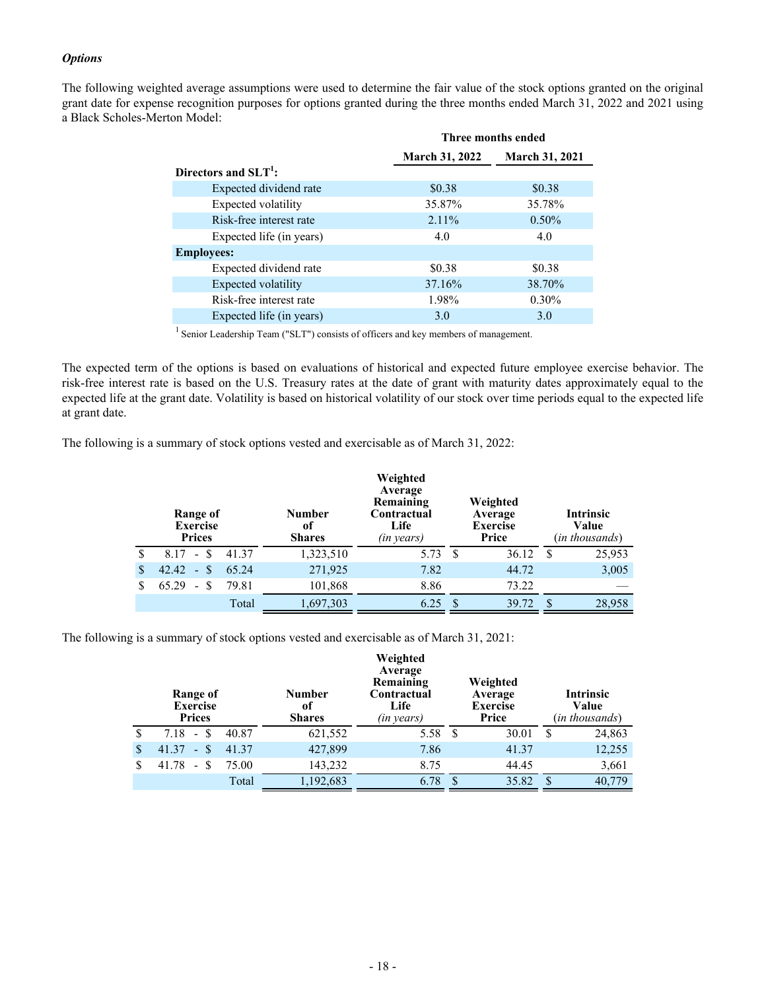## *Options*

The following weighted average assumptions were used to determine the fair value of the stock options granted on the original grant date for expense recognition purposes for options granted during the three months ended March 31, 2022 and 2021 using a Black Scholes-Merton Model:

|                          | Three months ended    |                       |  |  |
|--------------------------|-----------------------|-----------------------|--|--|
|                          | <b>March 31, 2022</b> | <b>March 31, 2021</b> |  |  |
| Directors and $SLT^1$ :  |                       |                       |  |  |
| Expected dividend rate   | \$0.38                | \$0.38                |  |  |
| Expected volatility      | 35.87%                | 35.78%                |  |  |
| Risk-free interest rate  | 2.11%                 | $0.50\%$              |  |  |
| Expected life (in years) | 4.0                   | 4.0                   |  |  |
| <b>Employees:</b>        |                       |                       |  |  |
| Expected dividend rate   | \$0.38                | \$0.38                |  |  |
| Expected volatility      | 37.16%                | 38.70%                |  |  |
| Risk-free interest rate  | 1.98%                 | $0.30\%$              |  |  |
| Expected life (in years) | 3.0                   | 3.0                   |  |  |

 $1$  Senior Leadership Team ("SLT") consists of officers and key members of management.

The expected term of the options is based on evaluations of historical and expected future employee exercise behavior. The risk-free interest rate is based on the U.S. Treasury rates at the date of grant with maturity dates approximately equal to the expected life at the grant date. Volatility is based on historical volatility of our stock over time periods equal to the expected life at grant date.

The following is a summary of stock options vested and exercisable as of March 31, 2022:

|    | Range of<br><b>Exercise</b><br><b>Prices</b> |       | <b>Number</b><br>of<br><b>Shares</b> | Weighted<br>Average<br>Remaining<br>Contractual<br>Life<br>(in years) |              | Weighted<br>Average<br><b>Exercise</b><br>Price |          | <b>Intrinsic</b><br>Value<br>(in thousands) |
|----|----------------------------------------------|-------|--------------------------------------|-----------------------------------------------------------------------|--------------|-------------------------------------------------|----------|---------------------------------------------|
|    | 8.17<br>S<br>$\overline{\phantom{a}}$        | 41.37 | 1,323,510                            | 5.73                                                                  | <sup>S</sup> | 36.12                                           | <b>S</b> | 25,953                                      |
| \$ | 42.42<br>\$<br>$\omega$                      | 65.24 | 271,925                              | 7.82                                                                  |              | 44.72                                           |          | 3,005                                       |
| S  | 65.29<br><sup>\$</sup><br>$\omega$           | 79.81 | 101,868                              | 8.86                                                                  |              | 73.22                                           |          |                                             |
|    |                                              | Total | 1,697,303                            | 6.25                                                                  |              | 39.72                                           |          | 28,958                                      |

The following is a summary of stock options vested and exercisable as of March 31, 2021:

|    | Range of<br><b>Exercise</b><br><b>Prices</b> |       | <b>Number</b><br>of<br><b>Shares</b> | Weighted<br>Average<br>Remaining<br>Contractual<br>Life<br>(in years) |   | Weighted<br>Average<br><b>Exercise</b><br>Price |    | <b>Intrinsic</b><br>Value<br>( <i>in thousands</i> ) |
|----|----------------------------------------------|-------|--------------------------------------|-----------------------------------------------------------------------|---|-------------------------------------------------|----|------------------------------------------------------|
| \$ | S<br>7.18<br>$\blacksquare$                  | 40.87 | 621,552                              | 5.58 \$                                                               |   | 30.01                                           | S  | 24,863                                               |
| \$ | 41.37<br>$\omega$                            | 41.37 | 427,899                              | 7.86                                                                  |   | 41.37                                           |    | 12,255                                               |
| S  | $41.78 -$<br><sup>\$</sup>                   | 75.00 | 143,232                              | 8.75                                                                  |   | 44.45                                           |    | 3,661                                                |
|    |                                              | Total | 1,192,683                            | 6.78                                                                  | S | 35.82                                           | \$ | 40,779                                               |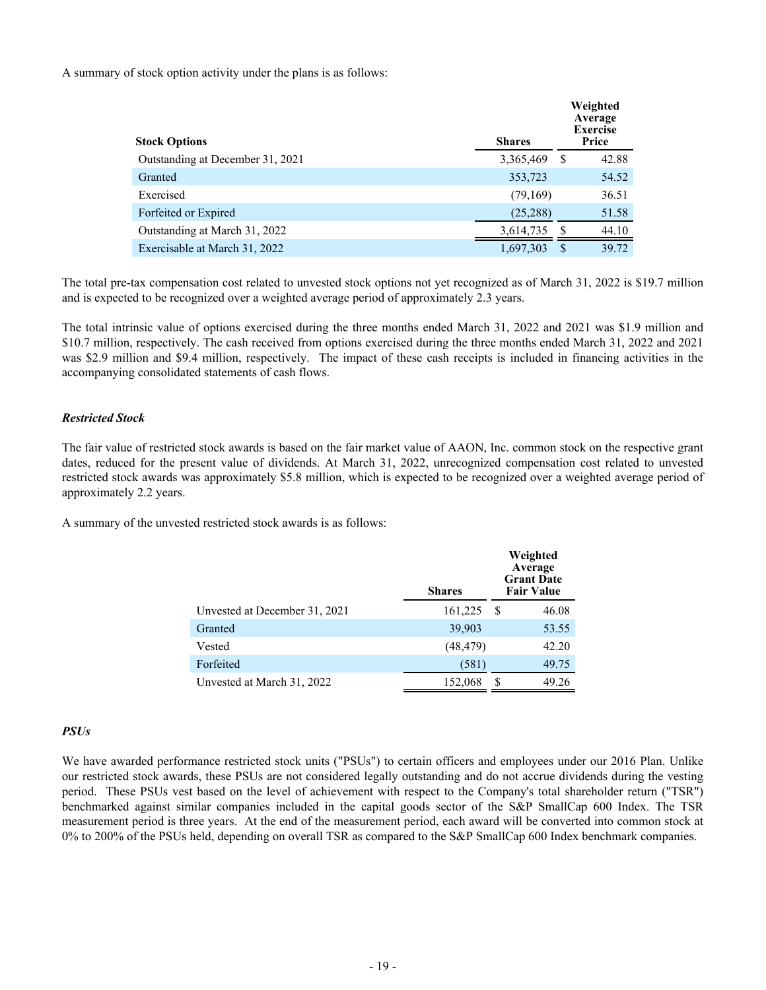A summary of stock option activity under the plans is as follows:

| <b>Stock Options</b>             | <b>Shares</b> |   | Weighted<br>Average<br><b>Exercise</b><br>Price |
|----------------------------------|---------------|---|-------------------------------------------------|
| Outstanding at December 31, 2021 | 3,365,469     | S | 42.88                                           |
| Granted                          | 353,723       |   | 54.52                                           |
| Exercised                        | (79, 169)     |   | 36.51                                           |
| Forfeited or Expired             | (25, 288)     |   | 51.58                                           |
| Outstanding at March 31, 2022    | 3,614,735     |   | 44.10                                           |
| Exercisable at March 31, 2022    | 1,697,303     | S | 39.72                                           |

The total pre-tax compensation cost related to unvested stock options not yet recognized as of March 31, 2022 is \$19.7 million and is expected to be recognized over a weighted average period of approximately 2.3 years.

The total intrinsic value of options exercised during the three months ended March 31, 2022 and 2021 was \$1.9 million and \$10.7 million, respectively. The cash received from options exercised during the three months ended March 31, 2022 and 2021 was \$2.9 million and \$9.4 million, respectively. The impact of these cash receipts is included in financing activities in the accompanying consolidated statements of cash flows.

#### *Restricted Stock*

The fair value of restricted stock awards is based on the fair market value of AAON, Inc. common stock on the respective grant dates, reduced for the present value of dividends. At March 31, 2022, unrecognized compensation cost related to unvested restricted stock awards was approximately \$5.8 million, which is expected to be recognized over a weighted average period of approximately 2.2 years.

A summary of the unvested restricted stock awards is as follows:

|                               | <b>Shares</b> |   | Weighted<br>Average<br><b>Grant Date</b><br><b>Fair Value</b> |
|-------------------------------|---------------|---|---------------------------------------------------------------|
| Unvested at December 31, 2021 | 161,225       | S | 46.08                                                         |
| Granted                       | 39,903        |   | 53.55                                                         |
| Vested                        | (48, 479)     |   | 42.20                                                         |
| Forfeited                     | (581)         |   | 49.75                                                         |
| Unvested at March 31, 2022    | 152,068       |   | 49.26                                                         |

#### *PSUs*

We have awarded performance restricted stock units ("PSUs") to certain officers and employees under our 2016 Plan. Unlike our restricted stock awards, these PSUs are not considered legally outstanding and do not accrue dividends during the vesting period. These PSUs vest based on the level of achievement with respect to the Company's total shareholder return ("TSR") benchmarked against similar companies included in the capital goods sector of the S&P SmallCap 600 Index. The TSR measurement period is three years. At the end of the measurement period, each award will be converted into common stock at 0% to 200% of the PSUs held, depending on overall TSR as compared to the S&P SmallCap 600 Index benchmark companies.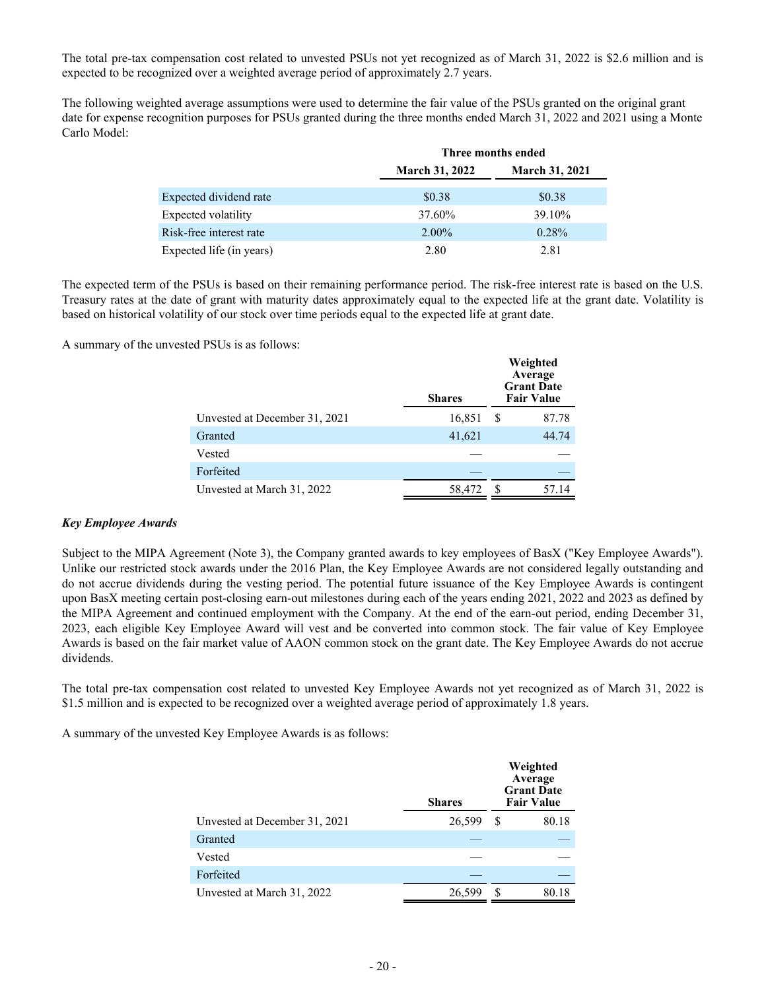The total pre-tax compensation cost related to unvested PSUs not yet recognized as of March 31, 2022 is \$2.6 million and is expected to be recognized over a weighted average period of approximately 2.7 years.

The following weighted average assumptions were used to determine the fair value of the PSUs granted on the original grant date for expense recognition purposes for PSUs granted during the three months ended March 31, 2022 and 2021 using a Monte Carlo Model:

|                          | Three months ended    |                       |  |  |
|--------------------------|-----------------------|-----------------------|--|--|
|                          | <b>March 31, 2022</b> | <b>March 31, 2021</b> |  |  |
| Expected dividend rate   | \$0.38                | \$0.38                |  |  |
| Expected volatility      | 37.60%                | 39.10%                |  |  |
| Risk-free interest rate  | $2.00\%$              | 0.28%                 |  |  |
| Expected life (in years) | 2.80                  | 2.81                  |  |  |

The expected term of the PSUs is based on their remaining performance period. The risk-free interest rate is based on the U.S. Treasury rates at the date of grant with maturity dates approximately equal to the expected life at the grant date. Volatility is based on historical volatility of our stock over time periods equal to the expected life at grant date.

**Weighted**

A summary of the unvested PSUs is as follows:

|                               | <b>Shares</b> |   | Weighted<br>Average<br><b>Grant Date</b><br><b>Fair Value</b> |
|-------------------------------|---------------|---|---------------------------------------------------------------|
| Unvested at December 31, 2021 | 16,851        | S | 87.78                                                         |
| Granted                       | 41,621        |   | 44.74                                                         |
| Vested                        |               |   |                                                               |
| Forfeited                     |               |   |                                                               |
| Unvested at March 31, 2022    | 58,472        |   | 57.14                                                         |

## *Key Employee Awards*

Subject to the MIPA Agreement (Note 3), the Company granted awards to key employees of BasX ("Key Employee Awards"). Unlike our restricted stock awards under the 2016 Plan, the Key Employee Awards are not considered legally outstanding and do not accrue dividends during the vesting period. The potential future issuance of the Key Employee Awards is contingent upon BasX meeting certain post-closing earn-out milestones during each of the years ending 2021, 2022 and 2023 as defined by the MIPA Agreement and continued employment with the Company. At the end of the earn-out period, ending December 31, 2023, each eligible Key Employee Award will vest and be converted into common stock. The fair value of Key Employee Awards is based on the fair market value of AAON common stock on the grant date. The Key Employee Awards do not accrue dividends.

The total pre-tax compensation cost related to unvested Key Employee Awards not yet recognized as of March 31, 2022 is \$1.5 million and is expected to be recognized over a weighted average period of approximately 1.8 years.

A summary of the unvested Key Employee Awards is as follows:

|                               | <b>Shares</b> | Weighted<br>Average<br><b>Grant Date</b><br><b>Fair Value</b> |
|-------------------------------|---------------|---------------------------------------------------------------|
| Unvested at December 31, 2021 | 26,599        | 80.18<br>S                                                    |
| Granted                       |               |                                                               |
| Vested                        |               |                                                               |
| Forfeited                     |               |                                                               |
| Unvested at March 31, 2022    | 26.599        | S<br>80.18                                                    |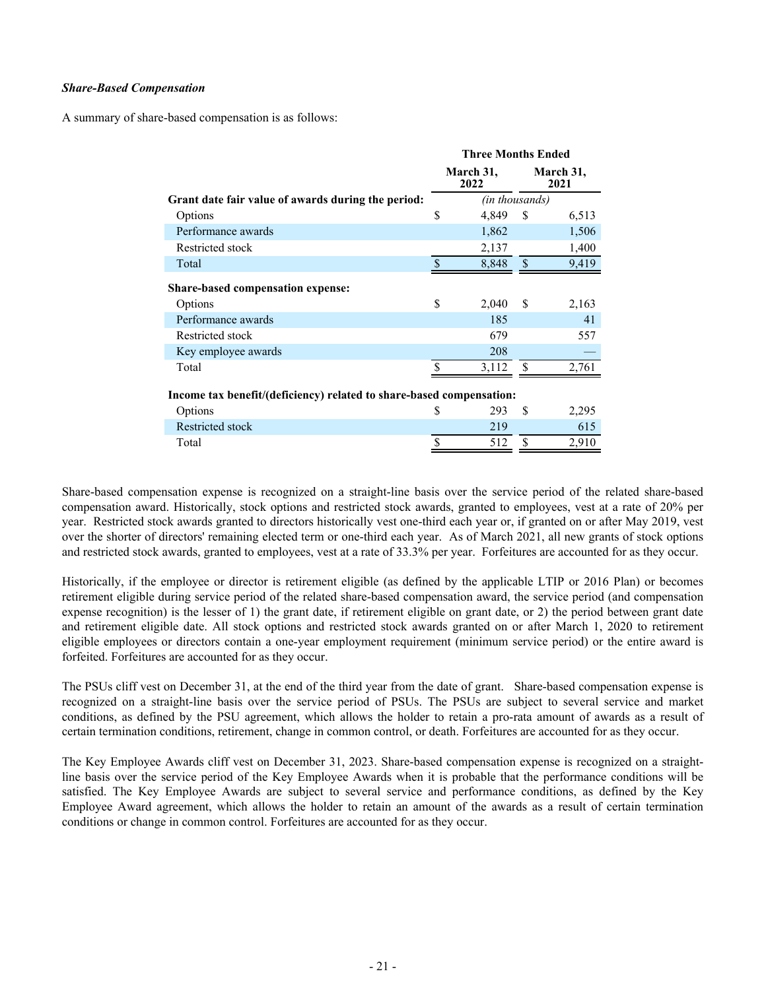#### *Share-Based Compensation*

A summary of share-based compensation is as follows:

|                                                                      | <b>Three Months Ended</b> |                   |               |                   |  |
|----------------------------------------------------------------------|---------------------------|-------------------|---------------|-------------------|--|
|                                                                      |                           | March 31,<br>2022 |               | March 31,<br>2021 |  |
| Grant date fair value of awards during the period:                   |                           | (in thousands)    |               |                   |  |
| Options                                                              | \$                        | 4,849             | S             | 6,513             |  |
| Performance awards                                                   |                           | 1,862             |               | 1,506             |  |
| Restricted stock                                                     |                           | 2,137             |               | 1,400             |  |
| Total                                                                | $\mathbf{\hat{S}}$        | 8,848             | $\mathbf S$   | 9,419             |  |
| Share-based compensation expense:                                    |                           |                   |               |                   |  |
| Options                                                              | S                         | 2,040             | -S            | 2,163             |  |
| Performance awards                                                   |                           | 185               |               | 41                |  |
| Restricted stock                                                     |                           | 679               |               | 557               |  |
| Key employee awards                                                  |                           | 208               |               |                   |  |
| Total                                                                |                           | 3,112             | <sup>\$</sup> | 2,761             |  |
| Income tax benefit/(deficiency) related to share-based compensation: |                           |                   |               |                   |  |
| Options                                                              | S                         | 293               | \$            | 2,295             |  |
| Restricted stock                                                     |                           | 219               |               | 615               |  |
| Total                                                                | \$                        | 512               | S             | 2,910             |  |

Share-based compensation expense is recognized on a straight-line basis over the service period of the related share-based compensation award. Historically, stock options and restricted stock awards, granted to employees, vest at a rate of 20% per year. Restricted stock awards granted to directors historically vest one-third each year or, if granted on or after May 2019, vest over the shorter of directors' remaining elected term or one-third each year. As of March 2021, all new grants of stock options and restricted stock awards, granted to employees, vest at a rate of 33.3% per year. Forfeitures are accounted for as they occur.

Historically, if the employee or director is retirement eligible (as defined by the applicable LTIP or 2016 Plan) or becomes retirement eligible during service period of the related share-based compensation award, the service period (and compensation expense recognition) is the lesser of 1) the grant date, if retirement eligible on grant date, or 2) the period between grant date and retirement eligible date. All stock options and restricted stock awards granted on or after March 1, 2020 to retirement eligible employees or directors contain a one-year employment requirement (minimum service period) or the entire award is forfeited. Forfeitures are accounted for as they occur.

The PSUs cliff vest on December 31, at the end of the third year from the date of grant. Share-based compensation expense is recognized on a straight-line basis over the service period of PSUs. The PSUs are subject to several service and market conditions, as defined by the PSU agreement, which allows the holder to retain a pro-rata amount of awards as a result of certain termination conditions, retirement, change in common control, or death. Forfeitures are accounted for as they occur.

The Key Employee Awards cliff vest on December 31, 2023. Share-based compensation expense is recognized on a straightline basis over the service period of the Key Employee Awards when it is probable that the performance conditions will be satisfied. The Key Employee Awards are subject to several service and performance conditions, as defined by the Key Employee Award agreement, which allows the holder to retain an amount of the awards as a result of certain termination conditions or change in common control. Forfeitures are accounted for as they occur.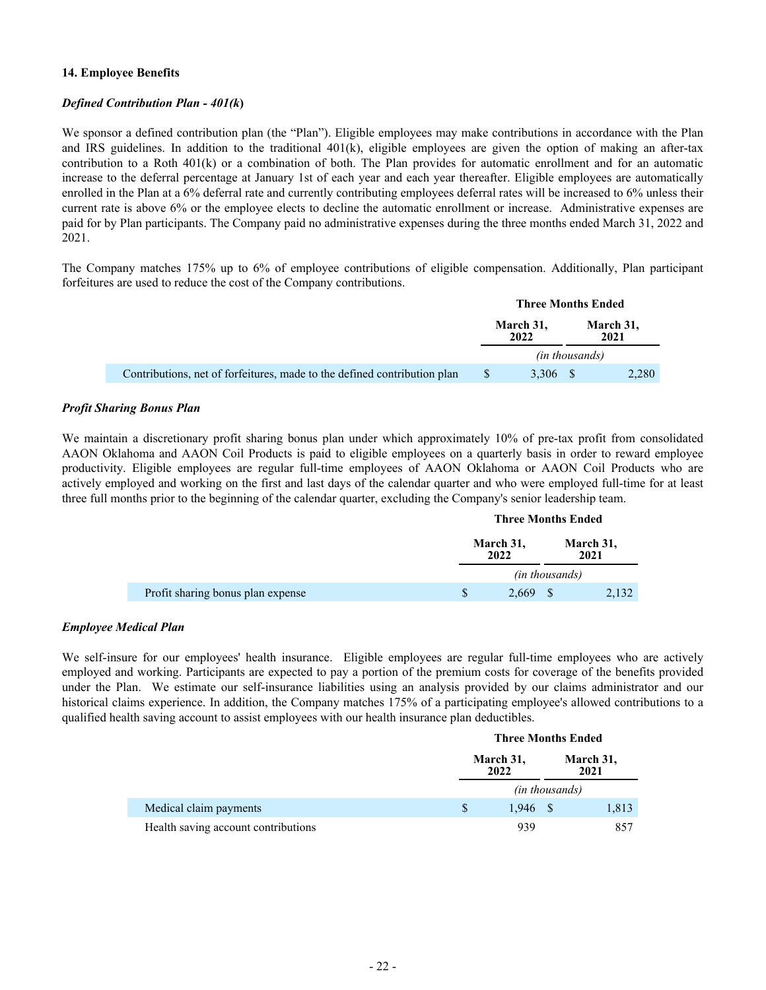## **14. Employee Benefits**

## *Defined Contribution Plan - 401(k***)**

We sponsor a defined contribution plan (the "Plan"). Eligible employees may make contributions in accordance with the Plan and IRS guidelines. In addition to the traditional  $401(k)$ , eligible employees are given the option of making an after-tax contribution to a Roth 401(k) or a combination of both. The Plan provides for automatic enrollment and for an automatic increase to the deferral percentage at January 1st of each year and each year thereafter. Eligible employees are automatically enrolled in the Plan at a 6% deferral rate and currently contributing employees deferral rates will be increased to 6% unless their current rate is above 6% or the employee elects to decline the automatic enrollment or increase. Administrative expenses are paid for by Plan participants. The Company paid no administrative expenses during the three months ended March 31, 2022 and 2021.

The Company matches 175% up to 6% of employee contributions of eligible compensation. Additionally, Plan participant forfeitures are used to reduce the cost of the Company contributions.

|                                                                          | <b>Three Months Ended</b> |                       |  |                   |
|--------------------------------------------------------------------------|---------------------------|-----------------------|--|-------------------|
|                                                                          |                           | March 31,<br>2022     |  | March 31,<br>2021 |
|                                                                          |                           | <i>(in thousands)</i> |  |                   |
| Contributions, net of forfeitures, made to the defined contribution plan | <sup>S</sup>              | $3,306$ \$            |  | 2,280             |

#### *Profit Sharing Bonus Plan*

We maintain a discretionary profit sharing bonus plan under which approximately 10% of pre-tax profit from consolidated AAON Oklahoma and AAON Coil Products is paid to eligible employees on a quarterly basis in order to reward employee productivity. Eligible employees are regular full-time employees of AAON Oklahoma or AAON Coil Products who are actively employed and working on the first and last days of the calendar quarter and who were employed full-time for at least three full months prior to the beginning of the calendar quarter, excluding the Company's senior leadership team.

|                                   |                   | <b>Three Months Ended</b> |                   |
|-----------------------------------|-------------------|---------------------------|-------------------|
|                                   | March 31,<br>2022 |                           | March 31,<br>2021 |
|                                   |                   | <i>(in thousands)</i>     |                   |
| Profit sharing bonus plan expense | 2,669             |                           | 2,132             |

#### *Employee Medical Plan*

We self-insure for our employees' health insurance. Eligible employees are regular full-time employees who are actively employed and working. Participants are expected to pay a portion of the premium costs for coverage of the benefits provided under the Plan. We estimate our self-insurance liabilities using an analysis provided by our claims administrator and our historical claims experience. In addition, the Company matches 175% of a participating employee's allowed contributions to a qualified health saving account to assist employees with our health insurance plan deductibles.

|                                     | <b>Three Months Ended</b> |  |                   |  |  |  |
|-------------------------------------|---------------------------|--|-------------------|--|--|--|
|                                     | March 31,<br>2022         |  | March 31,<br>2021 |  |  |  |
|                                     | <i>(in thousands)</i>     |  |                   |  |  |  |
| Medical claim payments              | $1.946 \quad S$           |  | 1,813             |  |  |  |
| Health saving account contributions | 939                       |  | 857               |  |  |  |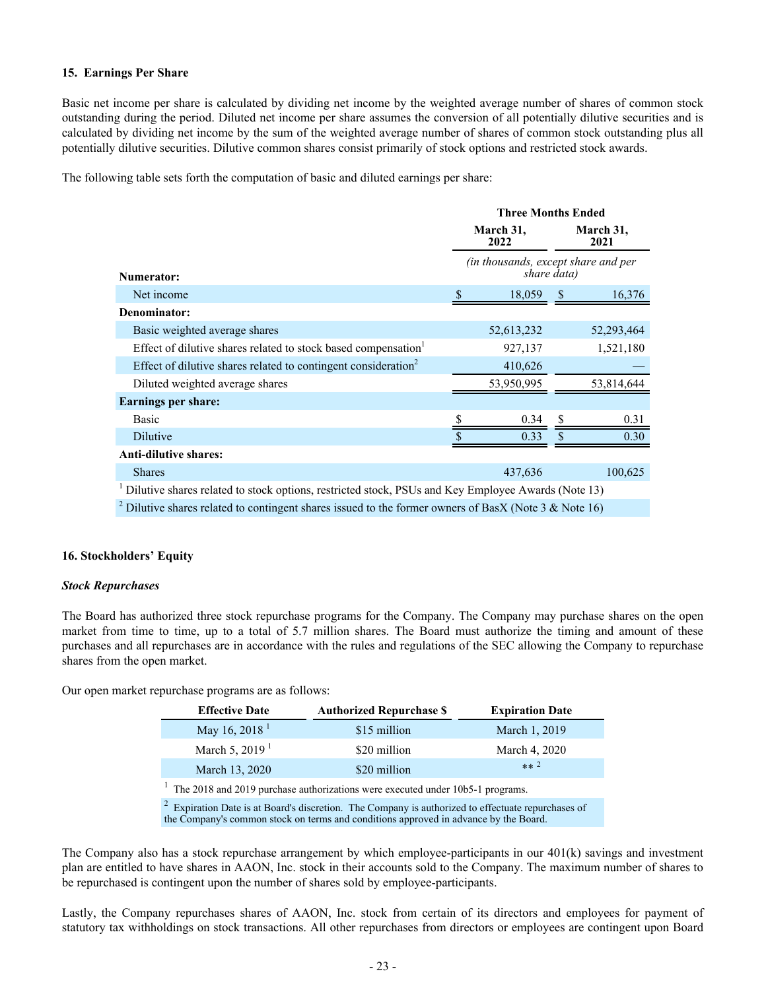## **15. Earnings Per Share**

Basic net income per share is calculated by dividing net income by the weighted average number of shares of common stock outstanding during the period. Diluted net income per share assumes the conversion of all potentially dilutive securities and is calculated by dividing net income by the sum of the weighted average number of shares of common stock outstanding plus all potentially dilutive securities. Dilutive common shares consist primarily of stock options and restricted stock awards.

The following table sets forth the computation of basic and diluted earnings per share:

|                                                                                                                    | <b>Three Months Ended</b>                          |                   |   |                   |  |  |
|--------------------------------------------------------------------------------------------------------------------|----------------------------------------------------|-------------------|---|-------------------|--|--|
|                                                                                                                    |                                                    | March 31,<br>2022 |   | March 31,<br>2021 |  |  |
| Numerator:                                                                                                         | (in thousands, except share and per<br>share data) |                   |   |                   |  |  |
| Net income                                                                                                         |                                                    | 18,059            | S | 16,376            |  |  |
| Denominator:                                                                                                       |                                                    |                   |   |                   |  |  |
| Basic weighted average shares                                                                                      |                                                    | 52,613,232        |   | 52,293,464        |  |  |
| Effect of dilutive shares related to stock based compensation                                                      |                                                    | 927,137           |   | 1,521,180         |  |  |
| Effect of dilutive shares related to contingent consideration <sup>2</sup>                                         |                                                    | 410,626           |   |                   |  |  |
| Diluted weighted average shares                                                                                    |                                                    | 53,950,995        |   | 53,814,644        |  |  |
| <b>Earnings per share:</b>                                                                                         |                                                    |                   |   |                   |  |  |
| <b>Basic</b>                                                                                                       |                                                    | 0.34              |   | 0.31              |  |  |
| Dilutive                                                                                                           |                                                    | 0.33              |   | 0.30              |  |  |
| <b>Anti-dilutive shares:</b>                                                                                       |                                                    |                   |   |                   |  |  |
| <b>Shares</b>                                                                                                      |                                                    | 437,636           |   | 100,625           |  |  |
| <sup>1</sup> Dilutive shares related to stock options, restricted stock, PSUs and Key Employee Awards (Note 13)    |                                                    |                   |   |                   |  |  |
| <sup>2</sup> Dilutive shares related to contingent shares issued to the former owners of BasX (Note $3 &$ Note 16) |                                                    |                   |   |                   |  |  |

## **16. Stockholders' Equity**

## *Stock Repurchases*

The Board has authorized three stock repurchase programs for the Company. The Company may purchase shares on the open market from time to time, up to a total of 5.7 million shares. The Board must authorize the timing and amount of these purchases and all repurchases are in accordance with the rules and regulations of the SEC allowing the Company to repurchase shares from the open market.

Our open market repurchase programs are as follows:

| <b>Effective Date</b>                                                                                                                                                                               | <b>Authorized Repurchase \$</b>                                                | <b>Expiration Date</b> |  |  |  |  |  |
|-----------------------------------------------------------------------------------------------------------------------------------------------------------------------------------------------------|--------------------------------------------------------------------------------|------------------------|--|--|--|--|--|
| May 16, 2018 <sup>1</sup>                                                                                                                                                                           | \$15 million                                                                   | March 1, 2019          |  |  |  |  |  |
| March 5, 2019 <sup>1</sup>                                                                                                                                                                          | \$20 million                                                                   | March 4, 2020          |  |  |  |  |  |
| March 13, 2020                                                                                                                                                                                      | \$20 million                                                                   | $**$ 2                 |  |  |  |  |  |
|                                                                                                                                                                                                     | The 2018 and 2019 purchase authorizations were executed under 10b5-1 programs. |                        |  |  |  |  |  |
| $2\degree$ Expiration Date is at Board's discretion. The Company is authorized to effectuate repurchases of<br>the Company's common stock on terms and conditions approved in advance by the Board. |                                                                                |                        |  |  |  |  |  |

The Company also has a stock repurchase arrangement by which employee-participants in our 401(k) savings and investment plan are entitled to have shares in AAON, Inc. stock in their accounts sold to the Company. The maximum number of shares to be repurchased is contingent upon the number of shares sold by employee-participants.

Lastly, the Company repurchases shares of AAON, Inc. stock from certain of its directors and employees for payment of statutory tax withholdings on stock transactions. All other repurchases from directors or employees are contingent upon Board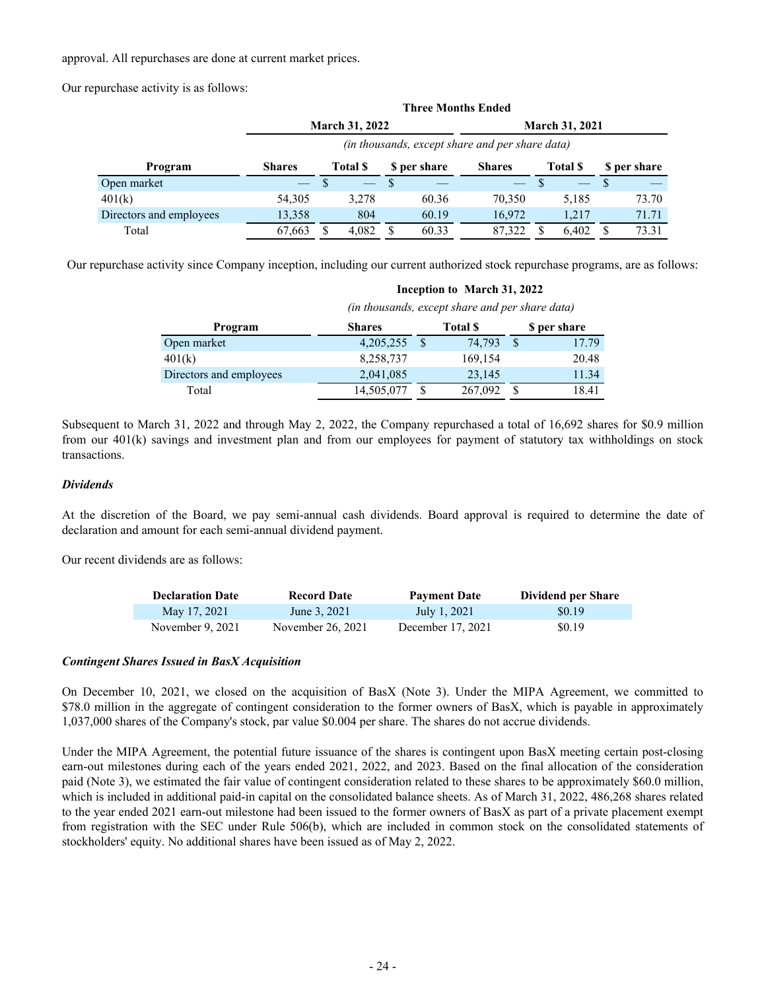approval. All repurchases are done at current market prices.

Our repurchase activity is as follows:

|                         | <b>Three Months Ended</b> |          |                       |                    |       |                                                 |                |       |  |              |
|-------------------------|---------------------------|----------|-----------------------|--------------------|-------|-------------------------------------------------|----------------|-------|--|--------------|
|                         |                           |          | <b>March 31, 2022</b> |                    |       | <b>March 31, 2021</b>                           |                |       |  |              |
|                         |                           |          |                       |                    |       | (in thousands, except share and per share data) |                |       |  |              |
| Program                 | <b>Shares</b>             | Total \$ |                       | <b>S</b> per share |       | <b>Shares</b>                                   | <b>Total</b> S |       |  | \$ per share |
| Open market             |                           |          |                       |                    |       |                                                 |                |       |  |              |
| 401(k)                  | 54,305                    |          | 3.278                 |                    | 60.36 | 70.350                                          |                | 5,185 |  | 73.70        |
| Directors and employees | 13,358                    |          | 804                   |                    | 60.19 | 16,972                                          |                | 1,217 |  | 71.71        |
| Total                   | 67,663                    | S        | 4,082                 |                    | 60.33 | 87,322                                          |                | 6,402 |  | 73.31        |

Our repurchase activity since Company inception, including our current authorized stock repurchase programs, are as follows:

#### **Inception to March 31, 2022**

|                         | (in thousands, except share and per share data) |                 |         |  |              |  |  |  |  |
|-------------------------|-------------------------------------------------|-----------------|---------|--|--------------|--|--|--|--|
| Program                 | <b>Shares</b>                                   | <b>Total</b> \$ |         |  | \$ per share |  |  |  |  |
| Open market             | 4, 205, 255                                     |                 | 74.793  |  | 17.79        |  |  |  |  |
| 401(k)                  | 8,258,737                                       |                 | 169,154 |  | 20.48        |  |  |  |  |
| Directors and employees | 2,041,085                                       |                 | 23,145  |  | 11.34        |  |  |  |  |

Total 14,505,077 \$ 267,092 \$ 18.41

Subsequent to March 31, 2022 and through May 2, 2022, the Company repurchased a total of 16,692 shares for \$0.9 million from our 401(k) savings and investment plan and from our employees for payment of statutory tax withholdings on stock transactions.

## *Dividends*

At the discretion of the Board, we pay semi-annual cash dividends. Board approval is required to determine the date of declaration and amount for each semi-annual dividend payment.

Our recent dividends are as follows:

| <b>Declaration Date</b> | <b>Record Date</b> | <b>Payment Date</b> | Dividend per Share |
|-------------------------|--------------------|---------------------|--------------------|
| May 17, 2021            | June 3, 2021       | July 1, 2021        | \$0.19             |
| November $9, 2021$      | November 26, 2021  | December 17, 2021   | \$0.19             |

#### *Contingent Shares Issued in BasX Acquisition*

On December 10, 2021, we closed on the acquisition of BasX (Note 3). Under the MIPA Agreement, we committed to \$78.0 million in the aggregate of contingent consideration to the former owners of BasX, which is payable in approximately 1,037,000 shares of the Company's stock, par value \$0.004 per share. The shares do not accrue dividends.

Under the MIPA Agreement, the potential future issuance of the shares is contingent upon BasX meeting certain post-closing earn-out milestones during each of the years ended 2021, 2022, and 2023. Based on the final allocation of the consideration paid (Note 3), we estimated the fair value of contingent consideration related to these shares to be approximately \$60.0 million, which is included in additional paid-in capital on the consolidated balance sheets. As of March 31, 2022, 486,268 shares related to the year ended 2021 earn-out milestone had been issued to the former owners of BasX as part of a private placement exempt from registration with the SEC under Rule 506(b), which are included in common stock on the consolidated statements of stockholders' equity. No additional shares have been issued as of May 2, 2022.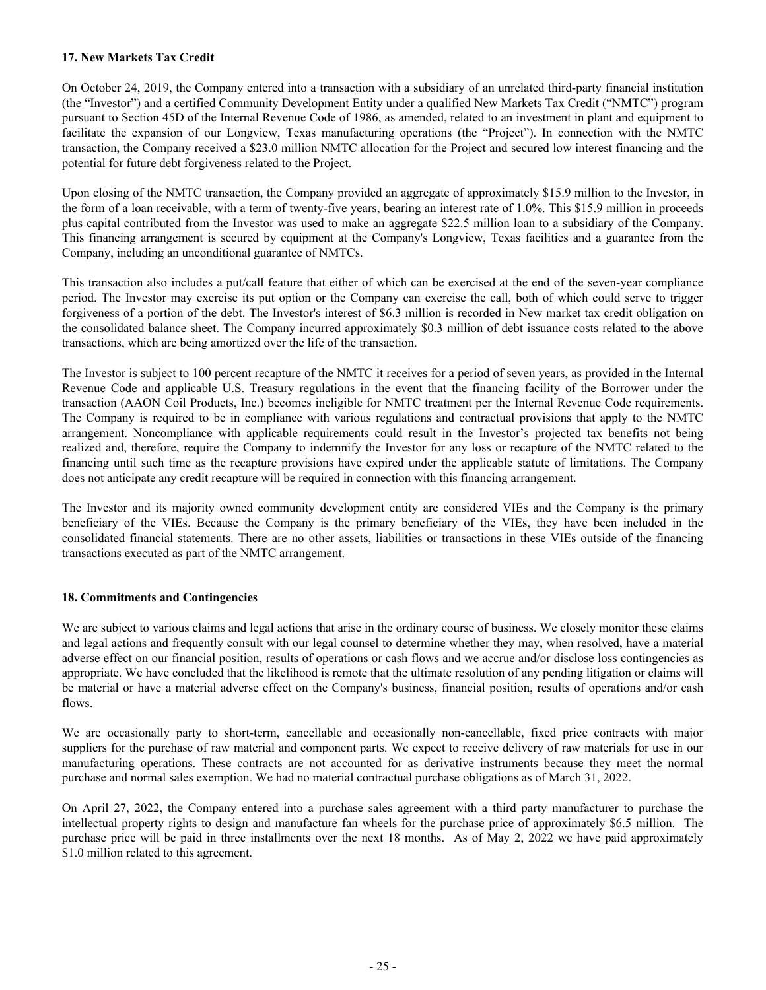## **17. New Markets Tax Credit**

On October 24, 2019, the Company entered into a transaction with a subsidiary of an unrelated third-party financial institution (the "Investor") and a certified Community Development Entity under a qualified New Markets Tax Credit ("NMTC") program pursuant to Section 45D of the Internal Revenue Code of 1986, as amended, related to an investment in plant and equipment to facilitate the expansion of our Longview, Texas manufacturing operations (the "Project"). In connection with the NMTC transaction, the Company received a \$23.0 million NMTC allocation for the Project and secured low interest financing and the potential for future debt forgiveness related to the Project.

Upon closing of the NMTC transaction, the Company provided an aggregate of approximately \$15.9 million to the Investor, in the form of a loan receivable, with a term of twenty-five years, bearing an interest rate of 1.0%. This \$15.9 million in proceeds plus capital contributed from the Investor was used to make an aggregate \$22.5 million loan to a subsidiary of the Company. This financing arrangement is secured by equipment at the Company's Longview, Texas facilities and a guarantee from the Company, including an unconditional guarantee of NMTCs.

This transaction also includes a put/call feature that either of which can be exercised at the end of the seven-year compliance period. The Investor may exercise its put option or the Company can exercise the call, both of which could serve to trigger forgiveness of a portion of the debt. The Investor's interest of \$6.3 million is recorded in New market tax credit obligation on the consolidated balance sheet. The Company incurred approximately \$0.3 million of debt issuance costs related to the above transactions, which are being amortized over the life of the transaction.

The Investor is subject to 100 percent recapture of the NMTC it receives for a period of seven years, as provided in the Internal Revenue Code and applicable U.S. Treasury regulations in the event that the financing facility of the Borrower under the transaction (AAON Coil Products, Inc.) becomes ineligible for NMTC treatment per the Internal Revenue Code requirements. The Company is required to be in compliance with various regulations and contractual provisions that apply to the NMTC arrangement. Noncompliance with applicable requirements could result in the Investor's projected tax benefits not being realized and, therefore, require the Company to indemnify the Investor for any loss or recapture of the NMTC related to the financing until such time as the recapture provisions have expired under the applicable statute of limitations. The Company does not anticipate any credit recapture will be required in connection with this financing arrangement.

The Investor and its majority owned community development entity are considered VIEs and the Company is the primary beneficiary of the VIEs. Because the Company is the primary beneficiary of the VIEs, they have been included in the consolidated financial statements. There are no other assets, liabilities or transactions in these VIEs outside of the financing transactions executed as part of the NMTC arrangement.

## **18. Commitments and Contingencies**

We are subject to various claims and legal actions that arise in the ordinary course of business. We closely monitor these claims and legal actions and frequently consult with our legal counsel to determine whether they may, when resolved, have a material adverse effect on our financial position, results of operations or cash flows and we accrue and/or disclose loss contingencies as appropriate. We have concluded that the likelihood is remote that the ultimate resolution of any pending litigation or claims will be material or have a material adverse effect on the Company's business, financial position, results of operations and/or cash flows.

We are occasionally party to short-term, cancellable and occasionally non-cancellable, fixed price contracts with major suppliers for the purchase of raw material and component parts. We expect to receive delivery of raw materials for use in our manufacturing operations. These contracts are not accounted for as derivative instruments because they meet the normal purchase and normal sales exemption. We had no material contractual purchase obligations as of March 31, 2022.

On April 27, 2022, the Company entered into a purchase sales agreement with a third party manufacturer to purchase the intellectual property rights to design and manufacture fan wheels for the purchase price of approximately \$6.5 million. The purchase price will be paid in three installments over the next 18 months. As of May 2, 2022 we have paid approximately \$1.0 million related to this agreement.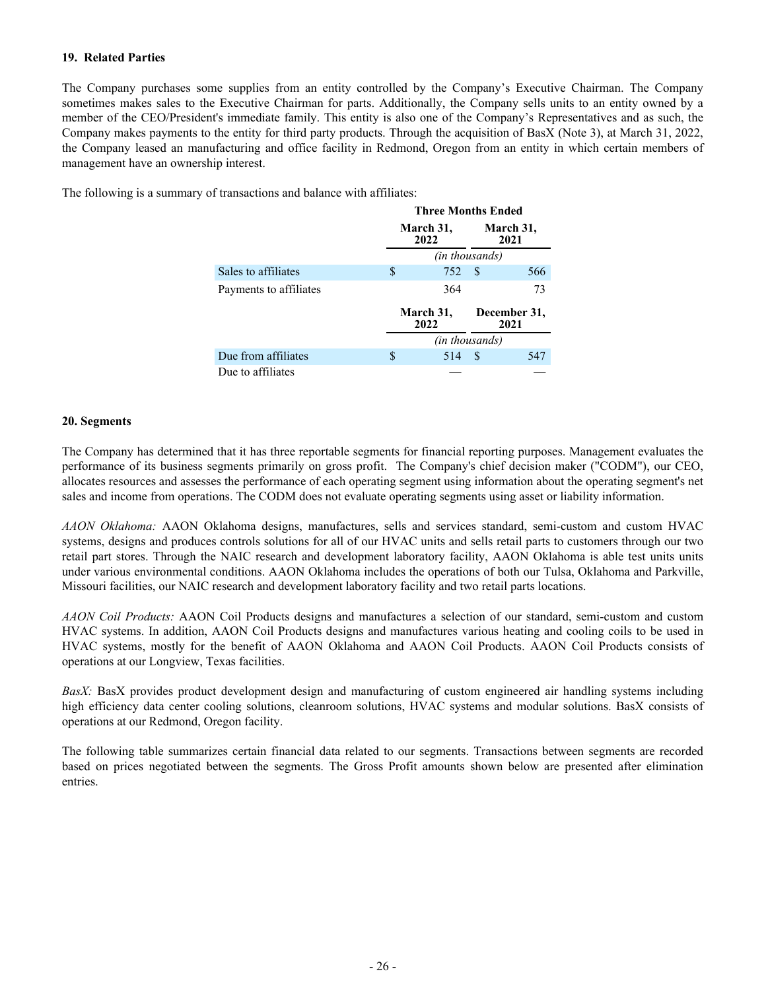#### **19. Related Parties**

The Company purchases some supplies from an entity controlled by the Company's Executive Chairman. The Company sometimes makes sales to the Executive Chairman for parts. Additionally, the Company sells units to an entity owned by a member of the CEO/President's immediate family. This entity is also one of the Company's Representatives and as such, the Company makes payments to the entity for third party products. Through the acquisition of BasX (Note 3), at March 31, 2022, the Company leased an manufacturing and office facility in Redmond, Oregon from an entity in which certain members of management have an ownership interest.

The following is a summary of transactions and balance with affiliates:

|                        |   | <b>Three Months Ended</b> |                |                      |  |  |  |
|------------------------|---|---------------------------|----------------|----------------------|--|--|--|
|                        |   | <b>March 31,</b><br>2022  |                | March 31,<br>2021    |  |  |  |
|                        |   |                           | (in thousands) |                      |  |  |  |
| Sales to affiliates    | S | 752                       | <sup>S</sup>   | 566                  |  |  |  |
| Payments to affiliates |   | 364                       |                | 73                   |  |  |  |
|                        |   | March 31,<br>2022         |                | December 31,<br>2021 |  |  |  |
|                        |   |                           | (in thousands) |                      |  |  |  |
| Due from affiliates    | S | 514                       | S              | 547                  |  |  |  |
| Due to affiliates      |   |                           |                |                      |  |  |  |

#### **20. Segments**

The Company has determined that it has three reportable segments for financial reporting purposes. Management evaluates the performance of its business segments primarily on gross profit. The Company's chief decision maker ("CODM"), our CEO, allocates resources and assesses the performance of each operating segment using information about the operating segment's net sales and income from operations. The CODM does not evaluate operating segments using asset or liability information.

*AAON Oklahoma:* AAON Oklahoma designs, manufactures, sells and services standard, semi-custom and custom HVAC systems, designs and produces controls solutions for all of our HVAC units and sells retail parts to customers through our two retail part stores. Through the NAIC research and development laboratory facility, AAON Oklahoma is able test units units under various environmental conditions. AAON Oklahoma includes the operations of both our Tulsa, Oklahoma and Parkville, Missouri facilities, our NAIC research and development laboratory facility and two retail parts locations.

*AAON Coil Products:* AAON Coil Products designs and manufactures a selection of our standard, semi-custom and custom HVAC systems. In addition, AAON Coil Products designs and manufactures various heating and cooling coils to be used in HVAC systems, mostly for the benefit of AAON Oklahoma and AAON Coil Products. AAON Coil Products consists of operations at our Longview, Texas facilities.

*BasX:* BasX provides product development design and manufacturing of custom engineered air handling systems including high efficiency data center cooling solutions, cleanroom solutions, HVAC systems and modular solutions. BasX consists of operations at our Redmond, Oregon facility.

The following table summarizes certain financial data related to our segments. Transactions between segments are recorded based on prices negotiated between the segments. The Gross Profit amounts shown below are presented after elimination entries.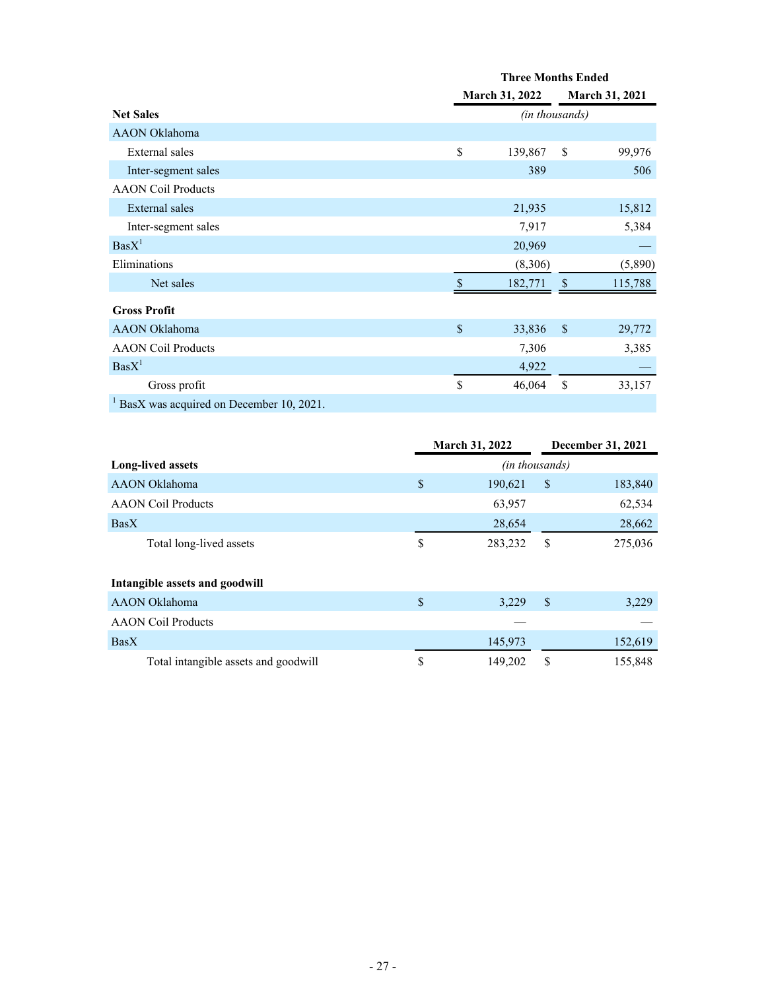|                                                      |                      | <b>Three Months Ended</b>                      |                           |         |  |  |  |  |
|------------------------------------------------------|----------------------|------------------------------------------------|---------------------------|---------|--|--|--|--|
|                                                      |                      | <b>March 31, 2022</b><br><b>March 31, 2021</b> |                           |         |  |  |  |  |
| <b>Net Sales</b>                                     |                      | (in thousands)                                 |                           |         |  |  |  |  |
| AAON Oklahoma                                        |                      |                                                |                           |         |  |  |  |  |
| <b>External</b> sales                                | \$                   | 139,867                                        | \$                        | 99,976  |  |  |  |  |
| Inter-segment sales                                  |                      | 389                                            |                           | 506     |  |  |  |  |
| <b>AAON</b> Coil Products                            |                      |                                                |                           |         |  |  |  |  |
| <b>External sales</b>                                |                      | 21,935                                         |                           | 15,812  |  |  |  |  |
| Inter-segment sales                                  |                      | 7,917                                          |                           | 5,384   |  |  |  |  |
| BasX <sup>1</sup>                                    |                      | 20,969                                         |                           |         |  |  |  |  |
| Eliminations                                         |                      | (8,306)                                        |                           | (5,890) |  |  |  |  |
| Net sales                                            |                      | 182,771                                        | \$                        | 115,788 |  |  |  |  |
| <b>Gross Profit</b>                                  |                      |                                                |                           |         |  |  |  |  |
| <b>AAON</b> Oklahoma                                 | $\sqrt{\frac{2}{5}}$ | 33,836                                         | $\boldsymbol{\mathsf{S}}$ | 29,772  |  |  |  |  |
| <b>AAON</b> Coil Products                            |                      | 7,306                                          |                           | 3,385   |  |  |  |  |
| BasX <sup>1</sup>                                    |                      | 4,922                                          |                           |         |  |  |  |  |
| Gross profit                                         | \$                   | 46,064                                         | \$                        | 33,157  |  |  |  |  |
| <sup>1</sup> BasX was acquired on December 10, 2021. |                      |                                                |                           |         |  |  |  |  |

|                                      | <b>March 31, 2022</b> |                       | <b>December 31, 2021</b> |
|--------------------------------------|-----------------------|-----------------------|--------------------------|
| Long-lived assets                    |                       | <i>(in thousands)</i> |                          |
| <b>AAON</b> Oklahoma                 | \$<br>190,621         | $\mathbb{S}$          | 183,840                  |
| <b>AAON</b> Coil Products            | 63,957                |                       | 62,534                   |
| BasX                                 | 28,654                |                       | 28,662                   |
| Total long-lived assets              | \$<br>283,232         | \$                    | 275,036                  |
|                                      |                       |                       |                          |
| Intangible assets and goodwill       |                       |                       |                          |
| <b>AAON</b> Oklahoma                 | \$<br>3,229           | \$                    | 3,229                    |
| <b>AAON</b> Coil Products            |                       |                       |                          |
| BasX                                 | 145,973               |                       | 152,619                  |
| Total intangible assets and goodwill | \$<br>149,202         | \$                    | 155.848                  |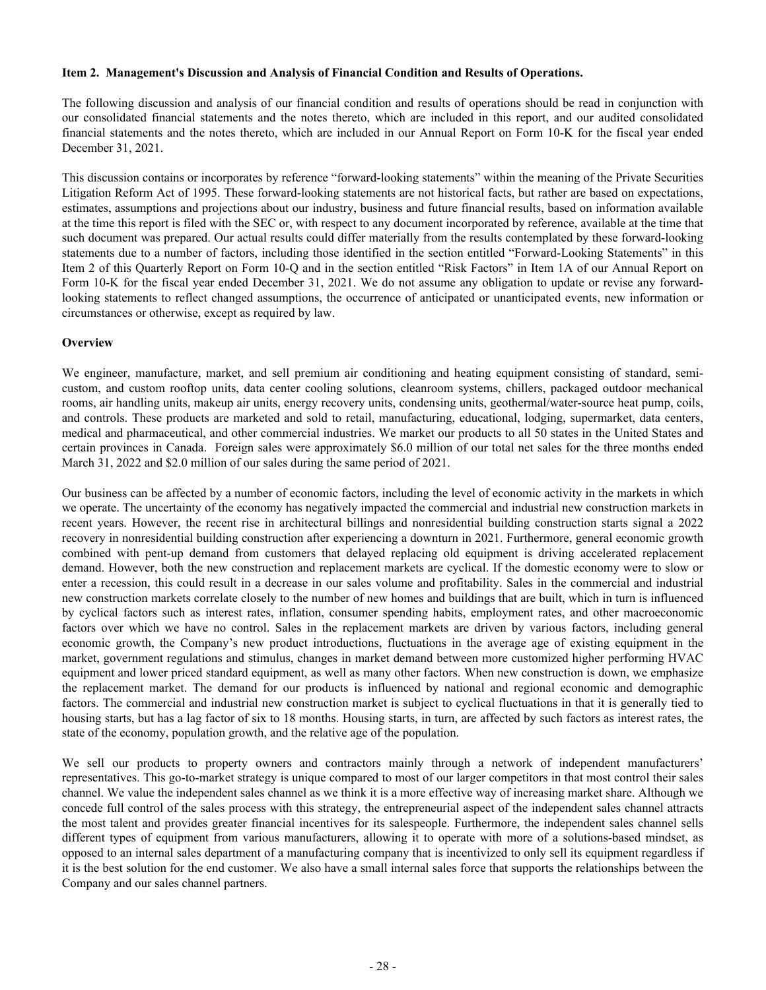## **Item 2. Management's Discussion and Analysis of Financial Condition and Results of Operations.**

The following discussion and analysis of our financial condition and results of operations should be read in conjunction with our consolidated financial statements and the notes thereto, which are included in this report, and our audited consolidated financial statements and the notes thereto, which are included in our Annual Report on Form 10-K for the fiscal year ended December 31, 2021.

This discussion contains or incorporates by reference "forward-looking statements" within the meaning of the Private Securities Litigation Reform Act of 1995. These forward-looking statements are not historical facts, but rather are based on expectations, estimates, assumptions and projections about our industry, business and future financial results, based on information available at the time this report is filed with the SEC or, with respect to any document incorporated by reference, available at the time that such document was prepared. Our actual results could differ materially from the results contemplated by these forward-looking statements due to a number of factors, including those identified in the section entitled "Forward-Looking Statements" in this Item 2 of this Quarterly Report on Form 10-Q and in the section entitled "Risk Factors" in Item 1A of our Annual Report on Form 10-K for the fiscal year ended December 31, 2021. We do not assume any obligation to update or revise any forwardlooking statements to reflect changed assumptions, the occurrence of anticipated or unanticipated events, new information or circumstances or otherwise, except as required by law.

#### **Overview**

We engineer, manufacture, market, and sell premium air conditioning and heating equipment consisting of standard, semicustom, and custom rooftop units, data center cooling solutions, cleanroom systems, chillers, packaged outdoor mechanical rooms, air handling units, makeup air units, energy recovery units, condensing units, geothermal/water-source heat pump, coils, and controls. These products are marketed and sold to retail, manufacturing, educational, lodging, supermarket, data centers, medical and pharmaceutical, and other commercial industries. We market our products to all 50 states in the United States and certain provinces in Canada. Foreign sales were approximately \$6.0 million of our total net sales for the three months ended March 31, 2022 and \$2.0 million of our sales during the same period of 2021.

Our business can be affected by a number of economic factors, including the level of economic activity in the markets in which we operate. The uncertainty of the economy has negatively impacted the commercial and industrial new construction markets in recent years. However, the recent rise in architectural billings and nonresidential building construction starts signal a 2022 recovery in nonresidential building construction after experiencing a downturn in 2021. Furthermore, general economic growth combined with pent-up demand from customers that delayed replacing old equipment is driving accelerated replacement demand. However, both the new construction and replacement markets are cyclical. If the domestic economy were to slow or enter a recession, this could result in a decrease in our sales volume and profitability. Sales in the commercial and industrial new construction markets correlate closely to the number of new homes and buildings that are built, which in turn is influenced by cyclical factors such as interest rates, inflation, consumer spending habits, employment rates, and other macroeconomic factors over which we have no control. Sales in the replacement markets are driven by various factors, including general economic growth, the Company's new product introductions, fluctuations in the average age of existing equipment in the market, government regulations and stimulus, changes in market demand between more customized higher performing HVAC equipment and lower priced standard equipment, as well as many other factors. When new construction is down, we emphasize the replacement market. The demand for our products is influenced by national and regional economic and demographic factors. The commercial and industrial new construction market is subject to cyclical fluctuations in that it is generally tied to housing starts, but has a lag factor of six to 18 months. Housing starts, in turn, are affected by such factors as interest rates, the state of the economy, population growth, and the relative age of the population.

We sell our products to property owners and contractors mainly through a network of independent manufacturers' representatives. This go-to-market strategy is unique compared to most of our larger competitors in that most control their sales channel. We value the independent sales channel as we think it is a more effective way of increasing market share. Although we concede full control of the sales process with this strategy, the entrepreneurial aspect of the independent sales channel attracts the most talent and provides greater financial incentives for its salespeople. Furthermore, the independent sales channel sells different types of equipment from various manufacturers, allowing it to operate with more of a solutions-based mindset, as opposed to an internal sales department of a manufacturing company that is incentivized to only sell its equipment regardless if it is the best solution for the end customer. We also have a small internal sales force that supports the relationships between the Company and our sales channel partners.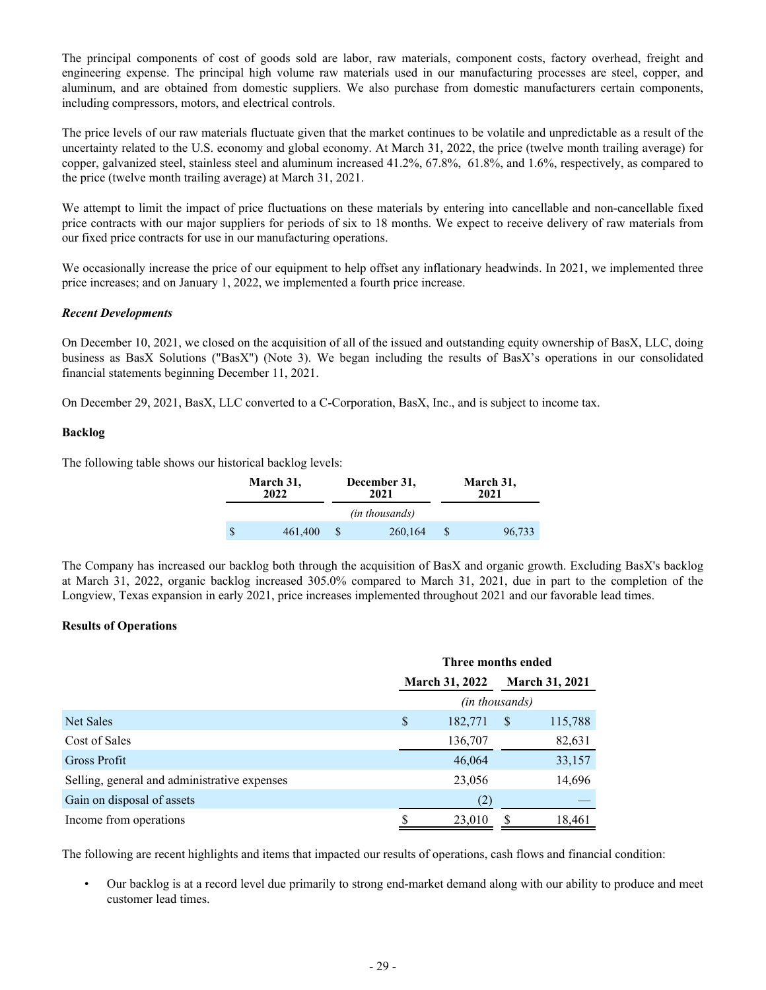The principal components of cost of goods sold are labor, raw materials, component costs, factory overhead, freight and engineering expense. The principal high volume raw materials used in our manufacturing processes are steel, copper, and aluminum, and are obtained from domestic suppliers. We also purchase from domestic manufacturers certain components, including compressors, motors, and electrical controls.

The price levels of our raw materials fluctuate given that the market continues to be volatile and unpredictable as a result of the uncertainty related to the U.S. economy and global economy. At March 31, 2022, the price (twelve month trailing average) for copper, galvanized steel, stainless steel and aluminum increased 41.2%, 67.8%, 61.8%, and 1.6%, respectively, as compared to the price (twelve month trailing average) at March 31, 2021.

We attempt to limit the impact of price fluctuations on these materials by entering into cancellable and non-cancellable fixed price contracts with our major suppliers for periods of six to 18 months. We expect to receive delivery of raw materials from our fixed price contracts for use in our manufacturing operations.

We occasionally increase the price of our equipment to help offset any inflationary headwinds. In 2021, we implemented three price increases; and on January 1, 2022, we implemented a fourth price increase.

## *Recent Developments*

On December 10, 2021, we closed on the acquisition of all of the issued and outstanding equity ownership of BasX, LLC, doing business as BasX Solutions ("BasX") (Note 3). We began including the results of BasX's operations in our consolidated financial statements beginning December 11, 2021.

On December 29, 2021, BasX, LLC converted to a C-Corporation, BasX, Inc., and is subject to income tax.

## **Backlog**

The following table shows our historical backlog levels:

| March 31,<br>2022 |         | December 31,<br>2021 | March 31,<br>2021 |        |  |  |  |  |
|-------------------|---------|----------------------|-------------------|--------|--|--|--|--|
|                   |         | (in thousands)       |                   |        |  |  |  |  |
| <sup>\$</sup>     | 461,400 | 260,164              |                   | 96,733 |  |  |  |  |

The Company has increased our backlog both through the acquisition of BasX and organic growth. Excluding BasX's backlog at March 31, 2022, organic backlog increased 305.0% compared to March 31, 2021, due in part to the completion of the Longview, Texas expansion in early 2021, price increases implemented throughout 2021 and our favorable lead times.

## **Results of Operations**

|                                              | Three months ended |                       |                       |         |  |  |
|----------------------------------------------|--------------------|-----------------------|-----------------------|---------|--|--|
|                                              |                    | <b>March 31, 2022</b> | <b>March 31, 2021</b> |         |  |  |
|                                              |                    | (in thousands)        |                       |         |  |  |
| Net Sales                                    | \$                 | 182,771               | <sup>\$</sup>         | 115,788 |  |  |
| Cost of Sales                                |                    | 136,707               |                       | 82,631  |  |  |
| Gross Profit                                 |                    | 46,064                |                       | 33,157  |  |  |
| Selling, general and administrative expenses |                    | 23,056                |                       | 14,696  |  |  |
| Gain on disposal of assets                   |                    | (2)                   |                       |         |  |  |
| Income from operations                       |                    | 23,010                |                       | 18,461  |  |  |

The following are recent highlights and items that impacted our results of operations, cash flows and financial condition:

• Our backlog is at a record level due primarily to strong end-market demand along with our ability to produce and meet customer lead times.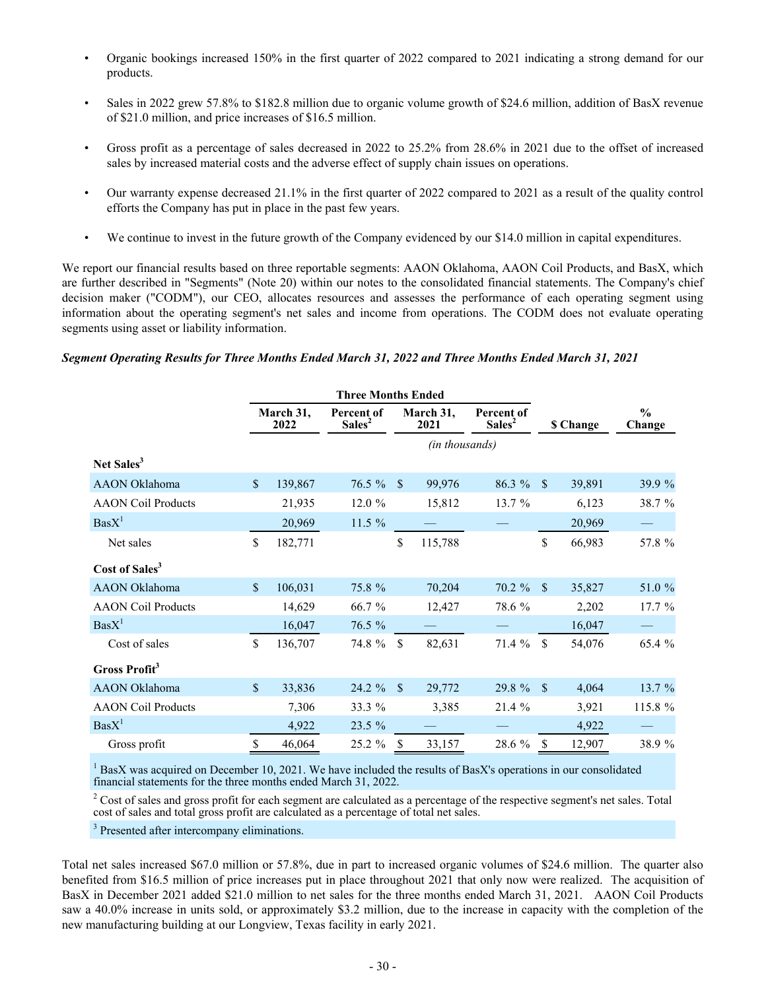- Organic bookings increased 150% in the first quarter of 2022 compared to 2021 indicating a strong demand for our products.
- Sales in 2022 grew 57.8% to \$182.8 million due to organic volume growth of \$24.6 million, addition of BasX revenue of \$21.0 million, and price increases of \$16.5 million.
- Gross profit as a percentage of sales decreased in 2022 to 25.2% from 28.6% in 2021 due to the offset of increased sales by increased material costs and the adverse effect of supply chain issues on operations.
- Our warranty expense decreased 21.1% in the first quarter of 2022 compared to 2021 as a result of the quality control efforts the Company has put in place in the past few years.
- We continue to invest in the future growth of the Company evidenced by our \$14.0 million in capital expenditures.

We report our financial results based on three reportable segments: AAON Oklahoma, AAON Coil Products, and BasX, which are further described in "Segments" (Note 20) within our notes to the consolidated financial statements. The Company's chief decision maker ("CODM"), our CEO, allocates resources and assesses the performance of each operating segment using information about the operating segment's net sales and income from operations. The CODM does not evaluate operating segments using asset or liability information.

## *Segment Operating Results for Three Months Ended March 31, 2022 and Three Months Ended March 31, 2021*

| <b>Three Months Ended</b>  |               |                   |                                  |               |                   |                                         |               |           |                         |
|----------------------------|---------------|-------------------|----------------------------------|---------------|-------------------|-----------------------------------------|---------------|-----------|-------------------------|
|                            |               | March 31,<br>2022 | Percent of<br>Sales <sup>2</sup> |               | March 31,<br>2021 | <b>Percent of</b><br>Sales <sup>2</sup> |               | \$ Change | $\frac{0}{0}$<br>Change |
|                            |               |                   |                                  |               | (in thousands)    |                                         |               |           |                         |
| Net Sales <sup>3</sup>     |               |                   |                                  |               |                   |                                         |               |           |                         |
| <b>AAON</b> Oklahoma       | $\mathbb{S}$  | 139,867           | 76.5 %                           | <sup>\$</sup> | 99,976            | 86.3 %                                  | <b>S</b>      | 39,891    | 39.9 %                  |
| <b>AAON</b> Coil Products  |               | 21,935            | 12.0 %                           |               | 15,812            | 13.7 %                                  |               | 6,123     | 38.7 %                  |
| BasX <sup>1</sup>          |               | 20,969            | 11.5 %                           |               |                   |                                         |               | 20,969    |                         |
| Net sales                  | \$            | 182,771           |                                  | \$            | 115,788           |                                         | \$            | 66,983    | 57.8 %                  |
| Cost of Sales <sup>3</sup> |               |                   |                                  |               |                   |                                         |               |           |                         |
| <b>AAON</b> Oklahoma       | $\mathbf{\$}$ | 106,031           | 75.8 %                           |               | 70,204            | 70.2 %                                  | - \$          | 35,827    | 51.0 %                  |
| <b>AAON</b> Coil Products  |               | 14,629            | 66.7 %                           |               | 12,427            | 78.6 %                                  |               | 2,202     | 17.7 %                  |
| BasX <sup>1</sup>          |               | 16,047            | 76.5 %                           |               |                   |                                         |               | 16,047    |                         |
| Cost of sales              | \$            | 136,707           | 74.8 %                           | \$            | 82,631            | 71.4%                                   | <sup>\$</sup> | 54,076    | 65.4 %                  |
| Gross Profit <sup>3</sup>  |               |                   |                                  |               |                   |                                         |               |           |                         |
| <b>AAON</b> Oklahoma       | $\mathbb{S}$  | 33,836            | 24.2 %                           | $\mathbf S$   | 29,772            | 29.8 %                                  | $\mathcal{S}$ | 4,064     | 13.7 %                  |
| <b>AAON</b> Coil Products  |               | 7,306             | 33.3 %                           |               | 3,385             | 21.4 %                                  |               | 3,921     | 115.8 %                 |
| BasX <sup>1</sup>          |               | 4,922             | 23.5 %                           |               |                   |                                         |               | 4,922     |                         |
| Gross profit               |               | 46,064            | 25.2 %                           |               | 33,157            | 28.6 %                                  |               | 12,907    | 38.9%                   |

 $<sup>1</sup>$  BasX was acquired on December 10, 2021. We have included the results of BasX's operations in our consolidated</sup> financial statements for the three months ended March 31, 2022.

 $2^2$  Cost of sales and gross profit for each segment are calculated as a percentage of the respective segment's net sales. Total cost of sales and total gross profit are calculated as a percentage of total net sales.

<sup>3</sup> Presented after intercompany eliminations.

Total net sales increased \$67.0 million or 57.8%, due in part to increased organic volumes of \$24.6 million. The quarter also benefited from \$16.5 million of price increases put in place throughout 2021 that only now were realized. The acquisition of BasX in December 2021 added \$21.0 million to net sales for the three months ended March 31, 2021. AAON Coil Products saw a 40.0% increase in units sold, or approximately \$3.2 million, due to the increase in capacity with the completion of the new manufacturing building at our Longview, Texas facility in early 2021.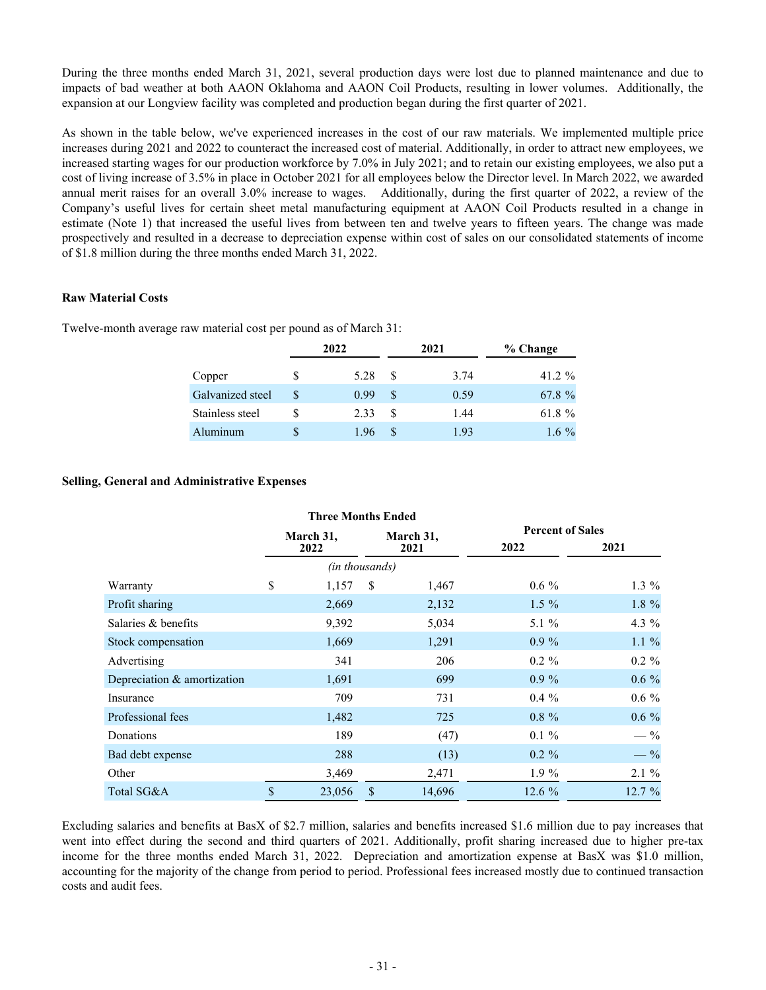During the three months ended March 31, 2021, several production days were lost due to planned maintenance and due to impacts of bad weather at both AAON Oklahoma and AAON Coil Products, resulting in lower volumes. Additionally, the expansion at our Longview facility was completed and production began during the first quarter of 2021.

As shown in the table below, we've experienced increases in the cost of our raw materials. We implemented multiple price increases during 2021 and 2022 to counteract the increased cost of material. Additionally, in order to attract new employees, we increased starting wages for our production workforce by 7.0% in July 2021; and to retain our existing employees, we also put a cost of living increase of 3.5% in place in October 2021 for all employees below the Director level. In March 2022, we awarded annual merit raises for an overall 3.0% increase to wages. Additionally, during the first quarter of 2022, a review of the Company's useful lives for certain sheet metal manufacturing equipment at AAON Coil Products resulted in a change in estimate (Note 1) that increased the useful lives from between ten and twelve years to fifteen years. The change was made prospectively and resulted in a decrease to depreciation expense within cost of sales on our consolidated statements of income of \$1.8 million during the three months ended March 31, 2022.

## **Raw Material Costs**

Twelve-month average raw material cost per pound as of March 31:

|                  |    | 2022 |          | 2021 | % Change |
|------------------|----|------|----------|------|----------|
| Copper           | S  | 5.28 | -S       | 3.74 | 41.2 $%$ |
| Galvanized steel |    | 0.99 | <b>S</b> | 0.59 | 67.8 %   |
| Stainless steel  |    | 2.33 |          | 1.44 | 61.8 %   |
| Aluminum         | \$ | 196  |          | 1.93 | 1.6 $%$  |

## **Selling, General and Administrative Expenses**

|                             |                   | <b>Three Months Ended</b> |               |           |                         |          |  |
|-----------------------------|-------------------|---------------------------|---------------|-----------|-------------------------|----------|--|
|                             | March 31,<br>2022 |                           |               | March 31, | <b>Percent of Sales</b> |          |  |
|                             |                   |                           |               | 2021      | 2022                    | 2021     |  |
|                             |                   | (in thousands)            |               |           |                         |          |  |
| Warranty                    | \$                | 1,157                     | <sup>\$</sup> | 1,467     | $0.6\%$                 | $1.3 \%$ |  |
| Profit sharing              |                   | 2,669                     |               | 2,132     | $1.5\%$                 | $1.8 \%$ |  |
| Salaries & benefits         |                   | 9,392                     |               | 5,034     | 5.1 $%$                 | 4.3 $%$  |  |
| Stock compensation          |                   | 1,669                     |               | 1,291     | $0.9\%$                 | $1.1\%$  |  |
| Advertising                 |                   | 341                       |               | 206       | $0.2 \%$                | $0.2 \%$ |  |
| Depreciation & amortization |                   | 1,691                     |               | 699       | $0.9\%$                 | $0.6\%$  |  |
| Insurance                   |                   | 709                       |               | 731       | $0.4\%$                 | $0.6\%$  |  |
| Professional fees           |                   | 1,482                     |               | 725       | $0.8 \%$                | $0.6\%$  |  |
| Donations                   |                   | 189                       |               | (47)      | $0.1 \%$                | $-$ %    |  |
| Bad debt expense            |                   | 288                       |               | (13)      | $0.2 \%$                | $-$ %    |  |
| Other                       |                   | 3,469                     |               | 2,471     | $1.9\%$                 | $2.1 \%$ |  |
| Total SG&A                  | \$                | 23,056                    | $\mathbf S$   | 14,696    | $12.6\%$                | 12.7%    |  |

Excluding salaries and benefits at BasX of \$2.7 million, salaries and benefits increased \$1.6 million due to pay increases that went into effect during the second and third quarters of 2021. Additionally, profit sharing increased due to higher pre-tax income for the three months ended March 31, 2022. Depreciation and amortization expense at BasX was \$1.0 million, accounting for the majority of the change from period to period. Professional fees increased mostly due to continued transaction costs and audit fees.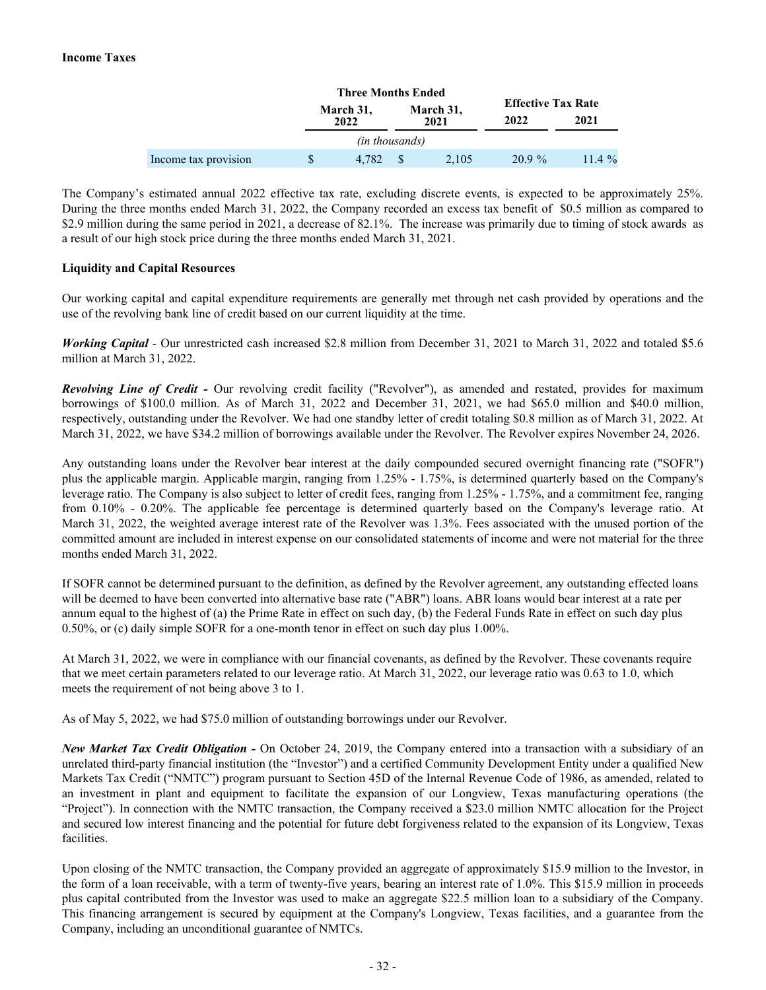|                      | <b>Three Months Ended</b> |                   |                                   |           |  |
|----------------------|---------------------------|-------------------|-----------------------------------|-----------|--|
|                      | March 31,<br>2022         | March 31,<br>2021 | <b>Effective Tax Rate</b><br>2022 | 2021      |  |
|                      | <i>(in thousands)</i>     |                   |                                   |           |  |
| Income tax provision | 4.782                     | 2.105             | $20.9\%$                          | 11.4 $\%$ |  |

The Company's estimated annual 2022 effective tax rate, excluding discrete events, is expected to be approximately 25%. During the three months ended March 31, 2022, the Company recorded an excess tax benefit of \$0.5 million as compared to \$2.9 million during the same period in 2021, a decrease of 82.1%. The increase was primarily due to timing of stock awards as a result of our high stock price during the three months ended March 31, 2021.

## **Liquidity and Capital Resources**

Our working capital and capital expenditure requirements are generally met through net cash provided by operations and the use of the revolving bank line of credit based on our current liquidity at the time.

*Working Capital* - Our unrestricted cash increased \$2.8 million from December 31, 2021 to March 31, 2022 and totaled \$5.6 million at March 31, 2022.

*Revolving Line of Credit -* Our revolving credit facility ("Revolver"), as amended and restated, provides for maximum borrowings of \$100.0 million. As of March 31, 2022 and December 31, 2021, we had \$65.0 million and \$40.0 million, respectively, outstanding under the Revolver. We had one standby letter of credit totaling \$0.8 million as of March 31, 2022. At March 31, 2022, we have \$34.2 million of borrowings available under the Revolver. The Revolver expires November 24, 2026.

Any outstanding loans under the Revolver bear interest at the daily compounded secured overnight financing rate ("SOFR") plus the applicable margin. Applicable margin, ranging from 1.25% - 1.75%, is determined quarterly based on the Company's leverage ratio. The Company is also subject to letter of credit fees, ranging from 1.25% - 1.75%, and a commitment fee, ranging from 0.10% - 0.20%. The applicable fee percentage is determined quarterly based on the Company's leverage ratio. At March 31, 2022, the weighted average interest rate of the Revolver was 1.3%. Fees associated with the unused portion of the committed amount are included in interest expense on our consolidated statements of income and were not material for the three months ended March 31, 2022.

If SOFR cannot be determined pursuant to the definition, as defined by the Revolver agreement, any outstanding effected loans will be deemed to have been converted into alternative base rate ("ABR") loans. ABR loans would bear interest at a rate per annum equal to the highest of (a) the Prime Rate in effect on such day, (b) the Federal Funds Rate in effect on such day plus 0.50%, or (c) daily simple SOFR for a one-month tenor in effect on such day plus 1.00%.

At March 31, 2022, we were in compliance with our financial covenants, as defined by the Revolver. These covenants require that we meet certain parameters related to our leverage ratio. At March 31, 2022, our leverage ratio was 0.63 to 1.0, which meets the requirement of not being above 3 to 1.

As of May 5, 2022, we had \$75.0 million of outstanding borrowings under our Revolver.

*New Market Tax Credit Obligation -* On October 24, 2019, the Company entered into a transaction with a subsidiary of an unrelated third-party financial institution (the "Investor") and a certified Community Development Entity under a qualified New Markets Tax Credit ("NMTC") program pursuant to Section 45D of the Internal Revenue Code of 1986, as amended, related to an investment in plant and equipment to facilitate the expansion of our Longview, Texas manufacturing operations (the "Project"). In connection with the NMTC transaction, the Company received a \$23.0 million NMTC allocation for the Project and secured low interest financing and the potential for future debt forgiveness related to the expansion of its Longview, Texas facilities.

Upon closing of the NMTC transaction, the Company provided an aggregate of approximately \$15.9 million to the Investor, in the form of a loan receivable, with a term of twenty-five years, bearing an interest rate of 1.0%. This \$15.9 million in proceeds plus capital contributed from the Investor was used to make an aggregate \$22.5 million loan to a subsidiary of the Company. This financing arrangement is secured by equipment at the Company's Longview, Texas facilities, and a guarantee from the Company, including an unconditional guarantee of NMTCs.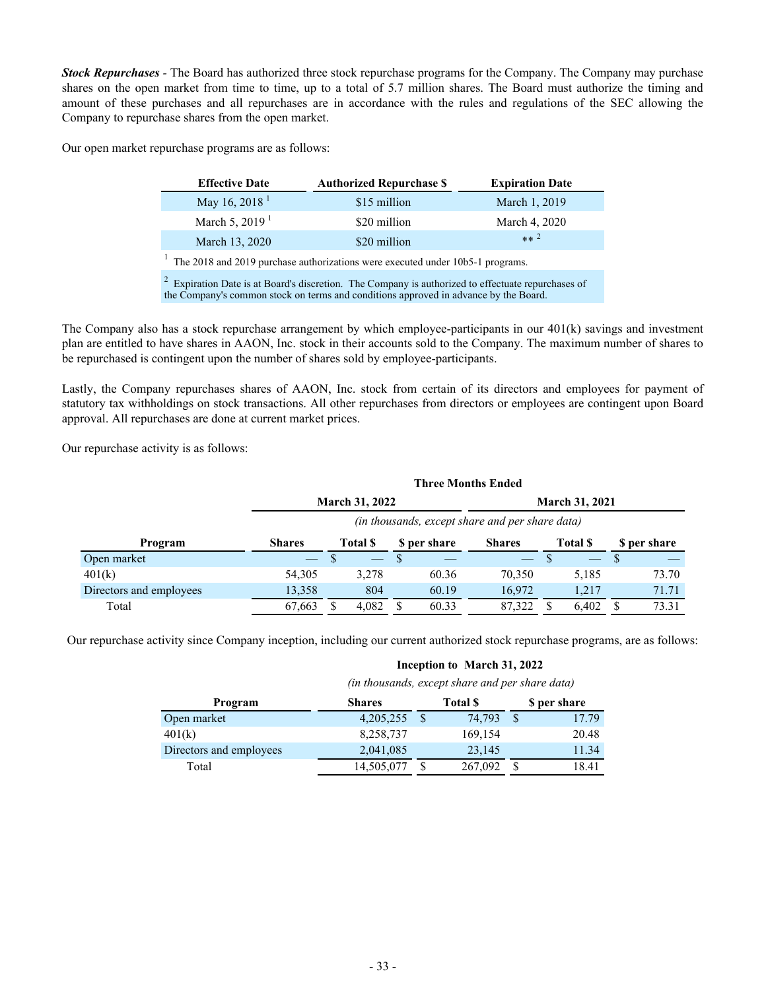*Stock Repurchases -* The Board has authorized three stock repurchase programs for the Company. The Company may purchase shares on the open market from time to time, up to a total of 5.7 million shares. The Board must authorize the timing and amount of these purchases and all repurchases are in accordance with the rules and regulations of the SEC allowing the Company to repurchase shares from the open market.

Our open market repurchase programs are as follows:

| <b>Effective Date</b>                                                                                                                                                                                 | <b>Authorized Repurchase \$</b> | <b>Expiration Date</b> |  |  |  |  |
|-------------------------------------------------------------------------------------------------------------------------------------------------------------------------------------------------------|---------------------------------|------------------------|--|--|--|--|
| May 16, 2018 <sup>1</sup>                                                                                                                                                                             | \$15 million                    | March 1, 2019          |  |  |  |  |
| March 5, 2019 <sup>1</sup>                                                                                                                                                                            | \$20 million                    | March 4, 2020          |  |  |  |  |
| March 13, 2020                                                                                                                                                                                        | \$20 million                    | $**$ 2                 |  |  |  |  |
| The 2018 and 2019 purchase authorizations were executed under 10b5-1 programs.                                                                                                                        |                                 |                        |  |  |  |  |
| <sup>2</sup> Expiration Date is at Board's discretion. The Company is authorized to effectuate repurchases of<br>the Company's common stock on terms and conditions approved in advance by the Board. |                                 |                        |  |  |  |  |

The Company also has a stock repurchase arrangement by which employee-participants in our 401(k) savings and investment plan are entitled to have shares in AAON, Inc. stock in their accounts sold to the Company. The maximum number of shares to be repurchased is contingent upon the number of shares sold by employee-participants.

Lastly, the Company repurchases shares of AAON, Inc. stock from certain of its directors and employees for payment of statutory tax withholdings on stock transactions. All other repurchases from directors or employees are contingent upon Board approval. All repurchases are done at current market prices.

Our repurchase activity is as follows:

|                         | <b>Three Months Ended</b>                             |                       |                          |               |       |                |  |                    |  |       |
|-------------------------|-------------------------------------------------------|-----------------------|--------------------------|---------------|-------|----------------|--|--------------------|--|-------|
|                         | <b>March 31, 2022</b>                                 | <b>March 31, 2021</b> |                          |               |       |                |  |                    |  |       |
|                         | (in thousands, except share and per share data)       |                       |                          |               |       |                |  |                    |  |       |
| Program                 | <b>Shares</b><br><b>Total S</b><br><b>S</b> per share |                       |                          | <b>Shares</b> |       | <b>Total</b> S |  | <b>S</b> per share |  |       |
| Open market             |                                                       |                       | $\overline{\phantom{a}}$ | S             |       |                |  |                    |  |       |
| 401(k)                  | 54.305                                                |                       | 3,278                    |               | 60.36 | 70.350         |  | 5,185              |  | 73.70 |
| Directors and employees | 13,358                                                |                       | 804                      |               | 60.19 | 16.972         |  | 1.217              |  | 71.71 |
| Total                   | 67,663                                                |                       | 4,082                    |               | 60.33 | 87,322         |  | 6,402              |  | 73.31 |

Our repurchase activity since Company inception, including our current authorized stock repurchase programs, are as follows:

## **Inception to March 31, 2022**

*(in thousands, except share and per share data)*

| Program                 | <b>Shares</b> | <b>Total S</b> |   | S per share |
|-------------------------|---------------|----------------|---|-------------|
| Open market             | 4,205,255     | 74.793         |   | 17.79       |
| 401(k)                  | 8,258,737     | 169,154        |   | 20.48       |
| Directors and employees | 2,041,085     | 23,145         |   | 11.34       |
| Total                   | 14,505,077    | \$<br>267,092  | S | 18.41       |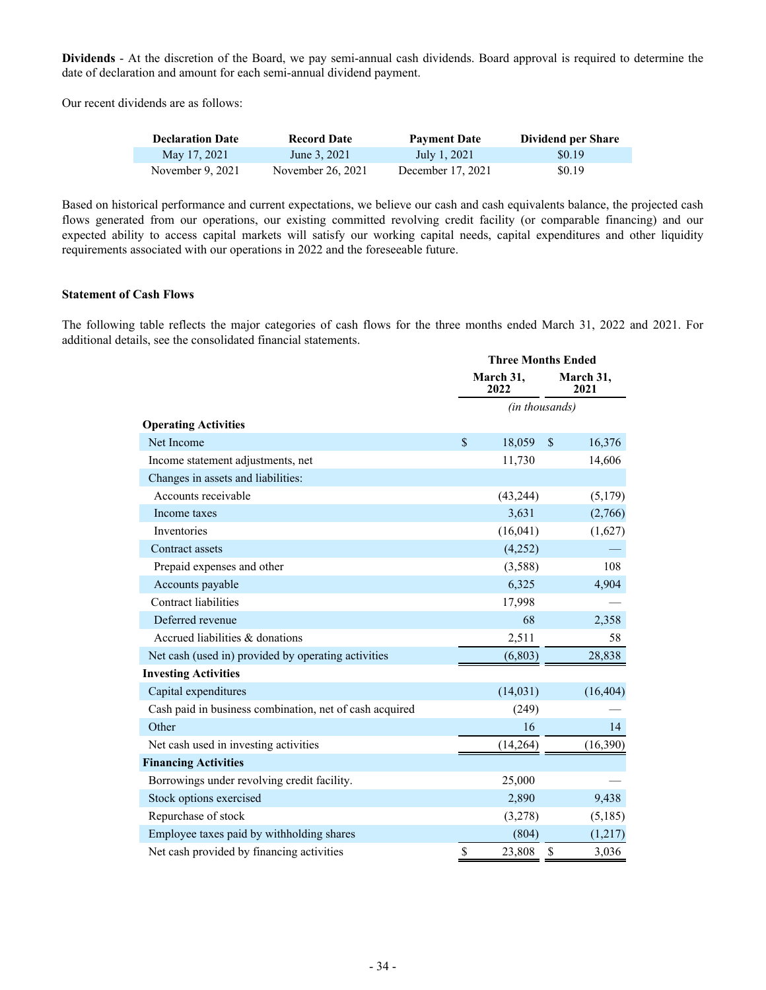**Dividends** - At the discretion of the Board, we pay semi-annual cash dividends. Board approval is required to determine the date of declaration and amount for each semi-annual dividend payment.

Our recent dividends are as follows:

| <b>Declaration Date</b> | <b>Record Date</b> | <b>Payment Date</b> | Dividend per Share |
|-------------------------|--------------------|---------------------|--------------------|
| May 17, 2021            | June 3, 2021       | July 1, 2021        | \$0.19             |
| November $9, 2021$      | November 26, 2021  | December 17, 2021   | \$0.19             |

Based on historical performance and current expectations, we believe our cash and cash equivalents balance, the projected cash flows generated from our operations, our existing committed revolving credit facility (or comparable financing) and our expected ability to access capital markets will satisfy our working capital needs, capital expenditures and other liquidity requirements associated with our operations in 2022 and the foreseeable future.

#### **Statement of Cash Flows**

The following table reflects the major categories of cash flows for the three months ended March 31, 2022 and 2021. For additional details, see the consolidated financial statements.

|                                                         | <b>Three Months Ended</b> |    |                   |  |
|---------------------------------------------------------|---------------------------|----|-------------------|--|
|                                                         | March 31,<br>2022         |    | March 31,<br>2021 |  |
|                                                         | (in thousands)            |    |                   |  |
| <b>Operating Activities</b>                             |                           |    |                   |  |
| Net Income                                              | \$<br>18,059              | \$ | 16,376            |  |
| Income statement adjustments, net                       | 11,730                    |    | 14,606            |  |
| Changes in assets and liabilities:                      |                           |    |                   |  |
| Accounts receivable                                     | (43, 244)                 |    | (5,179)           |  |
| Income taxes                                            | 3,631                     |    | (2,766)           |  |
| Inventories                                             | (16, 041)                 |    | (1,627)           |  |
| Contract assets                                         | (4,252)                   |    |                   |  |
| Prepaid expenses and other                              | (3,588)                   |    | 108               |  |
| Accounts payable                                        | 6,325                     |    | 4,904             |  |
| Contract liabilities                                    | 17,998                    |    |                   |  |
| Deferred revenue                                        | 68                        |    | 2,358             |  |
| Accrued liabilities & donations                         | 2,511                     |    | 58                |  |
| Net cash (used in) provided by operating activities     | (6, 803)                  |    | 28,838            |  |
| <b>Investing Activities</b>                             |                           |    |                   |  |
| Capital expenditures                                    | (14, 031)                 |    | (16, 404)         |  |
| Cash paid in business combination, net of cash acquired | (249)                     |    |                   |  |
| Other                                                   | 16                        |    | 14                |  |
| Net cash used in investing activities                   | (14,264)                  |    | (16,390)          |  |
| <b>Financing Activities</b>                             |                           |    |                   |  |
| Borrowings under revolving credit facility.             | 25,000                    |    |                   |  |
| Stock options exercised                                 | 2,890                     |    | 9,438             |  |
| Repurchase of stock                                     | (3,278)                   |    | (5,185)           |  |
| Employee taxes paid by withholding shares               | (804)                     |    | (1,217)           |  |
| Net cash provided by financing activities               | \$<br>23,808              | \$ | 3,036             |  |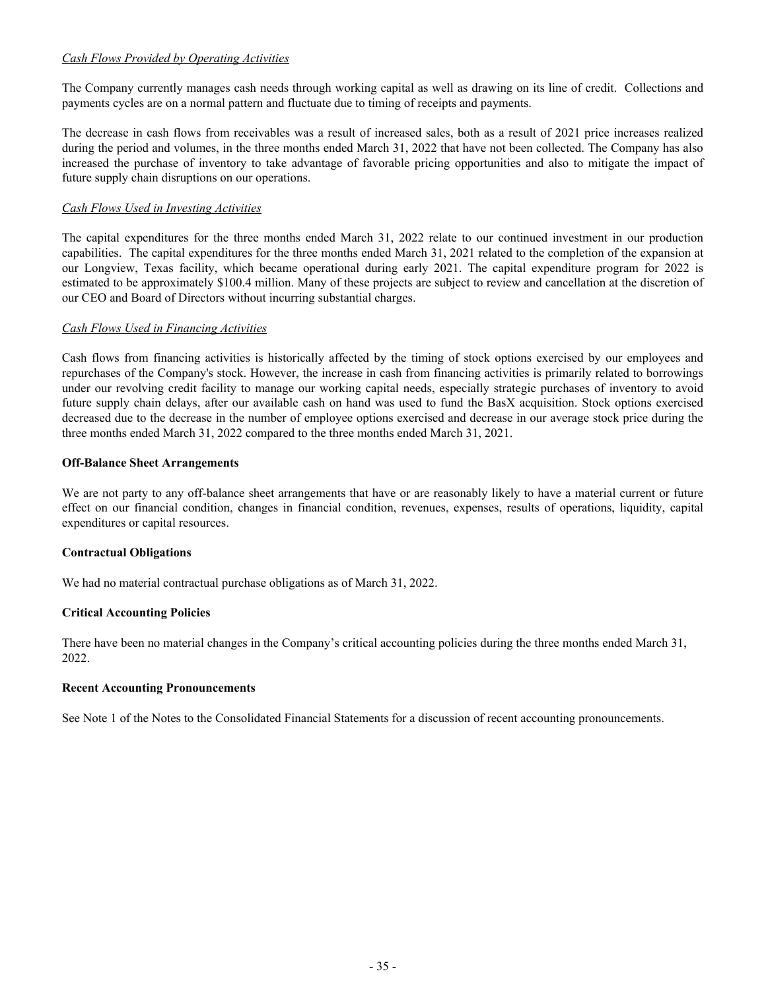## *Cash Flows Provided by Operating Activities*

The Company currently manages cash needs through working capital as well as drawing on its line of credit. Collections and payments cycles are on a normal pattern and fluctuate due to timing of receipts and payments.

The decrease in cash flows from receivables was a result of increased sales, both as a result of 2021 price increases realized during the period and volumes, in the three months ended March 31, 2022 that have not been collected. The Company has also increased the purchase of inventory to take advantage of favorable pricing opportunities and also to mitigate the impact of future supply chain disruptions on our operations.

## *Cash Flows Used in Investing Activities*

The capital expenditures for the three months ended March 31, 2022 relate to our continued investment in our production capabilities. The capital expenditures for the three months ended March 31, 2021 related to the completion of the expansion at our Longview, Texas facility, which became operational during early 2021. The capital expenditure program for 2022 is estimated to be approximately \$100.4 million. Many of these projects are subject to review and cancellation at the discretion of our CEO and Board of Directors without incurring substantial charges.

## *Cash Flows Used in Financing Activities*

Cash flows from financing activities is historically affected by the timing of stock options exercised by our employees and repurchases of the Company's stock. However, the increase in cash from financing activities is primarily related to borrowings under our revolving credit facility to manage our working capital needs, especially strategic purchases of inventory to avoid future supply chain delays, after our available cash on hand was used to fund the BasX acquisition. Stock options exercised decreased due to the decrease in the number of employee options exercised and decrease in our average stock price during the three months ended March 31, 2022 compared to the three months ended March 31, 2021.

#### **Off-Balance Sheet Arrangements**

We are not party to any off-balance sheet arrangements that have or are reasonably likely to have a material current or future effect on our financial condition, changes in financial condition, revenues, expenses, results of operations, liquidity, capital expenditures or capital resources.

## **Contractual Obligations**

We had no material contractual purchase obligations as of March 31, 2022.

## **Critical Accounting Policies**

There have been no material changes in the Company's critical accounting policies during the three months ended March 31, 2022.

## **Recent Accounting Pronouncements**

See Note 1 of the Notes to the Consolidated Financial Statements for a discussion of recent accounting pronouncements.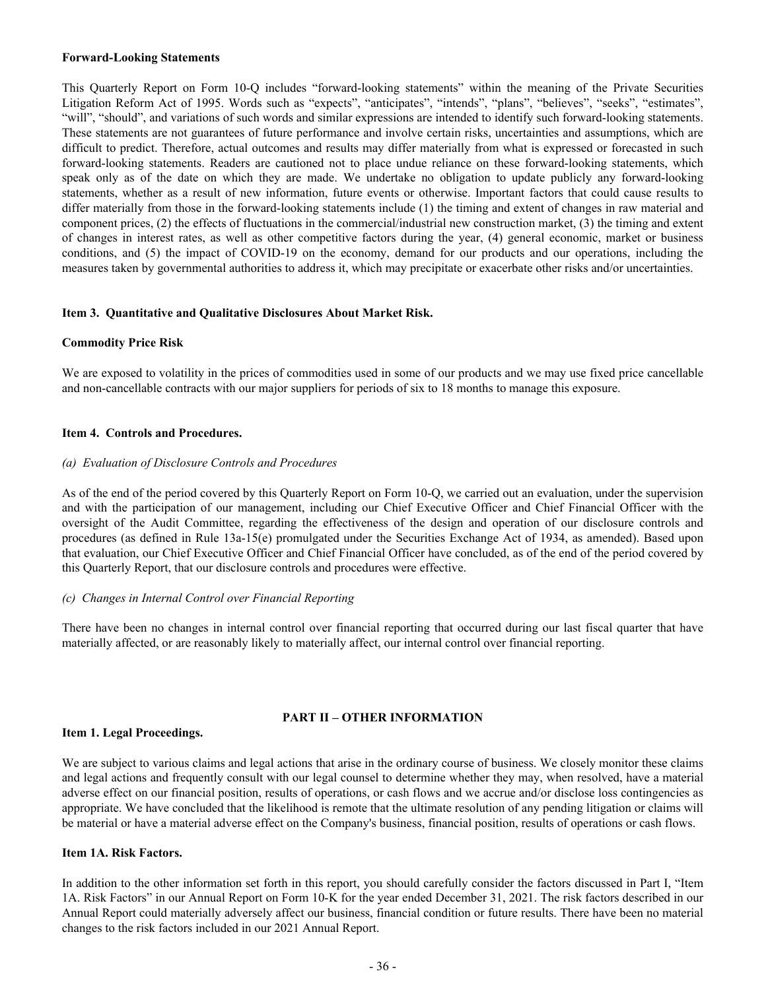#### **Forward-Looking Statements**

This Quarterly Report on Form 10-Q includes "forward-looking statements" within the meaning of the Private Securities Litigation Reform Act of 1995. Words such as "expects", "anticipates", "intends", "plans", "believes", "seeks", "estimates", "will", "should", and variations of such words and similar expressions are intended to identify such forward-looking statements. These statements are not guarantees of future performance and involve certain risks, uncertainties and assumptions, which are difficult to predict. Therefore, actual outcomes and results may differ materially from what is expressed or forecasted in such forward-looking statements. Readers are cautioned not to place undue reliance on these forward-looking statements, which speak only as of the date on which they are made. We undertake no obligation to update publicly any forward-looking statements, whether as a result of new information, future events or otherwise. Important factors that could cause results to differ materially from those in the forward-looking statements include (1) the timing and extent of changes in raw material and component prices, (2) the effects of fluctuations in the commercial/industrial new construction market, (3) the timing and extent of changes in interest rates, as well as other competitive factors during the year, (4) general economic, market or business conditions, and (5) the impact of COVID-19 on the economy, demand for our products and our operations, including the measures taken by governmental authorities to address it, which may precipitate or exacerbate other risks and/or uncertainties.

## **Item 3. Quantitative and Qualitative Disclosures About Market Risk.**

#### **Commodity Price Risk**

We are exposed to volatility in the prices of commodities used in some of our products and we may use fixed price cancellable and non-cancellable contracts with our major suppliers for periods of six to 18 months to manage this exposure.

#### **Item 4. Controls and Procedures.**

#### *(a) Evaluation of Disclosure Controls and Procedures*

As of the end of the period covered by this Quarterly Report on Form 10-Q, we carried out an evaluation, under the supervision and with the participation of our management, including our Chief Executive Officer and Chief Financial Officer with the oversight of the Audit Committee, regarding the effectiveness of the design and operation of our disclosure controls and procedures (as defined in Rule 13a-15(e) promulgated under the Securities Exchange Act of 1934, as amended). Based upon that evaluation, our Chief Executive Officer and Chief Financial Officer have concluded, as of the end of the period covered by this Quarterly Report, that our disclosure controls and procedures were effective.

#### *(c) Changes in Internal Control over Financial Reporting*

There have been no changes in internal control over financial reporting that occurred during our last fiscal quarter that have materially affected, or are reasonably likely to materially affect, our internal control over financial reporting.

## **PART II – OTHER INFORMATION**

## **Item 1. Legal Proceedings.**

We are subject to various claims and legal actions that arise in the ordinary course of business. We closely monitor these claims and legal actions and frequently consult with our legal counsel to determine whether they may, when resolved, have a material adverse effect on our financial position, results of operations, or cash flows and we accrue and/or disclose loss contingencies as appropriate. We have concluded that the likelihood is remote that the ultimate resolution of any pending litigation or claims will be material or have a material adverse effect on the Company's business, financial position, results of operations or cash flows.

#### **Item 1A. Risk Factors.**

In addition to the other information set forth in this report, you should carefully consider the factors discussed in Part I, "Item 1A. Risk Factors" in our Annual Report on Form 10-K for the year ended December 31, 2021. The risk factors described in our Annual Report could materially adversely affect our business, financial condition or future results. There have been no material changes to the risk factors included in our 2021 Annual Report.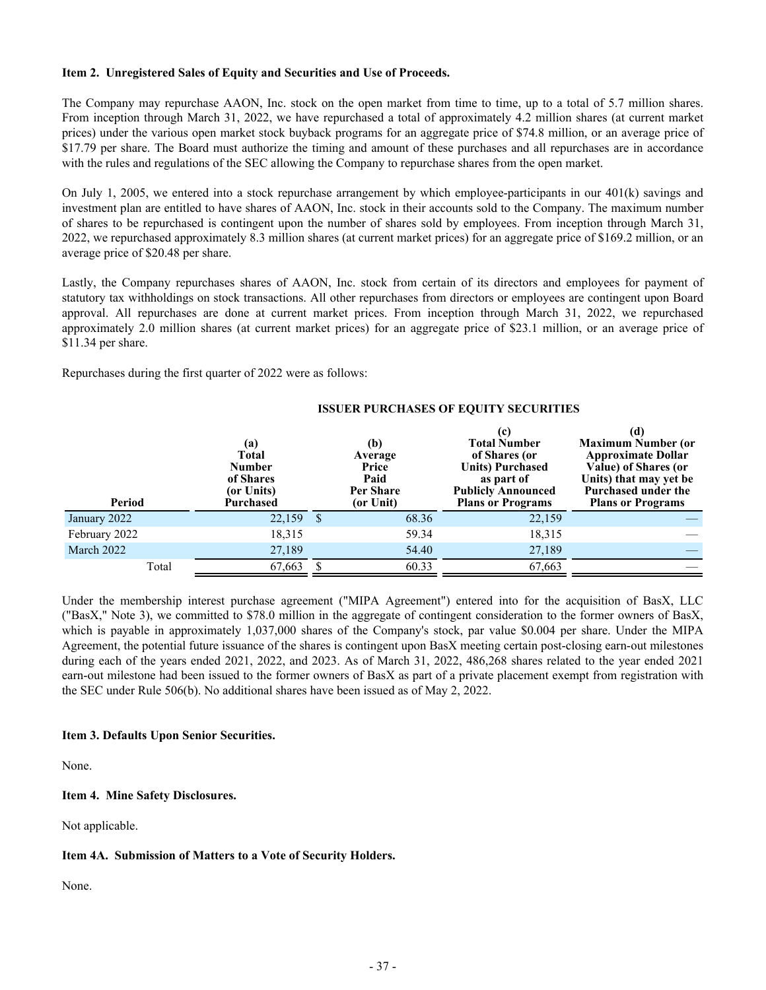## **Item 2. Unregistered Sales of Equity and Securities and Use of Proceeds.**

The Company may repurchase AAON, Inc. stock on the open market from time to time, up to a total of 5.7 million shares. From inception through March 31, 2022, we have repurchased a total of approximately 4.2 million shares (at current market prices) under the various open market stock buyback programs for an aggregate price of \$74.8 million, or an average price of \$17.79 per share. The Board must authorize the timing and amount of these purchases and all repurchases are in accordance with the rules and regulations of the SEC allowing the Company to repurchase shares from the open market.

On July 1, 2005, we entered into a stock repurchase arrangement by which employee-participants in our 401(k) savings and investment plan are entitled to have shares of AAON, Inc. stock in their accounts sold to the Company. The maximum number of shares to be repurchased is contingent upon the number of shares sold by employees. From inception through March 31, 2022, we repurchased approximately 8.3 million shares (at current market prices) for an aggregate price of \$169.2 million, or an average price of \$20.48 per share.

Lastly, the Company repurchases shares of AAON, Inc. stock from certain of its directors and employees for payment of statutory tax withholdings on stock transactions. All other repurchases from directors or employees are contingent upon Board approval. All repurchases are done at current market prices. From inception through March 31, 2022, we repurchased approximately 2.0 million shares (at current market prices) for an aggregate price of \$23.1 million, or an average price of \$11.34 per share.

Repurchases during the first quarter of 2022 were as follows:

| Period        | (a)<br><b>Total</b><br><b>Number</b><br>of Shares<br>(or Units)<br><b>Purchased</b> |              | (b)<br>Average<br>Price<br>Paid<br>Per Share<br>(or Unit) | <b>Total Number</b><br>of Shares (or<br><b>Units) Purchased</b><br>as part of<br><b>Publicly Announced</b><br><b>Plans or Programs</b> | (d)<br><b>Maximum Number (or</b><br><b>Approximate Dollar</b><br>Value) of Shares (or<br>Units) that may yet be<br>Purchased under the<br><b>Plans or Programs</b> |
|---------------|-------------------------------------------------------------------------------------|--------------|-----------------------------------------------------------|----------------------------------------------------------------------------------------------------------------------------------------|--------------------------------------------------------------------------------------------------------------------------------------------------------------------|
| January 2022  | 22,159                                                                              | $\mathbf{s}$ | 68.36                                                     | 22,159                                                                                                                                 |                                                                                                                                                                    |
| February 2022 | 18,315                                                                              |              | 59.34                                                     | 18,315                                                                                                                                 |                                                                                                                                                                    |
| March 2022    | 27,189                                                                              |              | 54.40                                                     | 27,189                                                                                                                                 |                                                                                                                                                                    |
| Total         | 67,663                                                                              |              | 60.33                                                     | 67,663                                                                                                                                 |                                                                                                                                                                    |

#### **ISSUER PURCHASES OF EQUITY SECURITIES**

Under the membership interest purchase agreement ("MIPA Agreement") entered into for the acquisition of BasX, LLC ("BasX," Note 3), we committed to \$78.0 million in the aggregate of contingent consideration to the former owners of BasX, which is payable in approximately 1,037,000 shares of the Company's stock, par value \$0.004 per share. Under the MIPA Agreement, the potential future issuance of the shares is contingent upon BasX meeting certain post-closing earn-out milestones during each of the years ended 2021, 2022, and 2023. As of March 31, 2022, 486,268 shares related to the year ended 2021 earn-out milestone had been issued to the former owners of BasX as part of a private placement exempt from registration with the SEC under Rule 506(b). No additional shares have been issued as of May 2, 2022.

## **Item 3. Defaults Upon Senior Securities.**

None.

## **Item 4. Mine Safety Disclosures.**

Not applicable.

# **Item 4A. Submission of Matters to a Vote of Security Holders.**

None.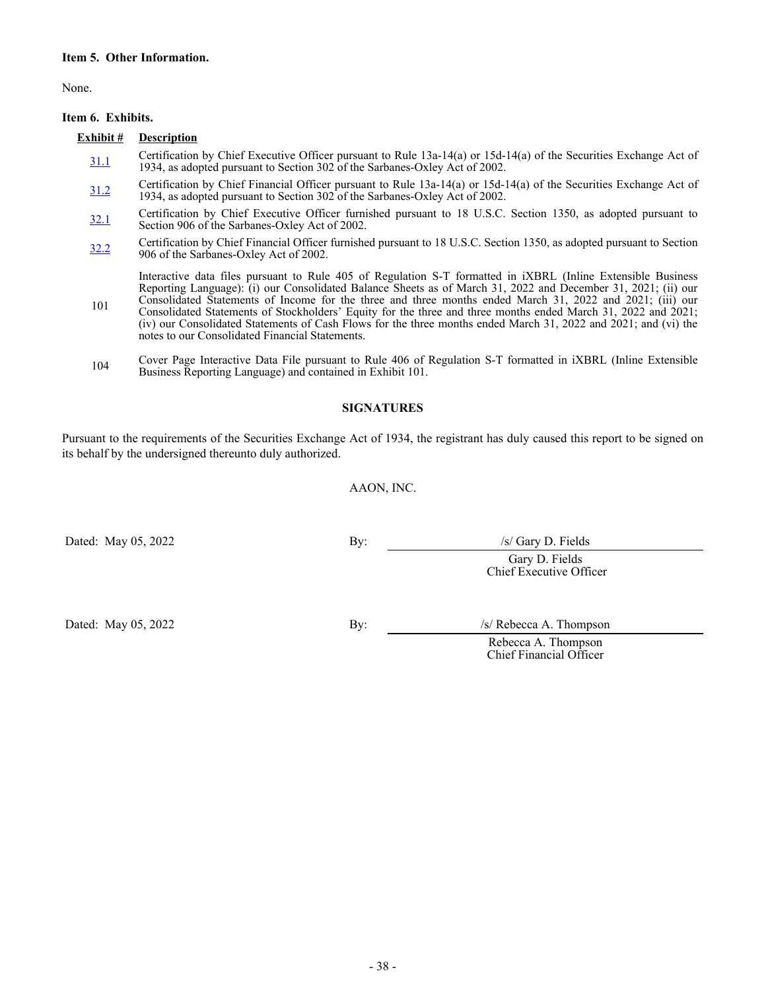#### **Item 5. Other Information.**

None.

## **Item 6. Exhibits.**

## **Exhibit # Description**

- [31.1](aaon_10q03312022ex311.htm) Certification by Chief Executive Officer pursuant to Rule 13a-14(a) or 15d-14(a) of the Securities Exchange Act of 1934, as adopted pursuant to Section 302 of the Sarbanes-Oxley Act of 2002.
- [31.2](aaon_10q03312022ex312.htm) Certification by Chief Financial Officer pursuant to Rule 13a-14(a) or 15d-14(a) of the Securities Exchange Act of 1934, as adopted pursuant to Section 302 of the Sarbanes-Oxley Act of 2002.
- [32.1](aaon_10q03312022ex321.htm) Certification by Chief Executive Officer furnished pursuant to 18 U.S.C. Section 1350, as adopted pursuant to Section 006 of the Serbanes Ovley Act of 2002 Section 906 of the Sarbanes-Oxley Act of 2002.
- [32.2](aaon_10q03312022ex322.htm) Certification by Chief Financial Officer furnished pursuant to 18 U.S.C. Section 1350, as adopted pursuant to Section 000 c of the Section 906 of the Sarbanes-Oxley Act of 2002.

Interactive data files pursuant to Rule 405 of Regulation S-T formatted in iXBRL (Inline Extensible Business Reporting Language): (i) our Consolidated Balance Sheets as of March 31, 2022 and December 31, 2021; (ii) our Consolidated Statements of Income for the three and three months ended March 31, 2022 and 2021; (iii) our

- 101 Consolidated Statements of Stockholders' Equity for the three and three months ended March 31, 2022 and 2021; (iv) our Consolidated Statements of Cash Flows for the three months ended March 31, 2022 and 2021; and (vi) the notes to our Consolidated Financial Statements.
- <sup>104</sup> Cover Page Interactive Data File pursuant to Rule 406 of Regulation S-T formatted in iXBRL (Inline Extensible Business Reporting Language) and contained in Exhibit 101.

#### **SIGNATURES**

Pursuant to the requirements of the Securities Exchange Act of 1934, the registrant has duly caused this report to be signed on its behalf by the undersigned thereunto duly authorized.

#### AAON, INC.

Dated: May 05, 2022 By: By: /s/ Gary D. Fields

Gary D. Fields Chief Executive Officer

Dated: May 05, 2022 By: By: /s/ Rebecca A. Thompson

Rebecca A. Thompson Chief Financial Officer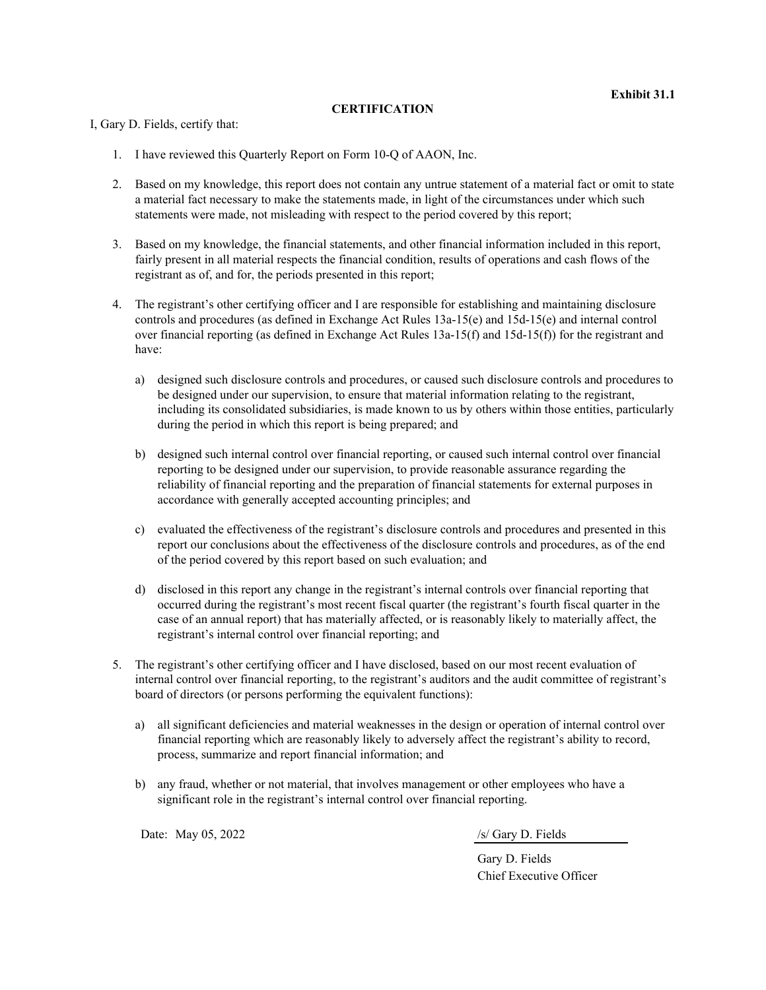#### **CERTIFICATION**

I, Gary D. Fields, certify that:

- 1. I have reviewed this Quarterly Report on Form 10-Q of AAON, Inc.
- 2. Based on my knowledge, this report does not contain any untrue statement of a material fact or omit to state a material fact necessary to make the statements made, in light of the circumstances under which such statements were made, not misleading with respect to the period covered by this report;
- 3. Based on my knowledge, the financial statements, and other financial information included in this report, fairly present in all material respects the financial condition, results of operations and cash flows of the registrant as of, and for, the periods presented in this report;
- 4. The registrant's other certifying officer and I are responsible for establishing and maintaining disclosure controls and procedures (as defined in Exchange Act Rules 13a-15(e) and 15d-15(e) and internal control over financial reporting (as defined in Exchange Act Rules 13a-15(f) and 15d-15(f)) for the registrant and have:
	- a) designed such disclosure controls and procedures, or caused such disclosure controls and procedures to be designed under our supervision, to ensure that material information relating to the registrant, including its consolidated subsidiaries, is made known to us by others within those entities, particularly during the period in which this report is being prepared; and
	- b) designed such internal control over financial reporting, or caused such internal control over financial reporting to be designed under our supervision, to provide reasonable assurance regarding the reliability of financial reporting and the preparation of financial statements for external purposes in accordance with generally accepted accounting principles; and
	- c) evaluated the effectiveness of the registrant's disclosure controls and procedures and presented in this report our conclusions about the effectiveness of the disclosure controls and procedures, as of the end of the period covered by this report based on such evaluation; and
	- d) disclosed in this report any change in the registrant's internal controls over financial reporting that occurred during the registrant's most recent fiscal quarter (the registrant's fourth fiscal quarter in the case of an annual report) that has materially affected, or is reasonably likely to materially affect, the registrant's internal control over financial reporting; and
- 5. The registrant's other certifying officer and I have disclosed, based on our most recent evaluation of internal control over financial reporting, to the registrant's auditors and the audit committee of registrant's board of directors (or persons performing the equivalent functions):
	- a) all significant deficiencies and material weaknesses in the design or operation of internal control over financial reporting which are reasonably likely to adversely affect the registrant's ability to record, process, summarize and report financial information; and
	- b) any fraud, whether or not material, that involves management or other employees who have a significant role in the registrant's internal control over financial reporting.

Date: May 05, 2022 /s/ Gary D. Fields

Gary D. Fields Chief Executive Officer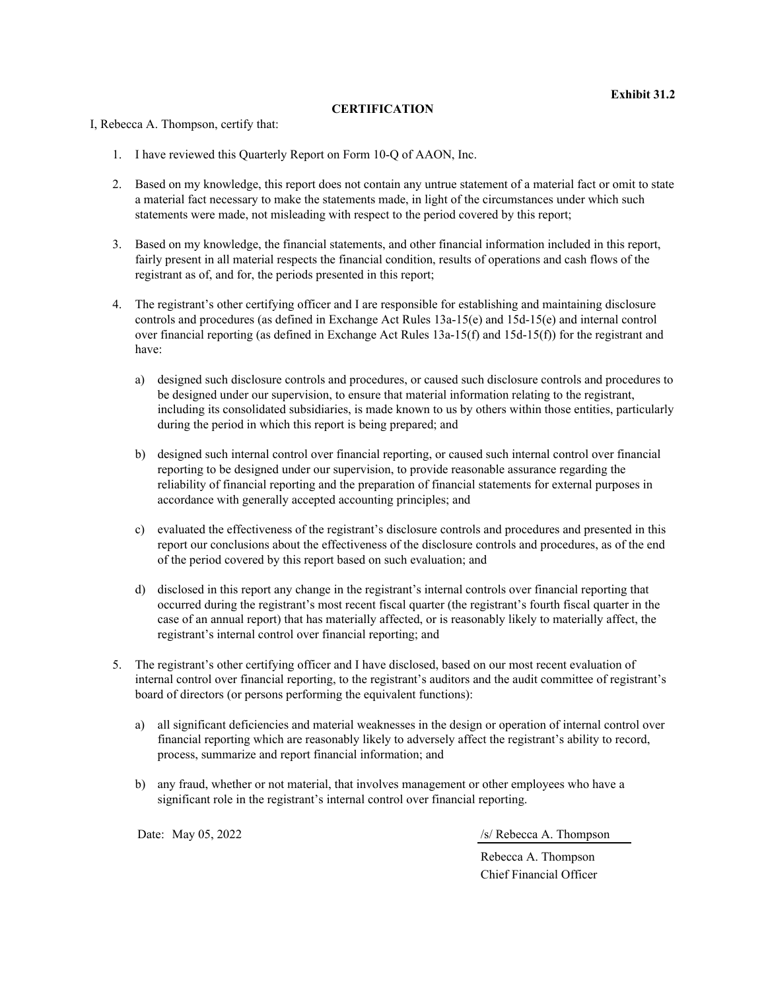#### **CERTIFICATION**

I, Rebecca A. Thompson, certify that:

- 1. I have reviewed this Quarterly Report on Form 10-Q of AAON, Inc.
- 2. Based on my knowledge, this report does not contain any untrue statement of a material fact or omit to state a material fact necessary to make the statements made, in light of the circumstances under which such statements were made, not misleading with respect to the period covered by this report;
- 3. Based on my knowledge, the financial statements, and other financial information included in this report, fairly present in all material respects the financial condition, results of operations and cash flows of the registrant as of, and for, the periods presented in this report;
- 4. The registrant's other certifying officer and I are responsible for establishing and maintaining disclosure controls and procedures (as defined in Exchange Act Rules 13a-15(e) and 15d-15(e) and internal control over financial reporting (as defined in Exchange Act Rules 13a-15(f) and 15d-15(f)) for the registrant and have:
	- a) designed such disclosure controls and procedures, or caused such disclosure controls and procedures to be designed under our supervision, to ensure that material information relating to the registrant, including its consolidated subsidiaries, is made known to us by others within those entities, particularly during the period in which this report is being prepared; and
	- b) designed such internal control over financial reporting, or caused such internal control over financial reporting to be designed under our supervision, to provide reasonable assurance regarding the reliability of financial reporting and the preparation of financial statements for external purposes in accordance with generally accepted accounting principles; and
	- c) evaluated the effectiveness of the registrant's disclosure controls and procedures and presented in this report our conclusions about the effectiveness of the disclosure controls and procedures, as of the end of the period covered by this report based on such evaluation; and
	- d) disclosed in this report any change in the registrant's internal controls over financial reporting that occurred during the registrant's most recent fiscal quarter (the registrant's fourth fiscal quarter in the case of an annual report) that has materially affected, or is reasonably likely to materially affect, the registrant's internal control over financial reporting; and
- 5. The registrant's other certifying officer and I have disclosed, based on our most recent evaluation of internal control over financial reporting, to the registrant's auditors and the audit committee of registrant's board of directors (or persons performing the equivalent functions):
	- a) all significant deficiencies and material weaknesses in the design or operation of internal control over financial reporting which are reasonably likely to adversely affect the registrant's ability to record, process, summarize and report financial information; and
	- b) any fraud, whether or not material, that involves management or other employees who have a significant role in the registrant's internal control over financial reporting.

Date: May 05, 2022 /s/ Rebecca A. Thompson

Rebecca A. Thompson Chief Financial Officer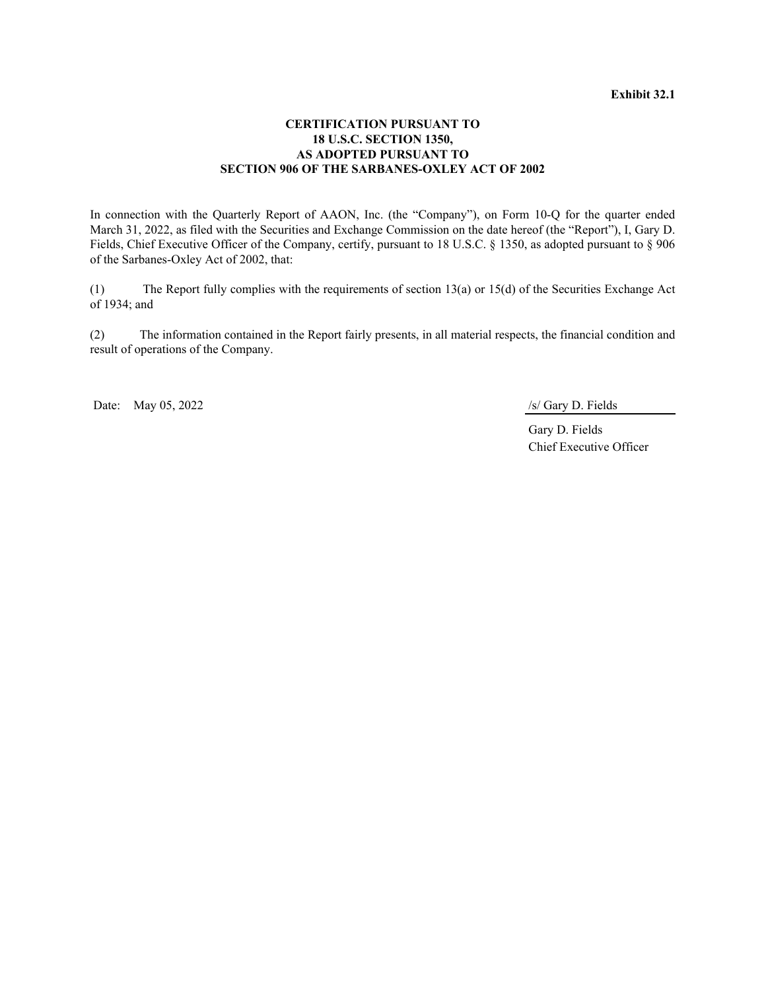#### **Exhibit 32.1**

## **CERTIFICATION PURSUANT TO 18 U.S.C. SECTION 1350, AS ADOPTED PURSUANT TO SECTION 906 OF THE SARBANES-OXLEY ACT OF 2002**

In connection with the Quarterly Report of AAON, Inc. (the "Company"), on Form 10-Q for the quarter ended March 31, 2022, as filed with the Securities and Exchange Commission on the date hereof (the "Report"), I, Gary D. Fields, Chief Executive Officer of the Company, certify, pursuant to 18 U.S.C. § 1350, as adopted pursuant to § 906 of the Sarbanes-Oxley Act of 2002, that:

(1) The Report fully complies with the requirements of section 13(a) or 15(d) of the Securities Exchange Act of 1934; and

(2) The information contained in the Report fairly presents, in all material respects, the financial condition and result of operations of the Company.

Date: May 05, 2022 /s/ Gary D. Fields

Gary D. Fields Chief Executive Officer